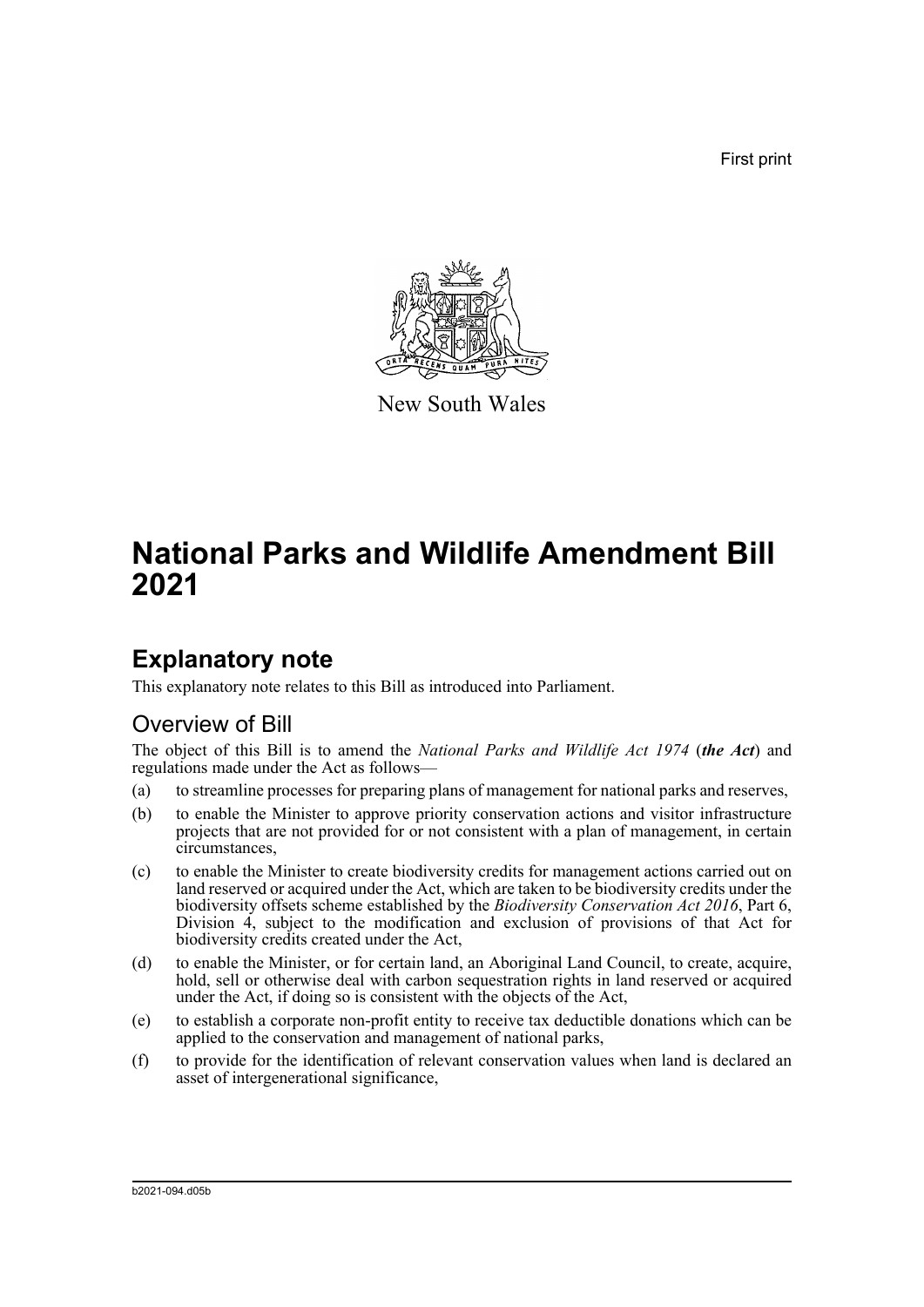First print



New South Wales

# **National Parks and Wildlife Amendment Bill 2021**

## **Explanatory note**

This explanatory note relates to this Bill as introduced into Parliament.

## Overview of Bill

The object of this Bill is to amend the *National Parks and Wildlife Act 1974* (*the Act*) and regulations made under the Act as follows—

- (a) to streamline processes for preparing plans of management for national parks and reserves,
- (b) to enable the Minister to approve priority conservation actions and visitor infrastructure projects that are not provided for or not consistent with a plan of management, in certain circumstances,
- (c) to enable the Minister to create biodiversity credits for management actions carried out on land reserved or acquired under the Act, which are taken to be biodiversity credits under the biodiversity offsets scheme established by the *Biodiversity Conservation Act 2016*, Part 6, Division 4, subject to the modification and exclusion of provisions of that Act for biodiversity credits created under the Act,
- (d) to enable the Minister, or for certain land, an Aboriginal Land Council, to create, acquire, hold, sell or otherwise deal with carbon sequestration rights in land reserved or acquired under the Act, if doing so is consistent with the objects of the Act,
- (e) to establish a corporate non-profit entity to receive tax deductible donations which can be applied to the conservation and management of national parks,
- (f) to provide for the identification of relevant conservation values when land is declared an asset of intergenerational significance,

b2021-094.d05b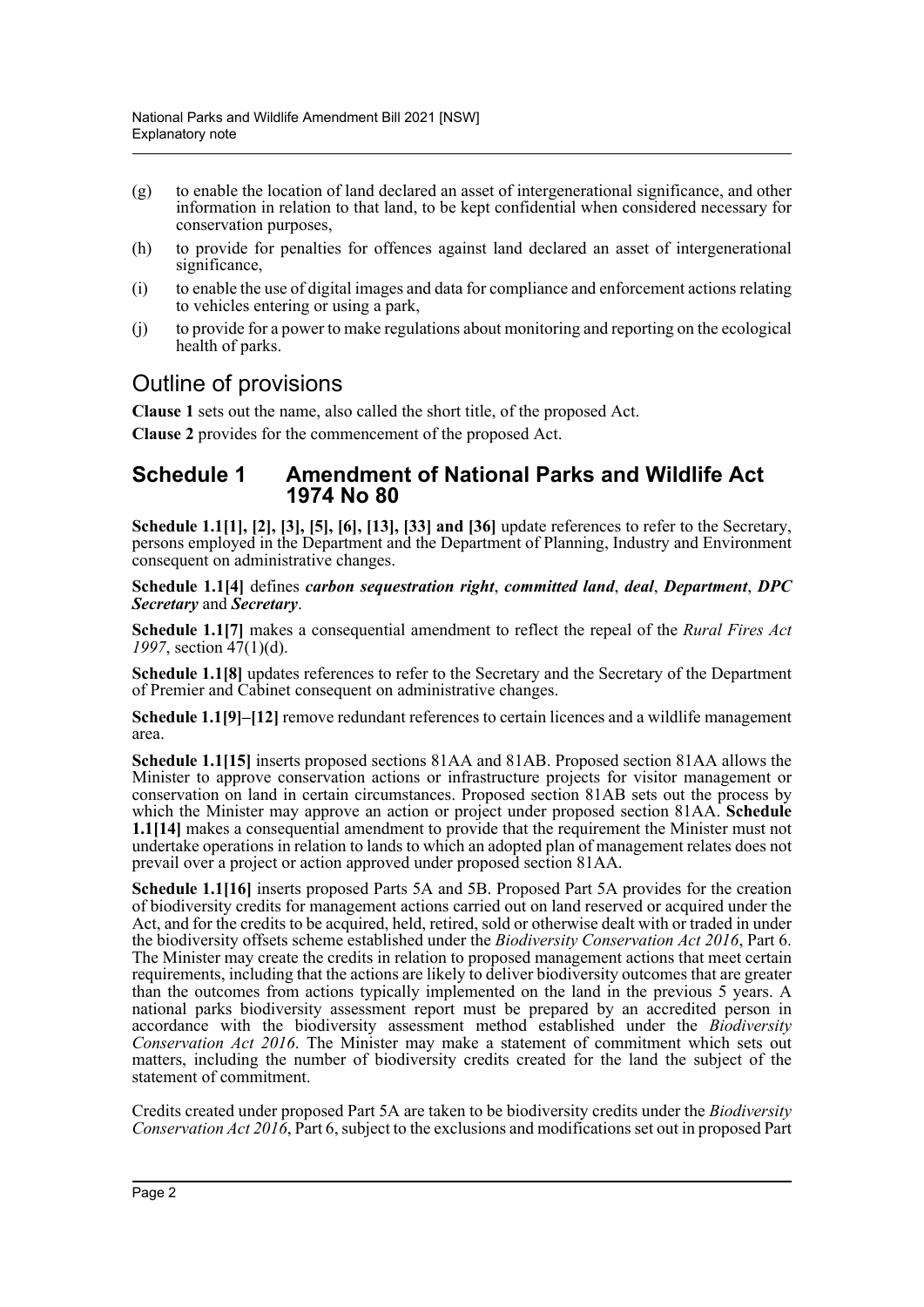- (g) to enable the location of land declared an asset of intergenerational significance, and other information in relation to that land, to be kept confidential when considered necessary for conservation purposes,
- (h) to provide for penalties for offences against land declared an asset of intergenerational significance,
- (i) to enable the use of digital images and data for compliance and enforcement actions relating to vehicles entering or using a park,
- (j) to provide for a power to make regulations about monitoring and reporting on the ecological health of parks.

## Outline of provisions

**Clause 1** sets out the name, also called the short title, of the proposed Act.

**Clause 2** provides for the commencement of the proposed Act.

### **Schedule 1 Amendment of National Parks and Wildlife Act 1974 No 80**

**Schedule 1.1[1], [2], [3], [5], [6], [13], [33] and [36]** update references to refer to the Secretary, persons employed in the Department and the Department of Planning, Industry and Environment consequent on administrative changes.

**Schedule 1.1[4]** defines *carbon sequestration right*, *committed land*, *deal*, *Department*, *DPC Secretary* and *Secretary*.

**Schedule 1.1[7]** makes a consequential amendment to reflect the repeal of the *Rural Fires Act 1997*, section 47(1)(d).

**Schedule 1.1[8]** updates references to refer to the Secretary and the Secretary of the Department of Premier and Cabinet consequent on administrative changes.

**Schedule 1.1[9]–[12]** remove redundant references to certain licences and a wildlife management area.

**Schedule 1.1[15]** inserts proposed sections 81AA and 81AB. Proposed section 81AA allows the Minister to approve conservation actions or infrastructure projects for visitor management or conservation on land in certain circumstances. Proposed section 81AB sets out the process by which the Minister may approve an action or project under proposed section 81AA. **Schedule 1.1[14]** makes a consequential amendment to provide that the requirement the Minister must not undertake operations in relation to lands to which an adopted plan of management relates does not prevail over a project or action approved under proposed section 81AA.

**Schedule 1.1[16]** inserts proposed Parts 5A and 5B. Proposed Part 5A provides for the creation of biodiversity credits for management actions carried out on land reserved or acquired under the Act, and for the credits to be acquired, held, retired, sold or otherwise dealt with or traded in under the biodiversity offsets scheme established under the *Biodiversity Conservation Act 2016*, Part 6. The Minister may create the credits in relation to proposed management actions that meet certain requirements, including that the actions are likely to deliver biodiversity outcomes that are greater than the outcomes from actions typically implemented on the land in the previous 5 years. A national parks biodiversity assessment report must be prepared by an accredited person in accordance with the biodiversity assessment method established under the *Biodiversity Conservation Act 2016*. The Minister may make a statement of commitment which sets out matters, including the number of biodiversity credits created for the land the subject of the statement of commitment.

Credits created under proposed Part 5A are taken to be biodiversity credits under the *Biodiversity Conservation Act 2016*, Part 6, subject to the exclusions and modifications set out in proposed Part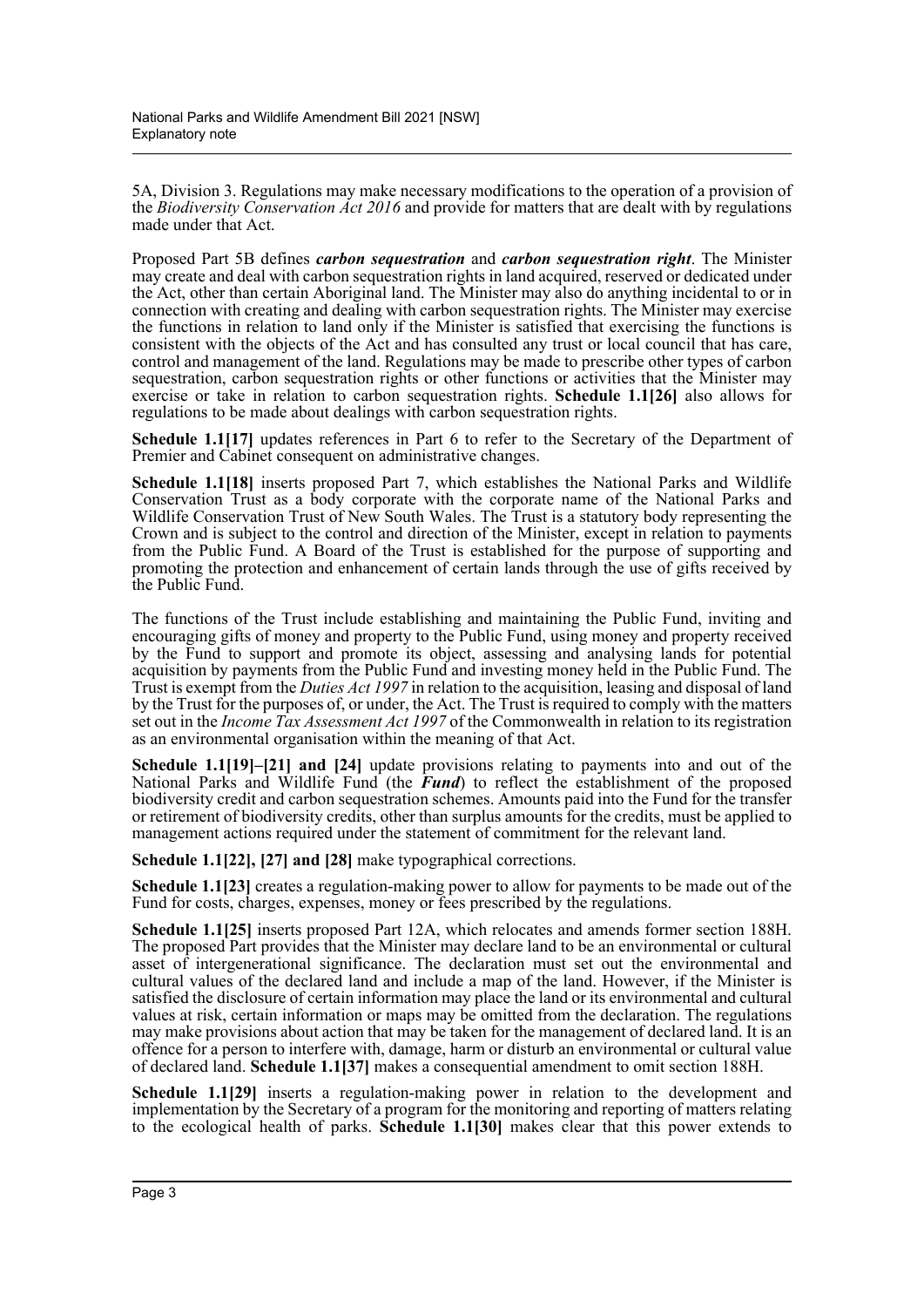5A, Division 3. Regulations may make necessary modifications to the operation of a provision of the *Biodiversity Conservation Act 2016* and provide for matters that are dealt with by regulations made under that Act.

Proposed Part 5B defines *carbon sequestration* and *carbon sequestration right*. The Minister may create and deal with carbon sequestration rights in land acquired, reserved or dedicated under the Act, other than certain Aboriginal land. The Minister may also do anything incidental to or in connection with creating and dealing with carbon sequestration rights. The Minister may exercise the functions in relation to land only if the Minister is satisfied that exercising the functions is consistent with the objects of the Act and has consulted any trust or local council that has care, control and management of the land. Regulations may be made to prescribe other types of carbon sequestration, carbon sequestration rights or other functions or activities that the Minister may exercise or take in relation to carbon sequestration rights. **Schedule 1.1[26]** also allows for regulations to be made about dealings with carbon sequestration rights.

**Schedule 1.1[17]** updates references in Part 6 to refer to the Secretary of the Department of Premier and Cabinet consequent on administrative changes.

**Schedule 1.1[18]** inserts proposed Part 7, which establishes the National Parks and Wildlife Conservation Trust as a body corporate with the corporate name of the National Parks and Wildlife Conservation Trust of New South Wales. The Trust is a statutory body representing the Crown and is subject to the control and direction of the Minister, except in relation to payments from the Public Fund. A Board of the Trust is established for the purpose of supporting and promoting the protection and enhancement of certain lands through the use of gifts received by the Public Fund.

The functions of the Trust include establishing and maintaining the Public Fund, inviting and encouraging gifts of money and property to the Public Fund, using money and property received by the Fund to support and promote its object, assessing and analysing lands for potential acquisition by payments from the Public Fund and investing money held in the Public Fund. The Trust is exempt from the *Duties Act 1997* in relation to the acquisition, leasing and disposal of land by the Trust for the purposes of, or under, the Act. The Trust is required to comply with the matters set out in the *Income Tax Assessment Act 1997* of the Commonwealth in relation to its registration as an environmental organisation within the meaning of that Act.

**Schedule 1.1[19]–[21] and [24]** update provisions relating to payments into and out of the National Parks and Wildlife Fund (the *Fund*) to reflect the establishment of the proposed biodiversity credit and carbon sequestration schemes. Amounts paid into the Fund for the transfer or retirement of biodiversity credits, other than surplus amounts for the credits, must be applied to management actions required under the statement of commitment for the relevant land.

**Schedule 1.1[22], [27] and [28]** make typographical corrections.

**Schedule 1.1[23]** creates a regulation-making power to allow for payments to be made out of the Fund for costs, charges, expenses, money or fees prescribed by the regulations.

**Schedule 1.1[25]** inserts proposed Part 12A, which relocates and amends former section 188H. The proposed Part provides that the Minister may declare land to be an environmental or cultural asset of intergenerational significance. The declaration must set out the environmental and cultural values of the declared land and include a map of the land. However, if the Minister is satisfied the disclosure of certain information may place the land or its environmental and cultural values at risk, certain information or maps may be omitted from the declaration. The regulations may make provisions about action that may be taken for the management of declared land. It is an offence for a person to interfere with, damage, harm or disturb an environmental or cultural value of declared land. **Schedule 1.1[37]** makes a consequential amendment to omit section 188H.

**Schedule 1.1[29]** inserts a regulation-making power in relation to the development and implementation by the Secretary of a program for the monitoring and reporting of matters relating to the ecological health of parks. **Schedule 1.1[30]** makes clear that this power extends to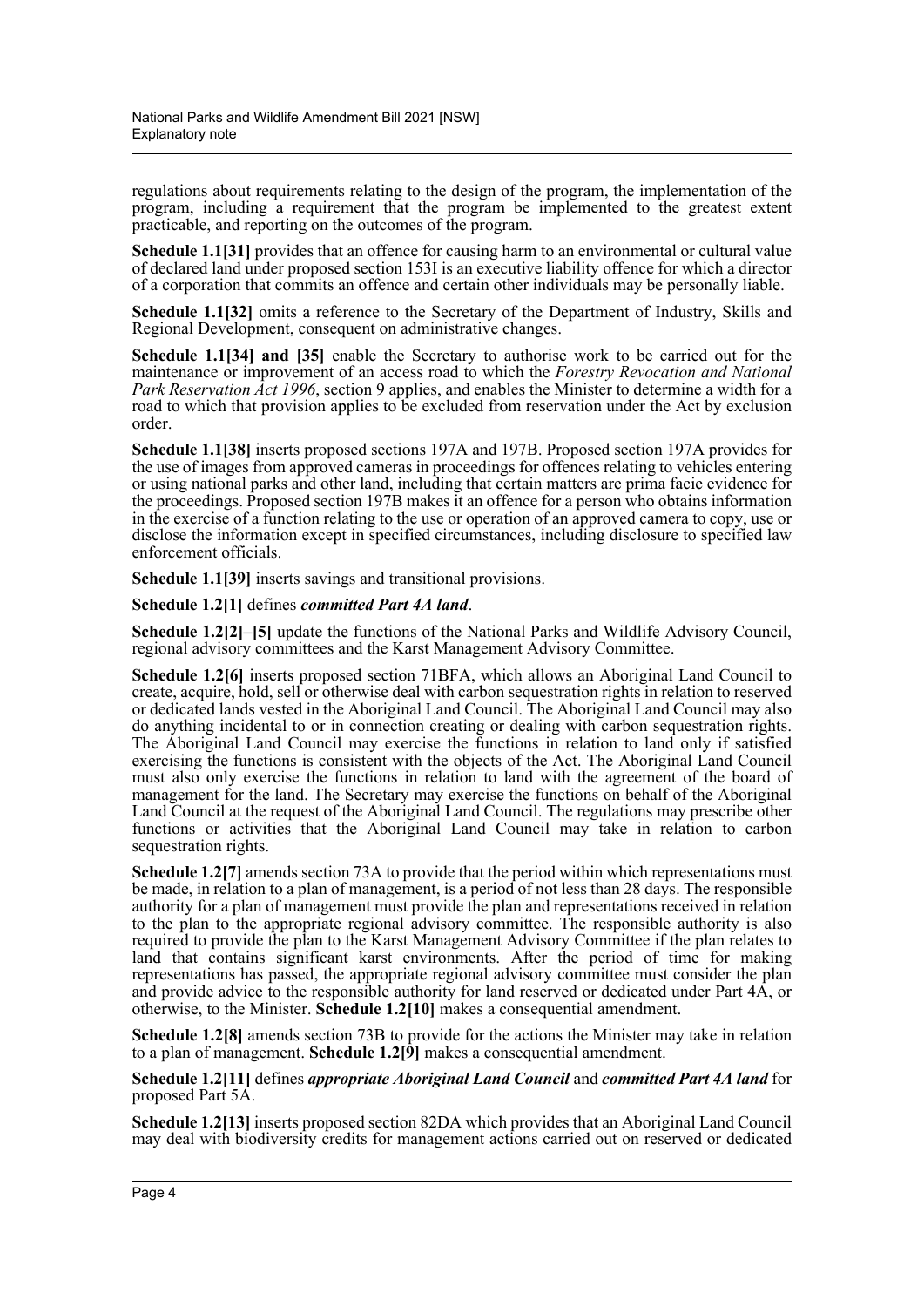regulations about requirements relating to the design of the program, the implementation of the program, including a requirement that the program be implemented to the greatest extent practicable, and reporting on the outcomes of the program.

**Schedule 1.1[31]** provides that an offence for causing harm to an environmental or cultural value of declared land under proposed section 153I is an executive liability offence for which a director of a corporation that commits an offence and certain other individuals may be personally liable.

**Schedule 1.1[32]** omits a reference to the Secretary of the Department of Industry, Skills and Regional Development, consequent on administrative changes.

**Schedule 1.1[34] and [35]** enable the Secretary to authorise work to be carried out for the maintenance or improvement of an access road to which the *Forestry Revocation and National Park Reservation Act 1996*, section 9 applies, and enables the Minister to determine a width for a road to which that provision applies to be excluded from reservation under the Act by exclusion order.

**Schedule 1.1[38]** inserts proposed sections 197A and 197B. Proposed section 197A provides for the use of images from approved cameras in proceedings for offences relating to vehicles entering or using national parks and other land, including that certain matters are prima facie evidence for the proceedings. Proposed section 197B makes it an offence for a person who obtains information in the exercise of a function relating to the use or operation of an approved camera to copy, use or disclose the information except in specified circumstances, including disclosure to specified law enforcement officials.

**Schedule 1.1[39]** inserts savings and transitional provisions.

**Schedule 1.2[1]** defines *committed Part 4A land*.

**Schedule 1.2[2]–[5]** update the functions of the National Parks and Wildlife Advisory Council, regional advisory committees and the Karst Management Advisory Committee.

**Schedule 1.2[6]** inserts proposed section 71BFA, which allows an Aboriginal Land Council to create, acquire, hold, sell or otherwise deal with carbon sequestration rights in relation to reserved or dedicated lands vested in the Aboriginal Land Council. The Aboriginal Land Council may also do anything incidental to or in connection creating or dealing with carbon sequestration rights. The Aboriginal Land Council may exercise the functions in relation to land only if satisfied exercising the functions is consistent with the objects of the Act. The Aboriginal Land Council must also only exercise the functions in relation to land with the agreement of the board of management for the land. The Secretary may exercise the functions on behalf of the Aboriginal Land Council at the request of the Aboriginal Land Council. The regulations may prescribe other functions or activities that the Aboriginal Land Council may take in relation to carbon sequestration rights.

**Schedule 1.2[7]** amends section 73A to provide that the period within which representations must be made, in relation to a plan of management, is a period of not less than 28 days. The responsible authority for a plan of management must provide the plan and representations received in relation to the plan to the appropriate regional advisory committee. The responsible authority is also required to provide the plan to the Karst Management Advisory Committee if the plan relates to land that contains significant karst environments. After the period of time for making representations has passed, the appropriate regional advisory committee must consider the plan and provide advice to the responsible authority for land reserved or dedicated under Part 4A, or otherwise, to the Minister. **Schedule 1.2[10]** makes a consequential amendment.

**Schedule 1.2[8]** amends section 73B to provide for the actions the Minister may take in relation to a plan of management. **Schedule 1.2[9]** makes a consequential amendment.

**Schedule 1.2[11]** defines *appropriate Aboriginal Land Council* and *committed Part 4A land* for proposed Part 5A.

**Schedule 1.2[13]** inserts proposed section 82DA which provides that an Aboriginal Land Council may deal with biodiversity credits for management actions carried out on reserved or dedicated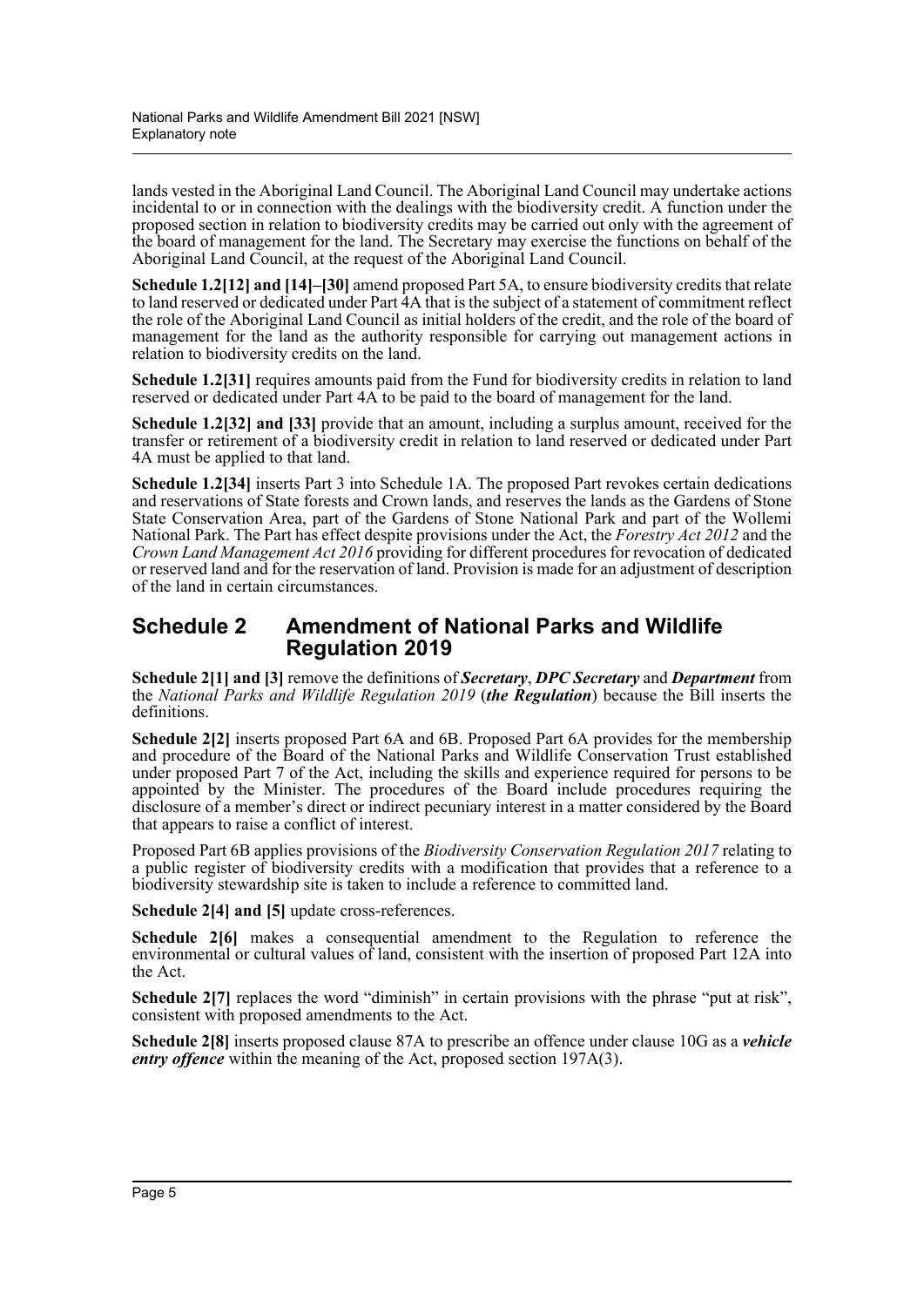lands vested in the Aboriginal Land Council. The Aboriginal Land Council may undertake actions incidental to or in connection with the dealings with the biodiversity credit. A function under the proposed section in relation to biodiversity credits may be carried out only with the agreement of the board of management for the land. The Secretary may exercise the functions on behalf of the Aboriginal Land Council, at the request of the Aboriginal Land Council.

**Schedule 1.2[12] and [14]–[30]** amend proposed Part 5A, to ensure biodiversity credits that relate to land reserved or dedicated under Part 4A that is the subject of a statement of commitment reflect the role of the Aboriginal Land Council as initial holders of the credit, and the role of the board of management for the land as the authority responsible for carrying out management actions in relation to biodiversity credits on the land.

**Schedule 1.2[31]** requires amounts paid from the Fund for biodiversity credits in relation to land reserved or dedicated under Part 4A to be paid to the board of management for the land.

**Schedule 1.2[32] and [33]** provide that an amount, including a surplus amount, received for the transfer or retirement of a biodiversity credit in relation to land reserved or dedicated under Part 4A must be applied to that land.

**Schedule 1.2[34]** inserts Part 3 into Schedule 1A. The proposed Part revokes certain dedications and reservations of State forests and Crown lands, and reserves the lands as the Gardens of Stone State Conservation Area, part of the Gardens of Stone National Park and part of the Wollemi National Park. The Part has effect despite provisions under the Act, the *Forestry Act 2012* and the *Crown Land Management Act 2016* providing for different procedures for revocation of dedicated or reserved land and for the reservation of land. Provision is made for an adjustment of description of the land in certain circumstances.

### **Schedule 2 Amendment of National Parks and Wildlife Regulation 2019**

**Schedule 2[1] and [3]** remove the definitions of *Secretary*, *DPC Secretary* and *Department* from the *National Parks and Wildlife Regulation 2019* (*the Regulation*) because the Bill inserts the definitions.

**Schedule 2[2]** inserts proposed Part 6A and 6B. Proposed Part 6A provides for the membership and procedure of the Board of the National Parks and Wildlife Conservation Trust established under proposed Part 7 of the Act, including the skills and experience required for persons to be appointed by the Minister. The procedures of the Board include procedures requiring the disclosure of a member's direct or indirect pecuniary interest in a matter considered by the Board that appears to raise a conflict of interest.

Proposed Part 6B applies provisions of the *Biodiversity Conservation Regulation 2017* relating to a public register of biodiversity credits with a modification that provides that a reference to a biodiversity stewardship site is taken to include a reference to committed land.

**Schedule 2[4] and [5]** update cross-references.

**Schedule 2[6]** makes a consequential amendment to the Regulation to reference the environmental or cultural values of land, consistent with the insertion of proposed Part 12A into the Act.

**Schedule 2[7]** replaces the word "diminish" in certain provisions with the phrase "put at risk", consistent with proposed amendments to the Act.

**Schedule 2[8]** inserts proposed clause 87A to prescribe an offence under clause 10G as a *vehicle entry offence* within the meaning of the Act, proposed section 197A(3).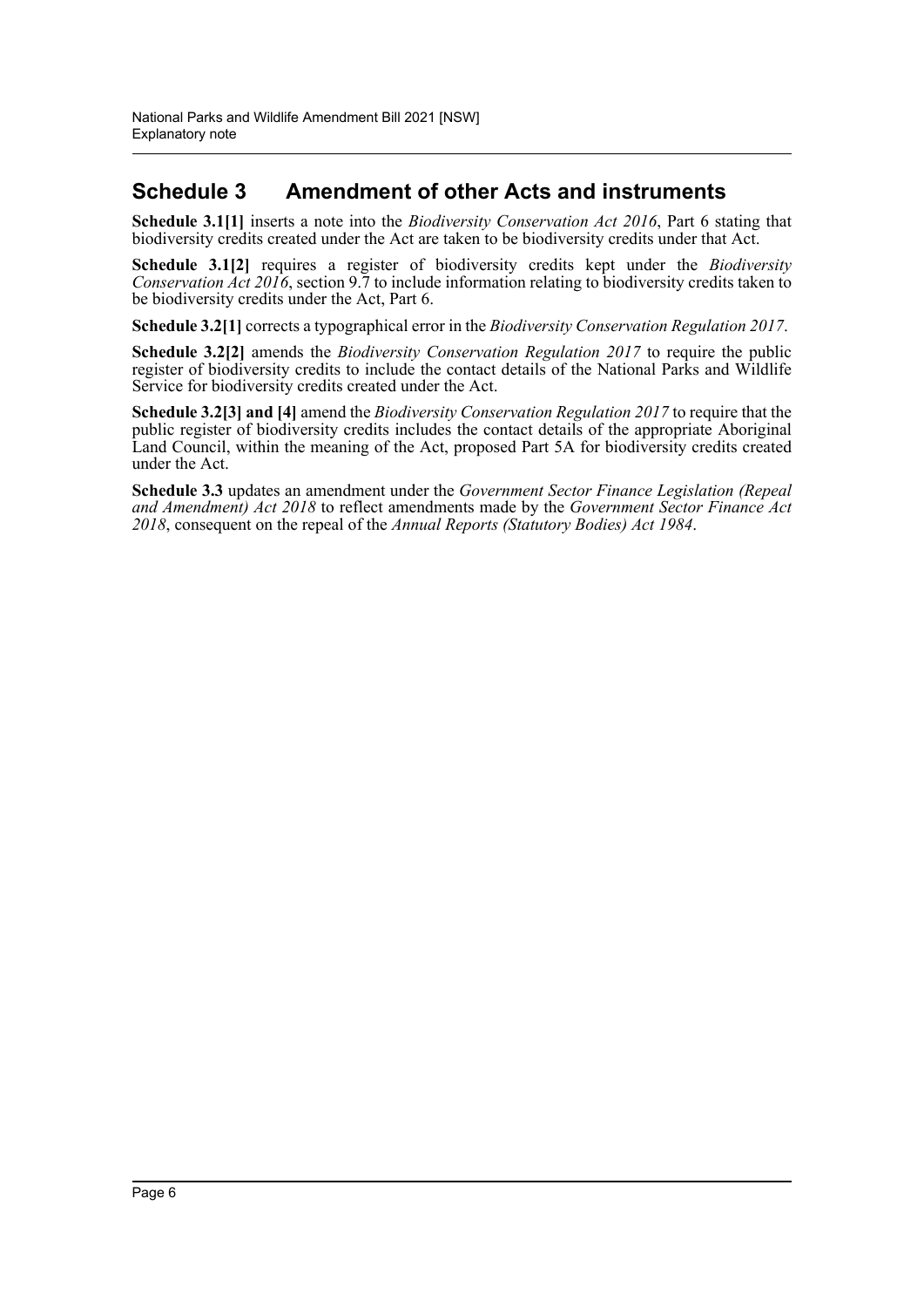## **Schedule 3 Amendment of other Acts and instruments**

**Schedule 3.1[1]** inserts a note into the *Biodiversity Conservation Act 2016*, Part 6 stating that biodiversity credits created under the Act are taken to be biodiversity credits under that Act.

**Schedule 3.1[2]** requires a register of biodiversity credits kept under the *Biodiversity Conservation Act 2016*, section 9.7 to include information relating to biodiversity credits taken to be biodiversity credits under the Act, Part 6.

**Schedule 3.2[1]** corrects a typographical error in the *Biodiversity Conservation Regulation 2017*.

**Schedule 3.2[2]** amends the *Biodiversity Conservation Regulation 2017* to require the public register of biodiversity credits to include the contact details of the National Parks and Wildlife Service for biodiversity credits created under the Act.

**Schedule 3.2[3] and [4]** amend the *Biodiversity Conservation Regulation 2017* to require that the public register of biodiversity credits includes the contact details of the appropriate Aboriginal Land Council, within the meaning of the Act, proposed Part 5A for biodiversity credits created under the Act.

**Schedule 3.3** updates an amendment under the *Government Sector Finance Legislation (Repeal and Amendment) Act 2018* to reflect amendments made by the *Government Sector Finance Act 2018*, consequent on the repeal of the *Annual Reports (Statutory Bodies) Act 1984*.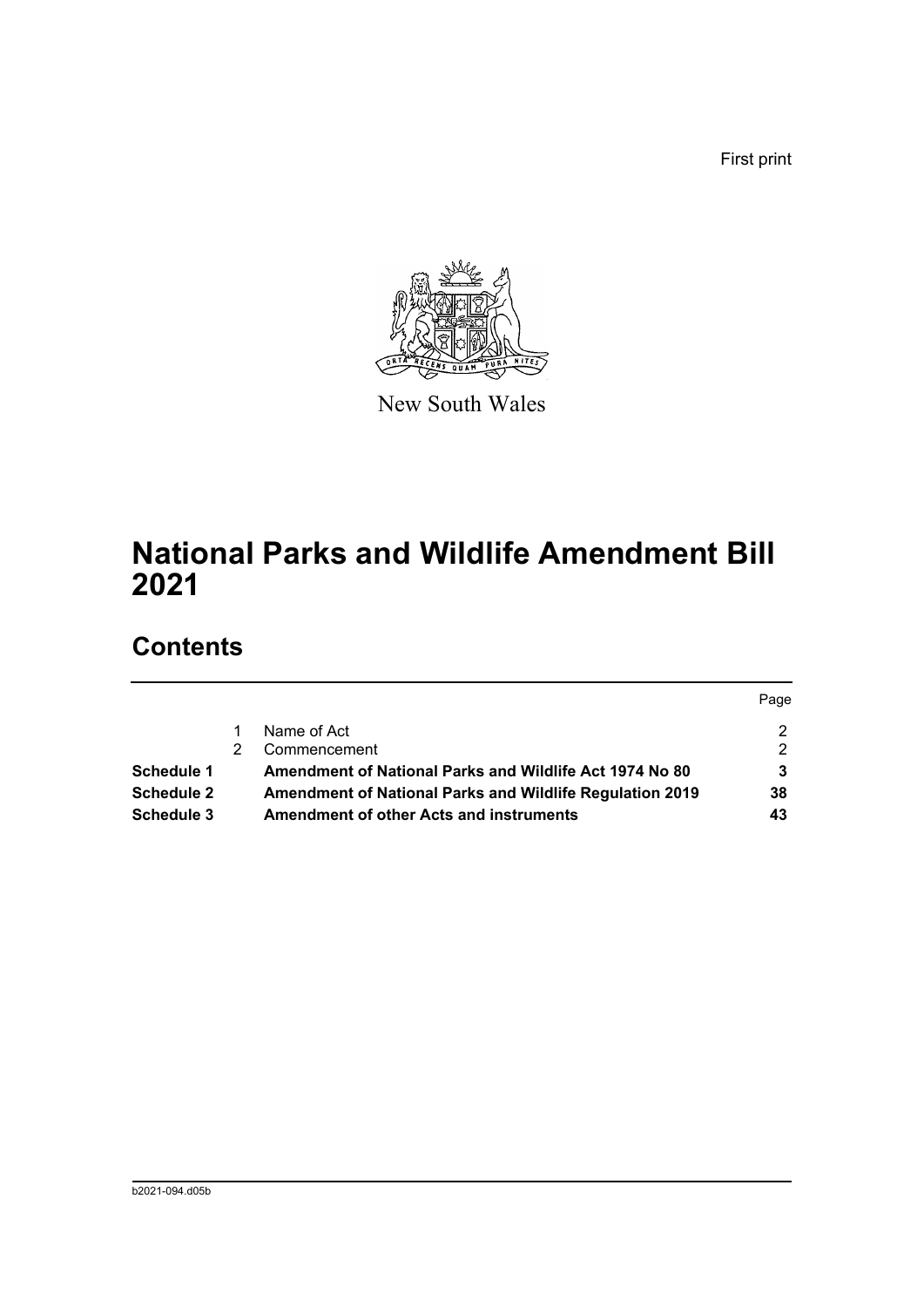First print



New South Wales

# **National Parks and Wildlife Amendment Bill 2021**

## **Contents**

|                   |                                                          | Page |
|-------------------|----------------------------------------------------------|------|
|                   | Name of Act                                              |      |
|                   | Commencement                                             | 2    |
| <b>Schedule 1</b> | Amendment of National Parks and Wildlife Act 1974 No 80  | 3    |
| Schedule 2        | Amendment of National Parks and Wildlife Regulation 2019 | 38   |
| Schedule 3        | <b>Amendment of other Acts and instruments</b>           | 43   |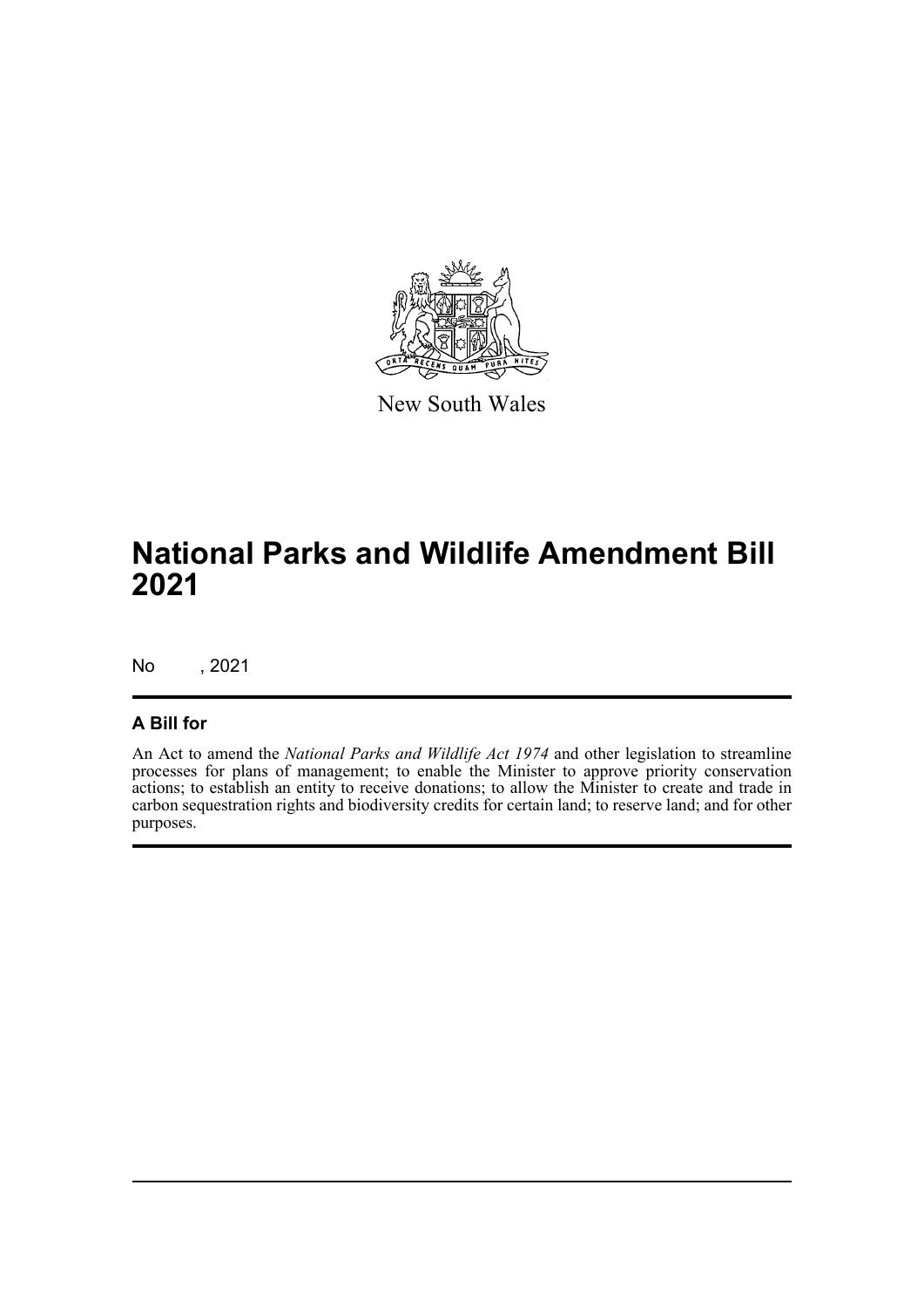

New South Wales

# **National Parks and Wildlife Amendment Bill 2021**

No , 2021

### **A Bill for**

An Act to amend the *National Parks and Wildlife Act 1974* and other legislation to streamline processes for plans of management; to enable the Minister to approve priority conservation actions; to establish an entity to receive donations; to allow the Minister to create and trade in carbon sequestration rights and biodiversity credits for certain land; to reserve land; and for other purposes.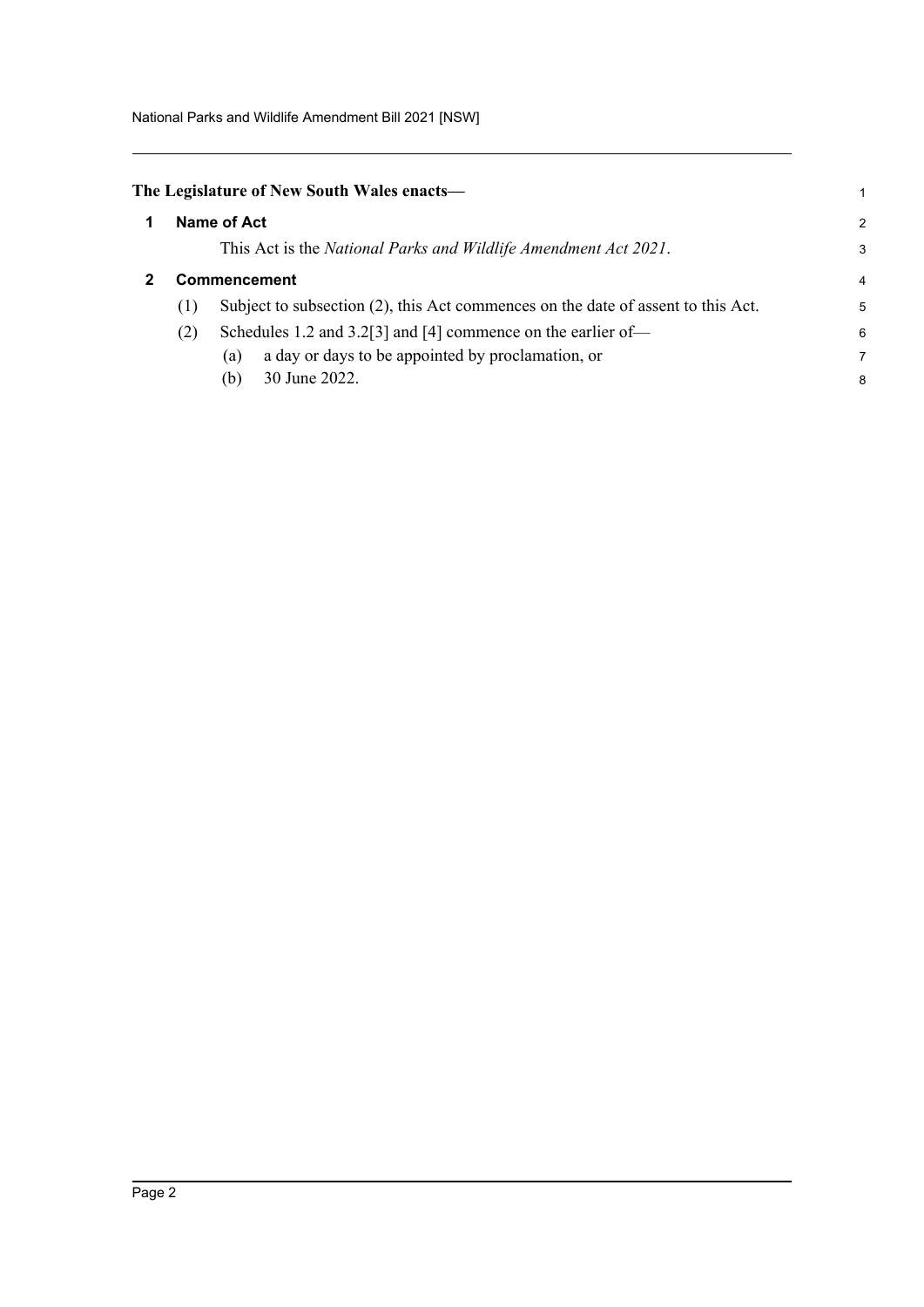<span id="page-8-0"></span>

| The Legislature of New South Wales enacts- |  |
|--------------------------------------------|--|
|--------------------------------------------|--|

<span id="page-8-1"></span>

| 1 |     | Name of Act                                                                      |                          |  |  |
|---|-----|----------------------------------------------------------------------------------|--------------------------|--|--|
|   |     | This Act is the National Parks and Wildlife Amendment Act 2021.                  | 3                        |  |  |
|   |     | Commencement                                                                     | $\overline{\mathcal{A}}$ |  |  |
|   | (1) | Subject to subsection (2), this Act commences on the date of assent to this Act. | 5                        |  |  |
|   | (2) | Schedules 1.2 and 3.2[3] and [4] commence on the earlier of-                     | 6                        |  |  |
|   |     | a day or days to be appointed by proclamation, or<br>(a)                         | 7                        |  |  |
|   |     | 30 June 2022.<br>(b)                                                             | 8                        |  |  |

1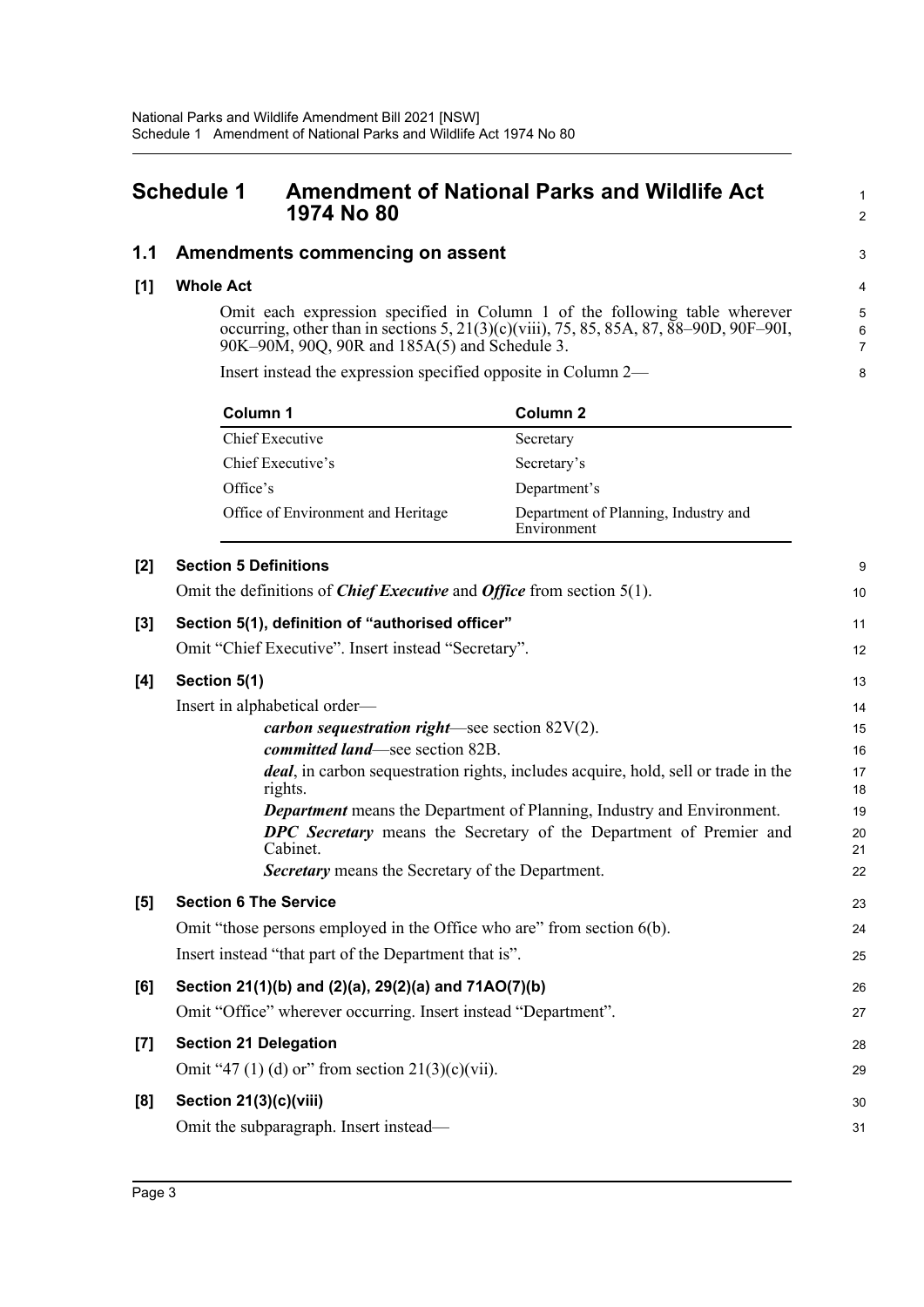## <span id="page-9-0"></span>**Schedule 1 Amendment of National Parks and Wildlife Act 1974 No 80**

### **1.1 Amendments commencing on assent**

#### **[1] Whole Act**

Omit each expression specified in Column 1 of the following table wherever occurring, other than in sections 5, 21(3)(c)(viii), 75, 85, 85A, 87, 88–90D, 90F–90I, 90K–90M, 90Q, 90R and 185A(5) and Schedule 3.

1 2

3

Insert instead the expression specified opposite in Column 2—

| Column 1                           | Column 2                                            |
|------------------------------------|-----------------------------------------------------|
| Chief Executive                    | Secretary                                           |
| Chief Executive's                  | Secretary's                                         |
| Office's                           | Department's                                        |
| Office of Environment and Heritage | Department of Planning, Industry and<br>Environment |

| $[2]$            | <b>Section 5 Definitions</b>                                                                  | 9        |
|------------------|-----------------------------------------------------------------------------------------------|----------|
|                  | Omit the definitions of <i>Chief Executive</i> and <i>Office</i> from section $5(1)$ .        | 10       |
| $[3]$            | Section 5(1), definition of "authorised officer"                                              | 11       |
|                  | Omit "Chief Executive". Insert instead "Secretary".                                           | 12       |
| [4]              | Section 5(1)                                                                                  | 13       |
|                  | Insert in alphabetical order-                                                                 | 14       |
|                  | <i>carbon sequestration right</i> —see section $82V(2)$ .                                     | 15       |
|                  | committed land—see section 82B.                                                               | 16       |
|                  | deal, in carbon sequestration rights, includes acquire, hold, sell or trade in the<br>rights. | 17<br>18 |
|                  | <b>Department</b> means the Department of Planning, Industry and Environment.                 | 19       |
|                  | DPC Secretary means the Secretary of the Department of Premier and<br>Cabinet.                | 20<br>21 |
|                  | <b>Secretary</b> means the Secretary of the Department.                                       | 22       |
| [5]              | <b>Section 6 The Service</b>                                                                  | 23       |
|                  | Omit "those persons employed in the Office who are" from section 6(b).                        | 24       |
|                  | Insert instead "that part of the Department that is".                                         | 25       |
| [6]              | Section 21(1)(b) and (2)(a), 29(2)(a) and 71AO(7)(b)                                          | 26       |
|                  | Omit "Office" wherever occurring. Insert instead "Department".                                | 27       |
| $\left[7\right]$ | <b>Section 21 Delegation</b>                                                                  | 28       |
|                  | Omit "47 (1) (d) or" from section $21(3)(c)(vii)$ .                                           | 29       |
| [8]              | Section 21(3)(c)(viii)                                                                        | 30       |
|                  | Omit the subparagraph. Insert instead—                                                        | 31       |
|                  |                                                                                               |          |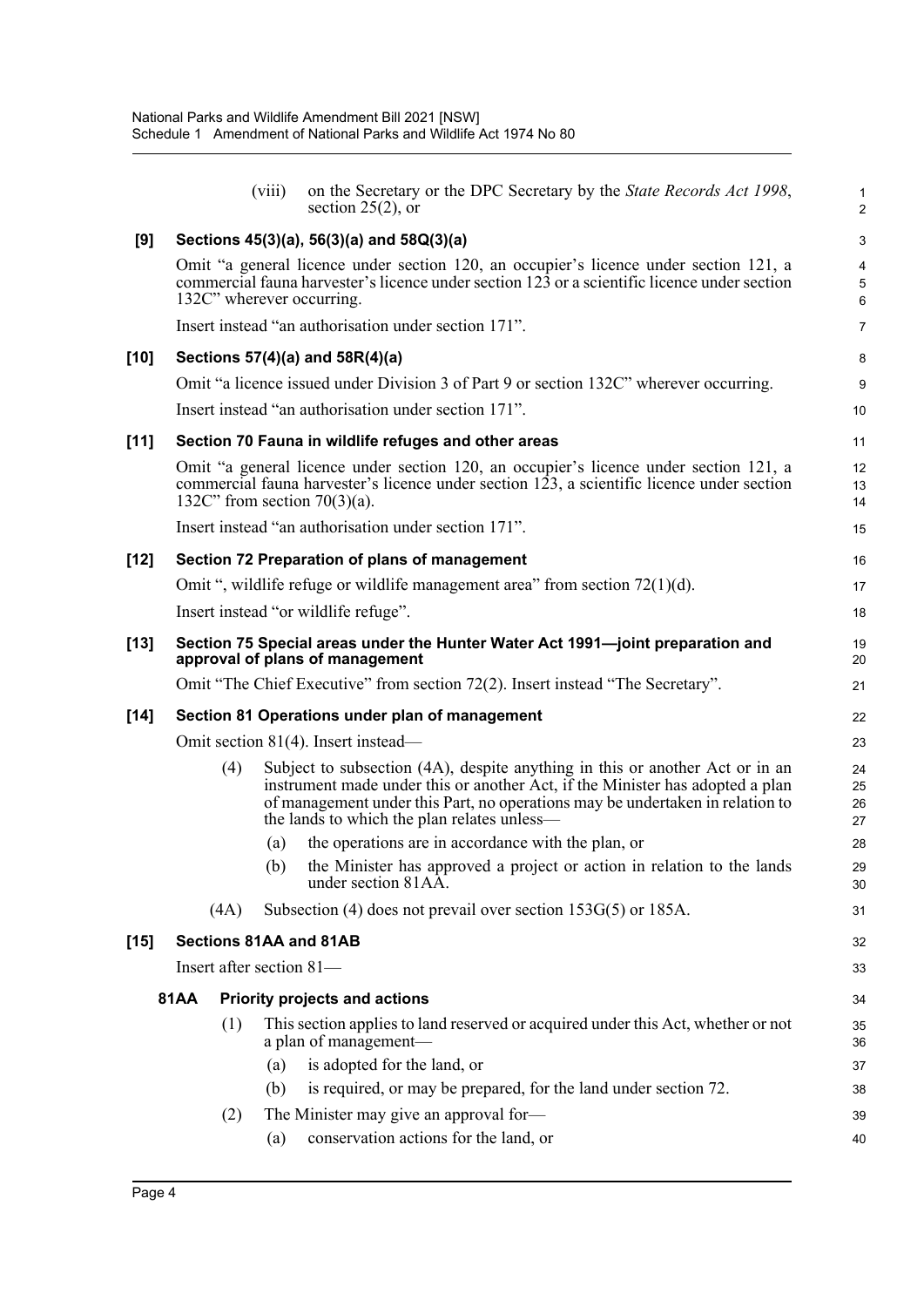|        |             |                          | (viii) | on the Secretary or the DPC Secretary by the State Records Act 1998,<br>section $25(2)$ , or                                                                                                                                                                                                  | 1<br>$\overline{c}$                                |
|--------|-------------|--------------------------|--------|-----------------------------------------------------------------------------------------------------------------------------------------------------------------------------------------------------------------------------------------------------------------------------------------------|----------------------------------------------------|
| [9]    |             |                          |        | Sections 45(3)(a), 56(3)(a) and 58Q(3)(a)                                                                                                                                                                                                                                                     | 3                                                  |
|        |             |                          |        | Omit "a general licence under section 120, an occupier's licence under section 121, a<br>commercial fauna harvester's licence under section 123 or a scientific licence under section<br>132C" wherever occurring.                                                                            | $\overline{\mathbf{4}}$<br>$\overline{5}$<br>$\,6$ |
|        |             |                          |        | Insert instead "an authorisation under section 171".                                                                                                                                                                                                                                          | $\overline{7}$                                     |
| $[10]$ |             |                          |        | Sections 57(4)(a) and 58R(4)(a)                                                                                                                                                                                                                                                               | 8                                                  |
|        |             |                          |        | Omit "a licence issued under Division 3 of Part 9 or section 132C" wherever occurring.                                                                                                                                                                                                        | $\boldsymbol{9}$                                   |
|        |             |                          |        | Insert instead "an authorisation under section 171".                                                                                                                                                                                                                                          | 10                                                 |
| $[11]$ |             |                          |        | Section 70 Fauna in wildlife refuges and other areas                                                                                                                                                                                                                                          | 11                                                 |
|        |             |                          |        | Omit "a general licence under section 120, an occupier's licence under section 121, a<br>commercial fauna harvester's licence under section 123, a scientific licence under section<br>132C" from section $70(3)(a)$ .                                                                        | 12<br>13<br>14                                     |
|        |             |                          |        | Insert instead "an authorisation under section 171".                                                                                                                                                                                                                                          | 15                                                 |
| $[12]$ |             |                          |        | Section 72 Preparation of plans of management                                                                                                                                                                                                                                                 | 16                                                 |
|        |             |                          |        | Omit ", wildlife refuge or wildlife management area" from section $72(1)(d)$ .                                                                                                                                                                                                                | 17                                                 |
|        |             |                          |        | Insert instead "or wildlife refuge".                                                                                                                                                                                                                                                          | 18                                                 |
| $[13]$ |             |                          |        | Section 75 Special areas under the Hunter Water Act 1991-joint preparation and<br>approval of plans of management                                                                                                                                                                             | 19<br>20                                           |
|        |             |                          |        | Omit "The Chief Executive" from section 72(2). Insert instead "The Secretary".                                                                                                                                                                                                                | 21                                                 |
| $[14]$ |             |                          |        | Section 81 Operations under plan of management                                                                                                                                                                                                                                                | 22                                                 |
|        |             |                          |        | Omit section 81(4). Insert instead—                                                                                                                                                                                                                                                           | 23                                                 |
|        |             | (4)                      |        | Subject to subsection (4A), despite anything in this or another Act or in an<br>instrument made under this or another Act, if the Minister has adopted a plan<br>of management under this Part, no operations may be undertaken in relation to<br>the lands to which the plan relates unless- | 24<br>25<br>26<br>27                               |
|        |             |                          | (a)    | the operations are in accordance with the plan, or                                                                                                                                                                                                                                            | 28                                                 |
|        |             |                          | (b)    | the Minister has approved a project or action in relation to the lands<br>under section 81AA.                                                                                                                                                                                                 | 29<br>30                                           |
|        |             | (4A)                     |        | Subsection (4) does not prevail over section $153G(5)$ or $185A$ .                                                                                                                                                                                                                            | 31                                                 |
| $[15]$ |             |                          |        | Sections 81AA and 81AB                                                                                                                                                                                                                                                                        | 32                                                 |
|        |             | Insert after section 81- |        |                                                                                                                                                                                                                                                                                               | 33                                                 |
|        | <b>81AA</b> |                          |        | <b>Priority projects and actions</b>                                                                                                                                                                                                                                                          | 34                                                 |
|        |             | (1)                      |        | This section applies to land reserved or acquired under this Act, whether or not<br>a plan of management-                                                                                                                                                                                     | 35<br>36                                           |
|        |             |                          | (a)    | is adopted for the land, or                                                                                                                                                                                                                                                                   | 37                                                 |
|        |             |                          | (b)    | is required, or may be prepared, for the land under section 72.                                                                                                                                                                                                                               | 38                                                 |
|        |             | (2)                      |        | The Minister may give an approval for-                                                                                                                                                                                                                                                        | 39                                                 |
|        |             |                          | (a)    | conservation actions for the land, or                                                                                                                                                                                                                                                         | 40                                                 |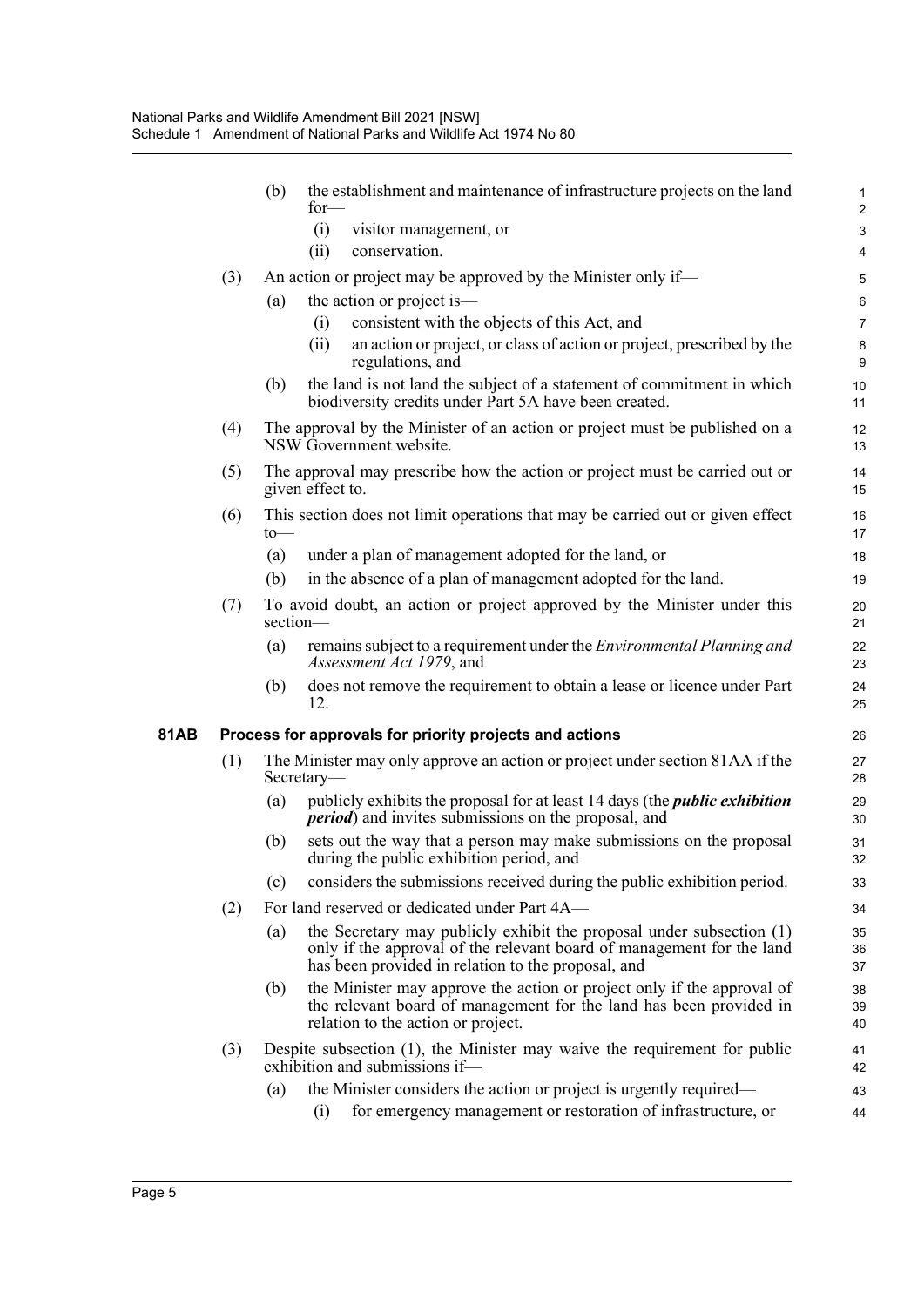|             |     | (b) | the establishment and maintenance of infrastructure projects on the land<br>$for-$                                                                                                                  | $\mathbf{1}$<br>$\overline{2}$ |
|-------------|-----|-----|-----------------------------------------------------------------------------------------------------------------------------------------------------------------------------------------------------|--------------------------------|
|             |     |     | (i)<br>visitor management, or                                                                                                                                                                       | $\mathbf{3}$                   |
|             |     |     | (ii)<br>conservation.                                                                                                                                                                               | $\overline{\mathbf{4}}$        |
|             | (3) |     | An action or project may be approved by the Minister only if—                                                                                                                                       | 5                              |
|             |     | (a) | the action or project is-                                                                                                                                                                           | $\,6\,$                        |
|             |     |     | consistent with the objects of this Act, and<br>(i)                                                                                                                                                 | $\overline{7}$                 |
|             |     |     | an action or project, or class of action or project, prescribed by the<br>(ii)<br>regulations, and                                                                                                  | $\bf 8$<br>$\boldsymbol{9}$    |
|             |     | (b) | the land is not land the subject of a statement of commitment in which<br>biodiversity credits under Part 5A have been created.                                                                     | 10<br>11                       |
|             | (4) |     | The approval by the Minister of an action or project must be published on a<br>NSW Government website.                                                                                              | 12<br>13                       |
|             | (5) |     | The approval may prescribe how the action or project must be carried out or<br>given effect to.                                                                                                     | 14<br>15                       |
|             | (6) | to  | This section does not limit operations that may be carried out or given effect                                                                                                                      | 16<br>17                       |
|             |     | (a) | under a plan of management adopted for the land, or                                                                                                                                                 | 18                             |
|             |     | (b) | in the absence of a plan of management adopted for the land.                                                                                                                                        | 19                             |
|             | (7) |     | To avoid doubt, an action or project approved by the Minister under this<br>section-                                                                                                                | 20<br>21                       |
|             |     | (a) | remains subject to a requirement under the <i>Environmental Planning and</i><br>Assessment Act 1979, and                                                                                            | 22<br>23                       |
|             |     | (b) | does not remove the requirement to obtain a lease or licence under Part<br>12.                                                                                                                      | 24<br>25                       |
| <b>81AB</b> |     |     | Process for approvals for priority projects and actions                                                                                                                                             | 26                             |
|             | (1) |     | The Minister may only approve an action or project under section 81AA if the<br>Secretary-                                                                                                          | 27<br>28                       |
|             |     | (a) | publicly exhibits the proposal for at least 14 days (the <i>public exhibition</i><br><i>period</i> ) and invites submissions on the proposal, and                                                   | 29<br>30                       |
|             |     | (b) | sets out the way that a person may make submissions on the proposal<br>during the public exhibition period, and                                                                                     | 31<br>32                       |
|             |     | (c) | considers the submissions received during the public exhibition period.                                                                                                                             | 33                             |
|             | (2) |     | For land reserved or dedicated under Part 4A-                                                                                                                                                       | 34                             |
|             |     | (a) | the Secretary may publicly exhibit the proposal under subsection (1)<br>only if the approval of the relevant board of management for the land<br>has been provided in relation to the proposal, and | 35<br>36<br>37                 |
|             |     | (b) | the Minister may approve the action or project only if the approval of<br>the relevant board of management for the land has been provided in<br>relation to the action or project.                  | 38<br>39<br>40                 |
|             | (3) |     | Despite subsection (1), the Minister may waive the requirement for public<br>exhibition and submissions if-                                                                                         | 41<br>42                       |
|             |     | (a) | the Minister considers the action or project is urgently required—                                                                                                                                  | 43                             |
|             |     |     | for emergency management or restoration of infrastructure, or<br>(i)                                                                                                                                | 44                             |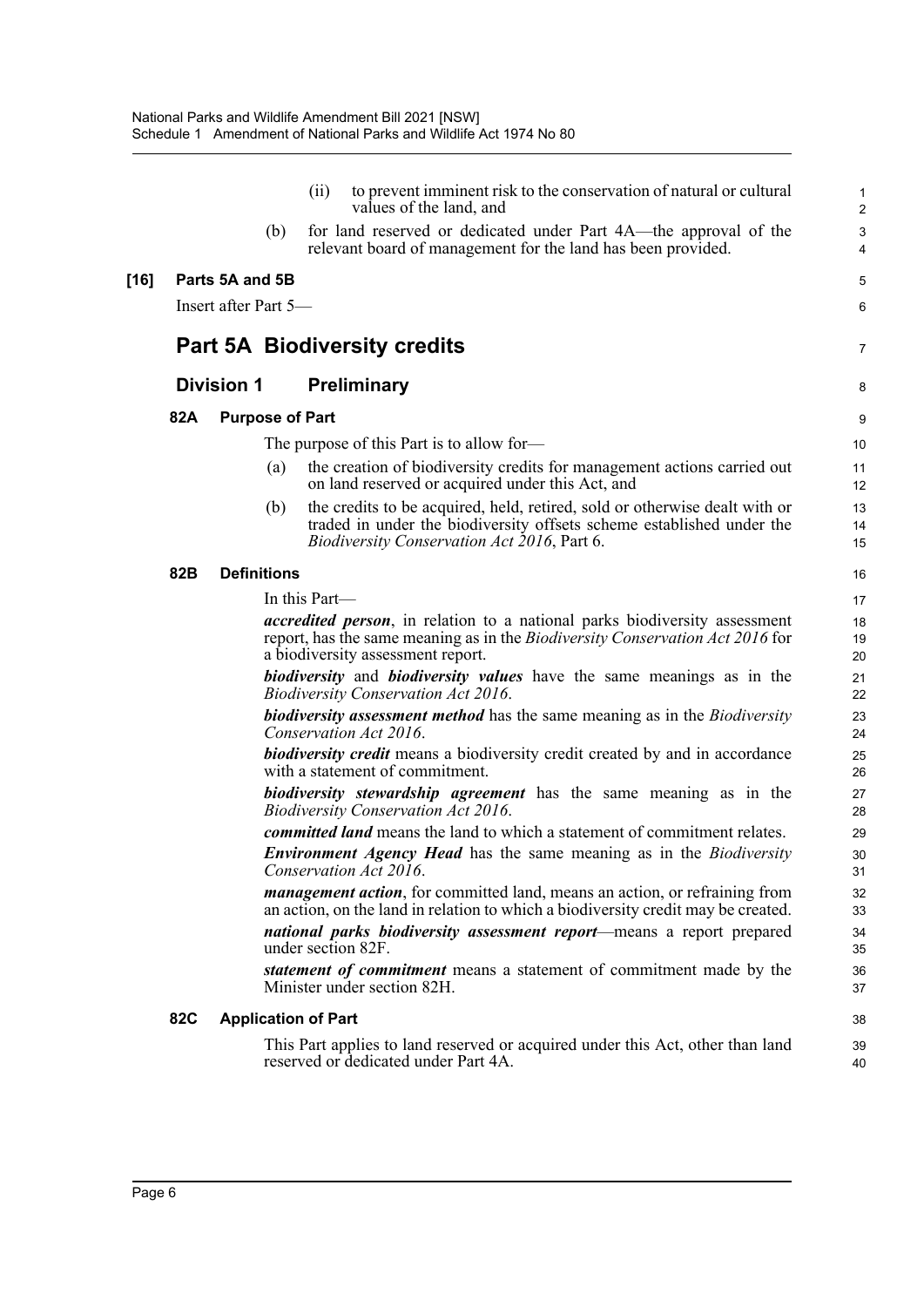|        |            |                      |                        | (ii)                       | to prevent imminent risk to the conservation of natural or cultural<br>values of the land, and                                                                                                                  | $\mathbf{1}$<br>$\overline{c}$ |
|--------|------------|----------------------|------------------------|----------------------------|-----------------------------------------------------------------------------------------------------------------------------------------------------------------------------------------------------------------|--------------------------------|
|        |            |                      | (b)                    |                            | for land reserved or dedicated under Part 4A—the approval of the<br>relevant board of management for the land has been provided.                                                                                | $\sqrt{3}$<br>$\overline{4}$   |
| $[16]$ |            | Parts 5A and 5B      |                        |                            |                                                                                                                                                                                                                 | 5                              |
|        |            | Insert after Part 5- |                        |                            |                                                                                                                                                                                                                 | 6                              |
|        |            |                      |                        |                            | <b>Part 5A Biodiversity credits</b>                                                                                                                                                                             | 7                              |
|        |            | <b>Division 1</b>    |                        |                            | <b>Preliminary</b>                                                                                                                                                                                              | 8                              |
|        | 82A        |                      | <b>Purpose of Part</b> |                            |                                                                                                                                                                                                                 | 9                              |
|        |            |                      |                        |                            | The purpose of this Part is to allow for-                                                                                                                                                                       | 10                             |
|        |            |                      | (a)                    |                            | the creation of biodiversity credits for management actions carried out<br>on land reserved or acquired under this Act, and                                                                                     | 11<br>12                       |
|        |            |                      | (b)                    |                            | the credits to be acquired, held, retired, sold or otherwise dealt with or<br>traded in under the biodiversity offsets scheme established under the<br><i>Biodiversity Conservation Act 2016, Part 6.</i>       | 13<br>14<br>15                 |
|        | 82B        | <b>Definitions</b>   |                        |                            |                                                                                                                                                                                                                 | 16                             |
|        |            |                      |                        | In this Part-              |                                                                                                                                                                                                                 | 17                             |
|        |            |                      |                        |                            | <i>accredited person</i> , in relation to a national parks biodiversity assessment<br>report, has the same meaning as in the <i>Biodiversity Conservation Act 2016</i> for<br>a biodiversity assessment report. | 18<br>19<br>20                 |
|        |            |                      |                        |                            | <b>biodiversity</b> and <b>biodiversity</b> values have the same meanings as in the<br><b>Biodiversity Conservation Act 2016.</b>                                                                               | 21<br>22                       |
|        |            |                      |                        |                            | <b>biodiversity assessment method</b> has the same meaning as in the <i>Biodiversity</i><br>Conservation Act 2016.                                                                                              | 23<br>24                       |
|        |            |                      |                        |                            | <b>biodiversity credit</b> means a biodiversity credit created by and in accordance<br>with a statement of commitment.                                                                                          | 25<br>26                       |
|        |            |                      |                        |                            | biodiversity stewardship agreement has the same meaning as in the<br><b>Biodiversity Conservation Act 2016.</b>                                                                                                 | 27<br>28                       |
|        |            |                      |                        |                            | <i>committed land</i> means the land to which a statement of commitment relates.                                                                                                                                | 29                             |
|        |            |                      |                        |                            | <b>Environment Agency Head</b> has the same meaning as in the <i>Biodiversity</i><br>Conservation Act 2016.                                                                                                     | 30<br>31                       |
|        |            |                      |                        |                            | <i>management action</i> , for committed land, means an action, or refraining from<br>an action, on the land in relation to which a biodiversity credit may be created.                                         | 32<br>33                       |
|        |            |                      |                        |                            | national parks biodiversity assessment report—means a report prepared<br>under section 82F.                                                                                                                     | 34<br>35                       |
|        |            |                      |                        |                            | statement of commitment means a statement of commitment made by the<br>Minister under section 82H.                                                                                                              | 36<br>37                       |
|        | <b>82C</b> |                      |                        | <b>Application of Part</b> |                                                                                                                                                                                                                 | 38                             |
|        |            |                      |                        |                            | This Part applies to land reserved or acquired under this Act, other than land<br>reserved or dedicated under Part 4A.                                                                                          | 39<br>40                       |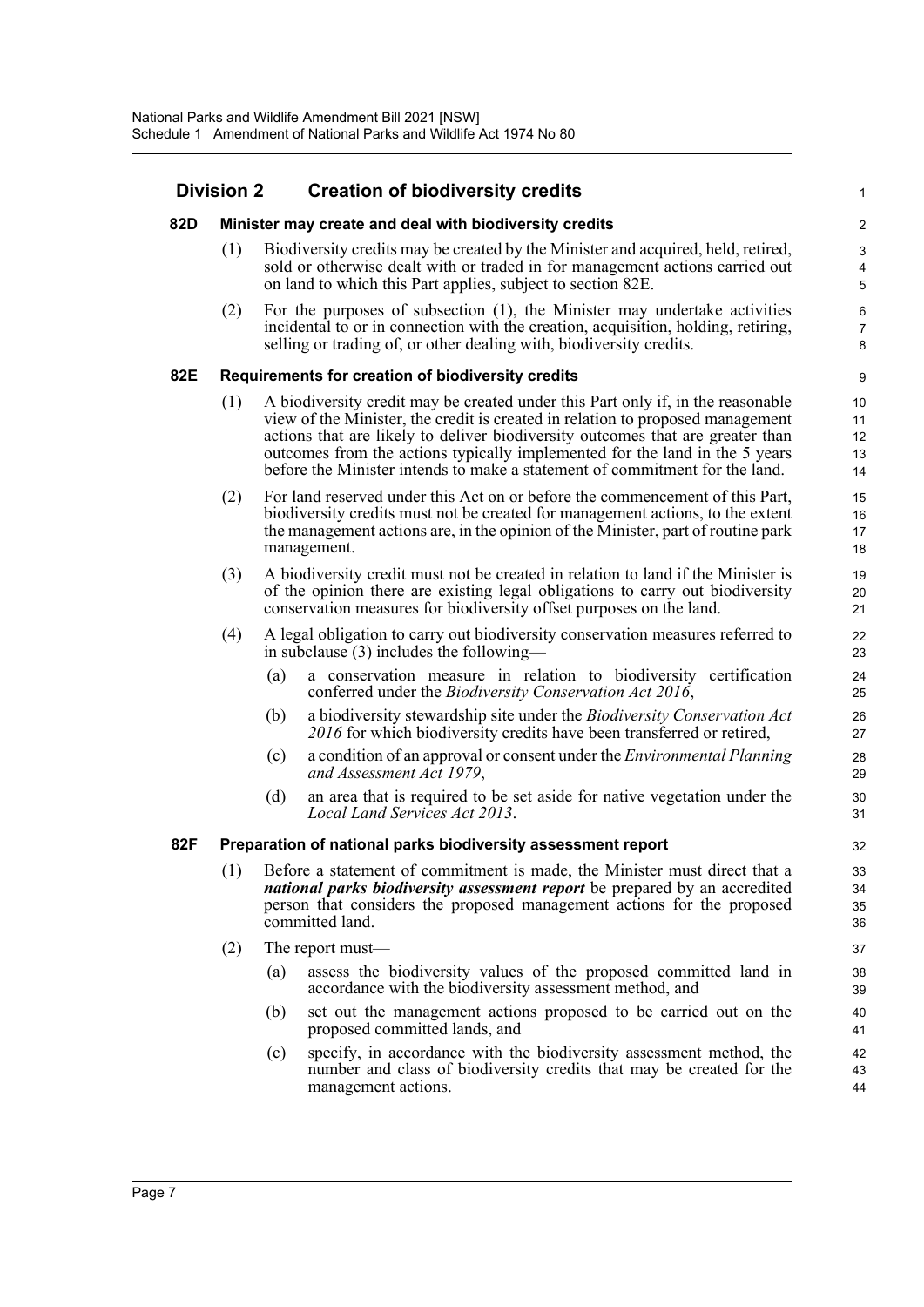### **Division 2 Creation of biodiversity credits**

| <b>Division 2</b> |     |     | <b>Creation of biodiversity credits</b>                                                                                                                                                                                                                                                                                                                                                                           | $\mathbf 1$                |
|-------------------|-----|-----|-------------------------------------------------------------------------------------------------------------------------------------------------------------------------------------------------------------------------------------------------------------------------------------------------------------------------------------------------------------------------------------------------------------------|----------------------------|
| 82D               |     |     | Minister may create and deal with biodiversity credits                                                                                                                                                                                                                                                                                                                                                            | $\boldsymbol{2}$           |
|                   | (1) |     | Biodiversity credits may be created by the Minister and acquired, held, retired,<br>sold or otherwise dealt with or traded in for management actions carried out<br>on land to which this Part applies, subject to section 82E.                                                                                                                                                                                   | $\mathbf{3}$<br>4<br>5     |
|                   | (2) |     | For the purposes of subsection (1), the Minister may undertake activities<br>incidental to or in connection with the creation, acquisition, holding, retiring,<br>selling or trading of, or other dealing with, biodiversity credits.                                                                                                                                                                             | 6<br>$\overline{7}$<br>8   |
| 82E               |     |     | Requirements for creation of biodiversity credits                                                                                                                                                                                                                                                                                                                                                                 | 9                          |
|                   | (1) |     | A biodiversity credit may be created under this Part only if, in the reasonable<br>view of the Minister, the credit is created in relation to proposed management<br>actions that are likely to deliver biodiversity outcomes that are greater than<br>outcomes from the actions typically implemented for the land in the 5 years<br>before the Minister intends to make a statement of commitment for the land. | 10<br>11<br>12<br>13<br>14 |
|                   | (2) |     | For land reserved under this Act on or before the commencement of this Part,<br>biodiversity credits must not be created for management actions, to the extent<br>the management actions are, in the opinion of the Minister, part of routine park<br>management.                                                                                                                                                 | 15<br>16<br>17<br>18       |
|                   | (3) |     | A biodiversity credit must not be created in relation to land if the Minister is<br>of the opinion there are existing legal obligations to carry out biodiversity<br>conservation measures for biodiversity offset purposes on the land.                                                                                                                                                                          | 19<br>20<br>21             |
|                   | (4) |     | A legal obligation to carry out biodiversity conservation measures referred to<br>in subclause $(3)$ includes the following—                                                                                                                                                                                                                                                                                      | 22<br>23                   |
|                   |     | (a) | a conservation measure in relation to biodiversity certification<br>conferred under the Biodiversity Conservation Act 2016,                                                                                                                                                                                                                                                                                       | 24<br>25                   |
|                   |     | (b) | a biodiversity stewardship site under the Biodiversity Conservation Act<br>2016 for which biodiversity credits have been transferred or retired,                                                                                                                                                                                                                                                                  | 26<br>27                   |
|                   |     | (c) | a condition of an approval or consent under the Environmental Planning<br>and Assessment Act 1979,                                                                                                                                                                                                                                                                                                                | 28<br>29                   |
|                   |     | (d) | an area that is required to be set aside for native vegetation under the<br>Local Land Services Act 2013.                                                                                                                                                                                                                                                                                                         | 30<br>31                   |
| 82F               |     |     | Preparation of national parks biodiversity assessment report                                                                                                                                                                                                                                                                                                                                                      | 32                         |
|                   | (1) |     | Before a statement of commitment is made, the Minister must direct that a<br><i>national parks biodiversity assessment report</i> be prepared by an accredited<br>person that considers the proposed management actions for the proposed<br>committed land.                                                                                                                                                       | 33<br>34<br>35<br>36       |
|                   | (2) |     | The report must—                                                                                                                                                                                                                                                                                                                                                                                                  | 37                         |
|                   |     | (a) | assess the biodiversity values of the proposed committed land in<br>accordance with the biodiversity assessment method, and                                                                                                                                                                                                                                                                                       | 38<br>39                   |
|                   |     | (b) | set out the management actions proposed to be carried out on the<br>proposed committed lands, and                                                                                                                                                                                                                                                                                                                 | 40<br>41                   |
|                   |     | (c) | specify, in accordance with the biodiversity assessment method, the<br>number and class of biodiversity credits that may be created for the<br>management actions.                                                                                                                                                                                                                                                | 42<br>43<br>44             |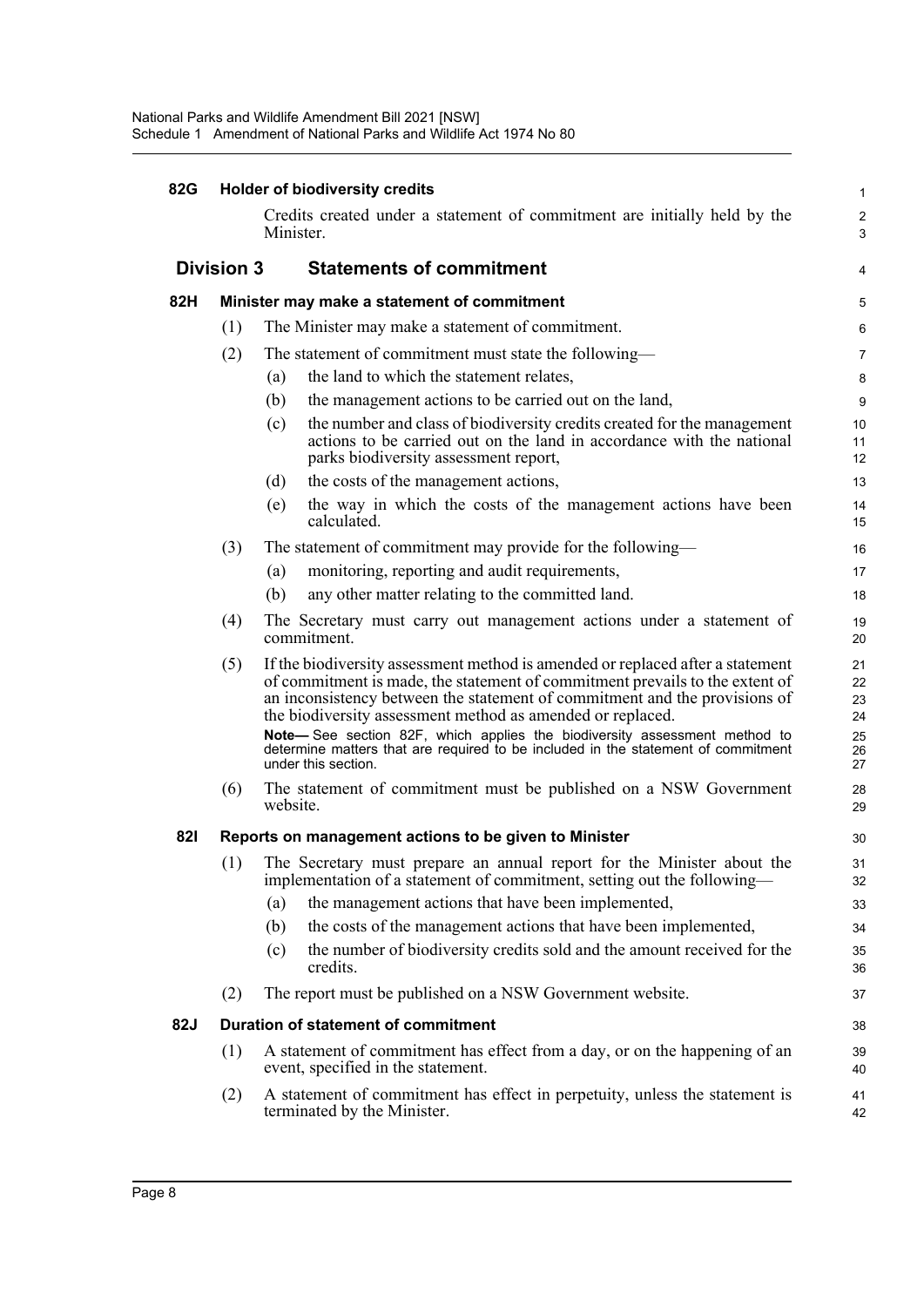| 82G | <b>Holder of biodiversity credits</b><br>Credits created under a statement of commitment are initially held by the<br>Minister. |                                                                                                                                                                                                                                                                                                            |                      |  |  |  |
|-----|---------------------------------------------------------------------------------------------------------------------------------|------------------------------------------------------------------------------------------------------------------------------------------------------------------------------------------------------------------------------------------------------------------------------------------------------------|----------------------|--|--|--|
|     |                                                                                                                                 |                                                                                                                                                                                                                                                                                                            |                      |  |  |  |
|     | <b>Division 3</b>                                                                                                               | <b>Statements of commitment</b>                                                                                                                                                                                                                                                                            | 4                    |  |  |  |
| 82H |                                                                                                                                 | Minister may make a statement of commitment                                                                                                                                                                                                                                                                | 5                    |  |  |  |
|     | (1)                                                                                                                             | The Minister may make a statement of commitment.                                                                                                                                                                                                                                                           | 6                    |  |  |  |
|     | (2)                                                                                                                             | The statement of commitment must state the following-                                                                                                                                                                                                                                                      | 7                    |  |  |  |
|     |                                                                                                                                 | the land to which the statement relates,<br>(a)                                                                                                                                                                                                                                                            | 8                    |  |  |  |
|     |                                                                                                                                 | the management actions to be carried out on the land,<br>(b)                                                                                                                                                                                                                                               | 9                    |  |  |  |
|     |                                                                                                                                 | the number and class of biodiversity credits created for the management<br>(c)<br>actions to be carried out on the land in accordance with the national<br>parks biodiversity assessment report,                                                                                                           | 10<br>11<br>12       |  |  |  |
|     |                                                                                                                                 | the costs of the management actions,<br>(d)                                                                                                                                                                                                                                                                | 13                   |  |  |  |
|     |                                                                                                                                 | the way in which the costs of the management actions have been<br>(e)<br>calculated.                                                                                                                                                                                                                       | 14<br>15             |  |  |  |
|     | (3)                                                                                                                             | The statement of commitment may provide for the following—                                                                                                                                                                                                                                                 | 16                   |  |  |  |
|     |                                                                                                                                 | monitoring, reporting and audit requirements,<br>(a)                                                                                                                                                                                                                                                       | 17                   |  |  |  |
|     |                                                                                                                                 | any other matter relating to the committed land.<br>(b)                                                                                                                                                                                                                                                    | 18                   |  |  |  |
|     | (4)                                                                                                                             | The Secretary must carry out management actions under a statement of<br>commitment.                                                                                                                                                                                                                        | 19<br>20             |  |  |  |
|     | (5)                                                                                                                             | If the biodiversity assessment method is amended or replaced after a statement<br>of commitment is made, the statement of commitment prevails to the extent of<br>an inconsistency between the statement of commitment and the provisions of<br>the biodiversity assessment method as amended or replaced. | 21<br>22<br>23<br>24 |  |  |  |
|     |                                                                                                                                 | Note-See section 82F, which applies the biodiversity assessment method to<br>determine matters that are required to be included in the statement of commitment<br>under this section.                                                                                                                      | 25<br>26<br>27       |  |  |  |
|     | (6)                                                                                                                             | The statement of commitment must be published on a NSW Government<br>website.                                                                                                                                                                                                                              | 28<br>29             |  |  |  |
| 821 |                                                                                                                                 | Reports on management actions to be given to Minister                                                                                                                                                                                                                                                      | 30                   |  |  |  |
|     | (1)                                                                                                                             | The Secretary must prepare an annual report for the Minister about the<br>implementation of a statement of commitment, setting out the following-                                                                                                                                                          | 31<br>32             |  |  |  |
|     |                                                                                                                                 | the management actions that have been implemented,<br>(a)                                                                                                                                                                                                                                                  | 33                   |  |  |  |
|     |                                                                                                                                 | the costs of the management actions that have been implemented,<br>(b)                                                                                                                                                                                                                                     | 34                   |  |  |  |
|     |                                                                                                                                 | the number of biodiversity credits sold and the amount received for the<br>(c)<br>credits.                                                                                                                                                                                                                 | 35<br>36             |  |  |  |
|     | (2)                                                                                                                             | The report must be published on a NSW Government website.                                                                                                                                                                                                                                                  | 37                   |  |  |  |
| 82J |                                                                                                                                 | <b>Duration of statement of commitment</b>                                                                                                                                                                                                                                                                 | 38                   |  |  |  |
|     | (1)                                                                                                                             | A statement of commitment has effect from a day, or on the happening of an<br>event, specified in the statement.                                                                                                                                                                                           | 39<br>40             |  |  |  |
|     | (2)                                                                                                                             | A statement of commitment has effect in perpetuity, unless the statement is<br>terminated by the Minister.                                                                                                                                                                                                 | 41<br>42             |  |  |  |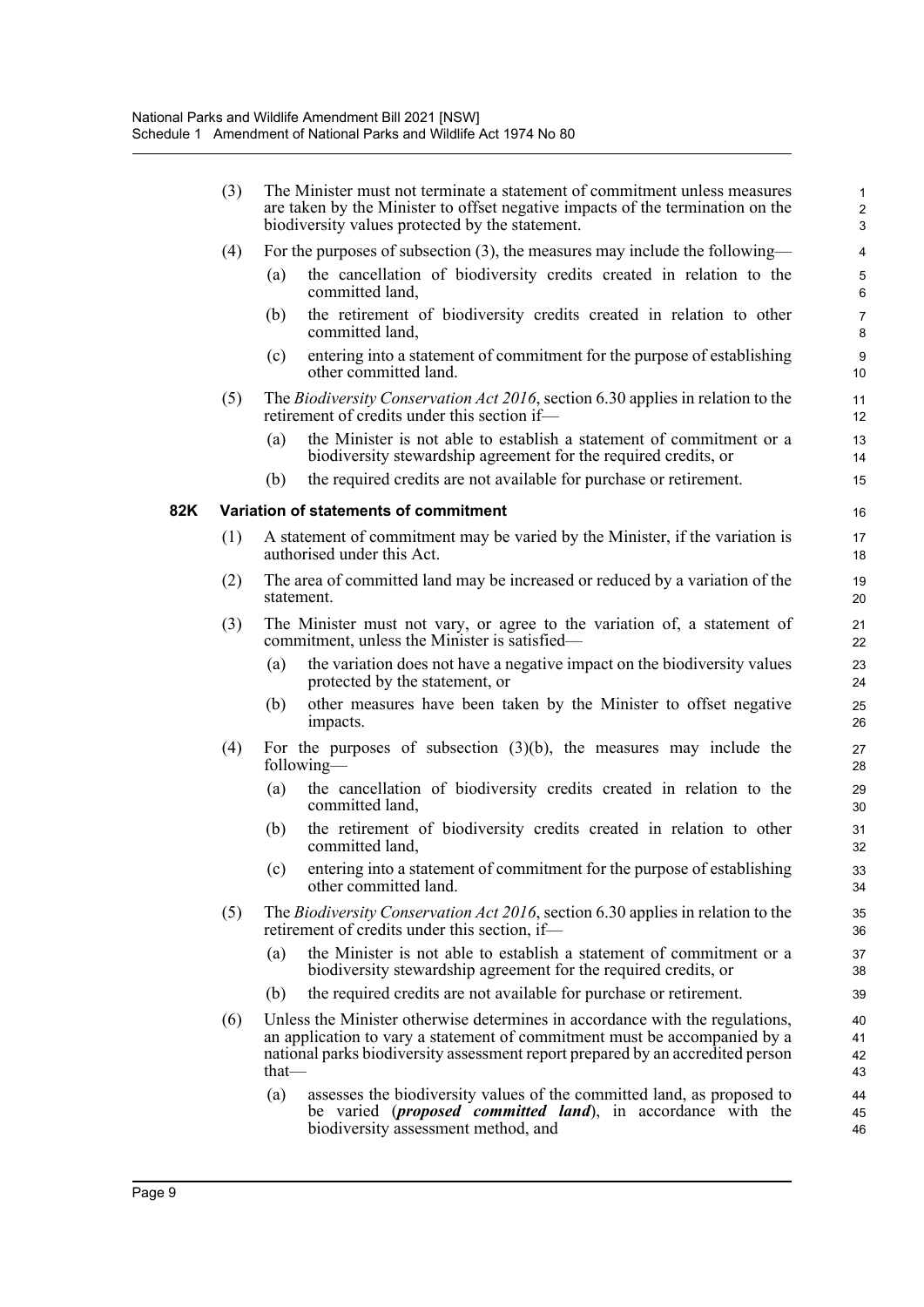|     | (3) |          | The Minister must not terminate a statement of commitment unless measures<br>are taken by the Minister to offset negative impacts of the termination on the<br>biodiversity values protected by the statement.                              | $\mathbf{1}$<br>$\overline{c}$<br>3 |
|-----|-----|----------|---------------------------------------------------------------------------------------------------------------------------------------------------------------------------------------------------------------------------------------------|-------------------------------------|
|     | (4) |          | For the purposes of subsection $(3)$ , the measures may include the following—                                                                                                                                                              | $\overline{4}$                      |
|     |     | (a)      | the cancellation of biodiversity credits created in relation to the<br>committed land,                                                                                                                                                      | $\mathbf 5$<br>$6\phantom{1}$       |
|     |     | (b)      | the retirement of biodiversity credits created in relation to other<br>committed land,                                                                                                                                                      | $\overline{7}$<br>8                 |
|     |     | (c)      | entering into a statement of commitment for the purpose of establishing<br>other committed land.                                                                                                                                            | $\boldsymbol{9}$<br>10              |
|     | (5) |          | The <i>Biodiversity Conservation Act 2016</i> , section 6.30 applies in relation to the<br>retirement of credits under this section if-                                                                                                     | 11<br>12                            |
|     |     | (a)      | the Minister is not able to establish a statement of commitment or a<br>biodiversity stewardship agreement for the required credits, or                                                                                                     | 13<br>14                            |
|     |     | (b)      | the required credits are not available for purchase or retirement.                                                                                                                                                                          | 15                                  |
| 82K |     |          | Variation of statements of commitment                                                                                                                                                                                                       | 16                                  |
|     | (1) |          | A statement of commitment may be varied by the Minister, if the variation is<br>authorised under this Act.                                                                                                                                  | 17<br>18                            |
|     | (2) |          | The area of committed land may be increased or reduced by a variation of the<br>statement.                                                                                                                                                  | 19<br>20                            |
|     | (3) |          | The Minister must not vary, or agree to the variation of, a statement of<br>commitment, unless the Minister is satisfied-                                                                                                                   | 21<br>22                            |
|     |     | (a)      | the variation does not have a negative impact on the biodiversity values<br>protected by the statement, or                                                                                                                                  | 23<br>24                            |
|     |     | (b)      | other measures have been taken by the Minister to offset negative<br>impacts.                                                                                                                                                               | 25<br>26                            |
|     | (4) |          | For the purposes of subsection $(3)(b)$ , the measures may include the<br>following—                                                                                                                                                        | 27<br>28                            |
|     |     | (a)      | the cancellation of biodiversity credits created in relation to the<br>committed land,                                                                                                                                                      | 29<br>30                            |
|     |     | (b)      | the retirement of biodiversity credits created in relation to other<br>committed land,                                                                                                                                                      | 31<br>32                            |
|     |     | (c)      | entering into a statement of commitment for the purpose of establishing<br>other committed land.                                                                                                                                            | 33<br>34                            |
|     | (5) |          | The Biodiversity Conservation Act 2016, section 6.30 applies in relation to the<br>retirement of credits under this section, if—                                                                                                            | 35<br>36                            |
|     |     | (a)      | the Minister is not able to establish a statement of commitment or a<br>biodiversity stewardship agreement for the required credits, or                                                                                                     | 37<br>38                            |
|     |     | (b)      | the required credits are not available for purchase or retirement.                                                                                                                                                                          | 39                                  |
|     | (6) | $that$ — | Unless the Minister otherwise determines in accordance with the regulations,<br>an application to vary a statement of commitment must be accompanied by a<br>national parks biodiversity assessment report prepared by an accredited person | 40<br>41<br>42<br>43                |
|     |     | (a)      | assesses the biodiversity values of the committed land, as proposed to<br>be varied ( <i>proposed committed land</i> ), in accordance with the<br>biodiversity assessment method, and                                                       | 44<br>45<br>46                      |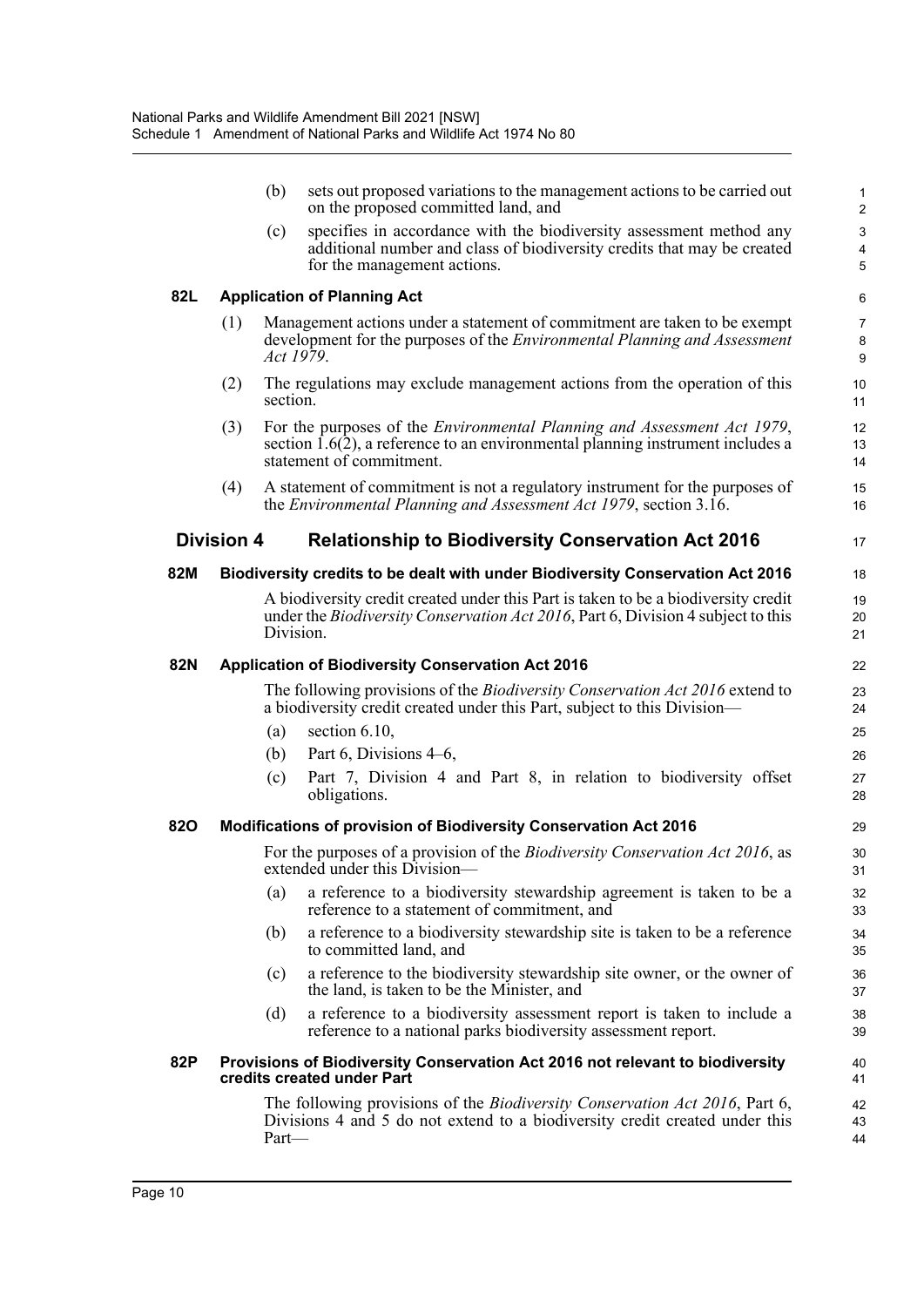|            |                   | (b)       | sets out proposed variations to the management actions to be carried out<br>on the proposed committed land, and                                                                                  | $\mathbf 1$<br>$\overline{2}$ |
|------------|-------------------|-----------|--------------------------------------------------------------------------------------------------------------------------------------------------------------------------------------------------|-------------------------------|
|            |                   | (c)       | specifies in accordance with the biodiversity assessment method any<br>additional number and class of biodiversity credits that may be created<br>for the management actions.                    | 3<br>4<br>5                   |
| 82L        |                   |           | <b>Application of Planning Act</b>                                                                                                                                                               | 6                             |
|            | (1)               | Act 1979. | Management actions under a statement of commitment are taken to be exempt<br>development for the purposes of the <i>Environmental Planning and Assessment</i>                                    | 7<br>8<br>9                   |
|            | (2)               | section.  | The regulations may exclude management actions from the operation of this                                                                                                                        | 10<br>11                      |
|            | (3)               |           | For the purposes of the <i>Environmental Planning and Assessment Act 1979</i> ,<br>section $1.6(2)$ , a reference to an environmental planning instrument includes a<br>statement of commitment. | 12<br>13<br>14                |
|            | (4)               |           | A statement of commitment is not a regulatory instrument for the purposes of<br>the Environmental Planning and Assessment Act 1979, section 3.16.                                                | 15<br>16                      |
|            | <b>Division 4</b> |           | <b>Relationship to Biodiversity Conservation Act 2016</b>                                                                                                                                        | 17                            |
| 82M        |                   |           | Biodiversity credits to be dealt with under Biodiversity Conservation Act 2016                                                                                                                   | 18                            |
|            |                   | Division. | A biodiversity credit created under this Part is taken to be a biodiversity credit<br>under the <i>Biodiversity Conservation Act 2016</i> , Part 6, Division 4 subject to this                   | 19<br>20<br>21                |
| <b>82N</b> |                   |           | <b>Application of Biodiversity Conservation Act 2016</b>                                                                                                                                         | 22                            |
|            |                   |           | The following provisions of the <i>Biodiversity Conservation Act 2016</i> extend to<br>a biodiversity credit created under this Part, subject to this Division-                                  | 23<br>24                      |
|            |                   | (a)       | section 6.10,                                                                                                                                                                                    | 25                            |
|            |                   | (b)       | Part 6, Divisions 4–6,                                                                                                                                                                           | 26                            |
|            |                   | (c)       | Part 7, Division 4 and Part 8, in relation to biodiversity offset<br>obligations.                                                                                                                | 27<br>28                      |
| 820        |                   |           | Modifications of provision of Biodiversity Conservation Act 2016                                                                                                                                 | 29                            |
|            |                   |           | For the purposes of a provision of the <i>Biodiversity Conservation Act 2016</i> , as<br>extended under this Division—                                                                           | 30<br>31                      |
|            |                   | (a)       | a reference to a biodiversity stewardship agreement is taken to be a<br>reference to a statement of commitment, and                                                                              | 32<br>33                      |
|            |                   | (b)       | a reference to a biodiversity stewardship site is taken to be a reference<br>to committed land, and                                                                                              | 34<br>35                      |
|            |                   | (c)       | a reference to the biodiversity stewardship site owner, or the owner of<br>the land, is taken to be the Minister, and                                                                            | 36<br>37                      |
|            |                   | (d)       | a reference to a biodiversity assessment report is taken to include a<br>reference to a national parks biodiversity assessment report.                                                           | 38<br>39                      |
| 82P        |                   |           | Provisions of Biodiversity Conservation Act 2016 not relevant to biodiversity<br>credits created under Part                                                                                      | 40<br>41                      |
|            |                   | Part-     | The following provisions of the <i>Biodiversity Conservation Act 2016</i> , Part 6,<br>Divisions 4 and 5 do not extend to a biodiversity credit created under this                               | 42<br>43<br>44                |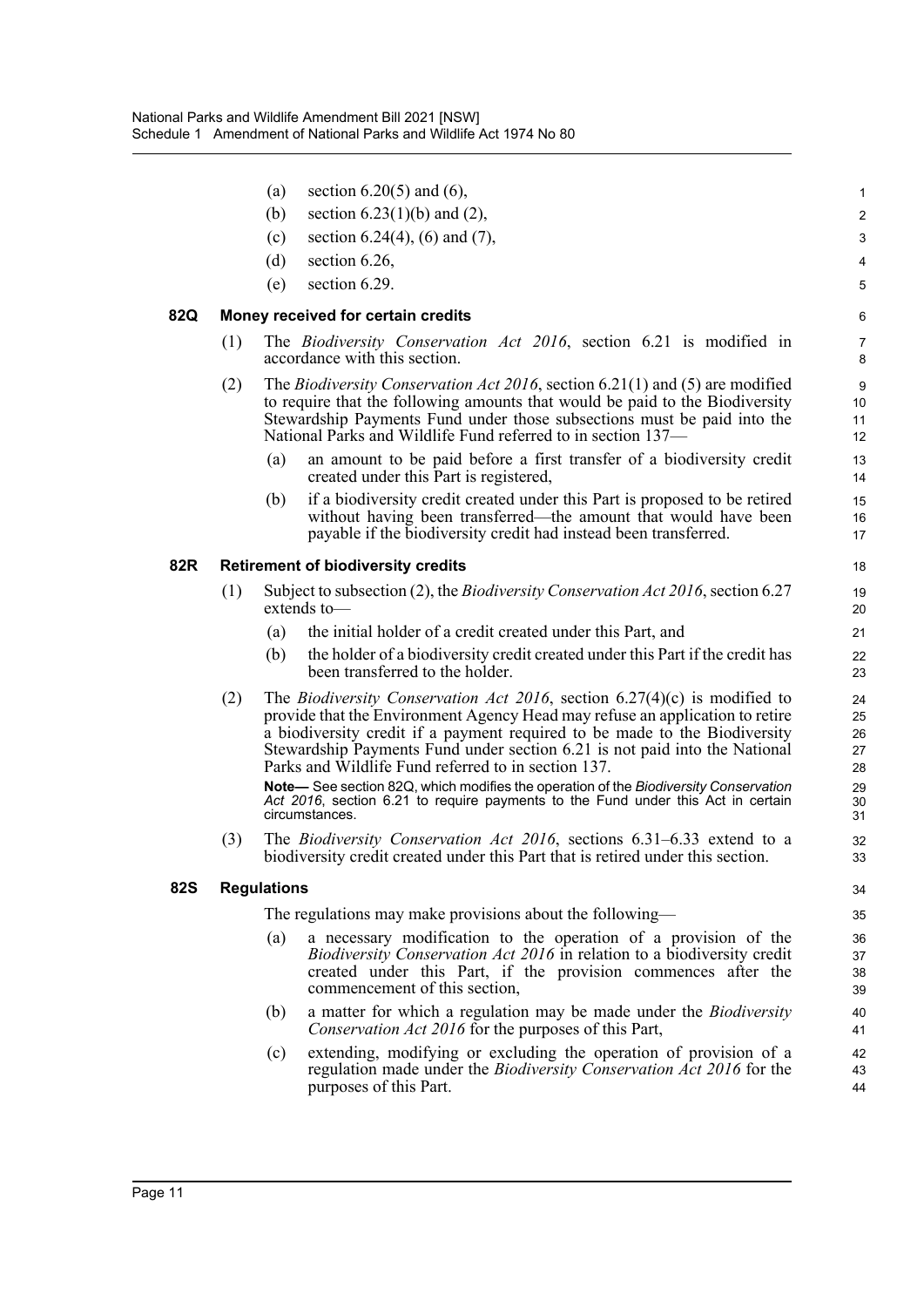|            |     | (a)                | section $6.20(5)$ and $(6)$ ,                                                                                                                                                                                                                                                                                                                                                          | $\mathbf 1$                |
|------------|-----|--------------------|----------------------------------------------------------------------------------------------------------------------------------------------------------------------------------------------------------------------------------------------------------------------------------------------------------------------------------------------------------------------------------------|----------------------------|
|            |     | (b)                | section $6.23(1)(b)$ and $(2)$ ,                                                                                                                                                                                                                                                                                                                                                       | $\overline{c}$             |
|            |     | (c)                | section 6.24(4), (6) and (7),                                                                                                                                                                                                                                                                                                                                                          | 3                          |
|            |     | (d)                | section 6.26,                                                                                                                                                                                                                                                                                                                                                                          | $\overline{4}$             |
|            |     | (e)                | section 6.29.                                                                                                                                                                                                                                                                                                                                                                          | $\mathbf 5$                |
| 82Q        |     |                    | Money received for certain credits                                                                                                                                                                                                                                                                                                                                                     | 6                          |
|            | (1) |                    | The Biodiversity Conservation Act 2016, section 6.21 is modified in<br>accordance with this section.                                                                                                                                                                                                                                                                                   | $\overline{7}$<br>8        |
|            | (2) |                    | The <i>Biodiversity Conservation Act 2016</i> , section 6.21(1) and (5) are modified<br>to require that the following amounts that would be paid to the Biodiversity<br>Stewardship Payments Fund under those subsections must be paid into the<br>National Parks and Wildlife Fund referred to in section 137—                                                                        | 9<br>10<br>11<br>12        |
|            |     | (a)                | an amount to be paid before a first transfer of a biodiversity credit<br>created under this Part is registered,                                                                                                                                                                                                                                                                        | 13<br>14                   |
|            |     | (b)                | if a biodiversity credit created under this Part is proposed to be retired<br>without having been transferred—the amount that would have been<br>payable if the biodiversity credit had instead been transferred.                                                                                                                                                                      | 15<br>16<br>17             |
| 82R        |     |                    | <b>Retirement of biodiversity credits</b>                                                                                                                                                                                                                                                                                                                                              | 18                         |
|            | (1) |                    | Subject to subsection (2), the <i>Biodiversity Conservation Act 2016</i> , section 6.27<br>extends to-                                                                                                                                                                                                                                                                                 | 19<br>20                   |
|            |     | (a)                | the initial holder of a credit created under this Part, and                                                                                                                                                                                                                                                                                                                            | 21                         |
|            |     | (b)                | the holder of a biodiversity credit created under this Part if the credit has<br>been transferred to the holder.                                                                                                                                                                                                                                                                       | 22<br>23                   |
|            | (2) |                    | The <i>Biodiversity Conservation Act 2016</i> , section $6.27(4)(c)$ is modified to<br>provide that the Environment Agency Head may refuse an application to retire<br>a biodiversity credit if a payment required to be made to the Biodiversity<br>Stewardship Payments Fund under section 6.21 is not paid into the National<br>Parks and Wildlife Fund referred to in section 137. | 24<br>25<br>26<br>27<br>28 |
|            |     |                    | Note-See section 82Q, which modifies the operation of the Biodiversity Conservation<br>Act 2016, section 6.21 to require payments to the Fund under this Act in certain<br>circumstances.                                                                                                                                                                                              | 29<br>30<br>31             |
|            | (3) |                    | The <i>Biodiversity Conservation Act 2016</i> , sections 6.31–6.33 extend to a<br>biodiversity credit created under this Part that is retired under this section.                                                                                                                                                                                                                      | 32<br>33                   |
| <b>82S</b> |     | <b>Regulations</b> |                                                                                                                                                                                                                                                                                                                                                                                        | 34                         |
|            |     |                    | The regulations may make provisions about the following—                                                                                                                                                                                                                                                                                                                               | 35                         |
|            |     | (a)                | a necessary modification to the operation of a provision of the<br><i>Biodiversity Conservation Act 2016</i> in relation to a biodiversity credit<br>created under this Part, if the provision commences after the<br>commencement of this section,                                                                                                                                    | 36<br>37<br>38<br>39       |
|            |     | (b)                | a matter for which a regulation may be made under the <i>Biodiversity</i><br>Conservation Act 2016 for the purposes of this Part,                                                                                                                                                                                                                                                      | 40<br>41                   |
|            |     | (c)                | extending, modifying or excluding the operation of provision of a<br>regulation made under the <i>Biodiversity Conservation Act 2016</i> for the<br>purposes of this Part.                                                                                                                                                                                                             | 42<br>43<br>44             |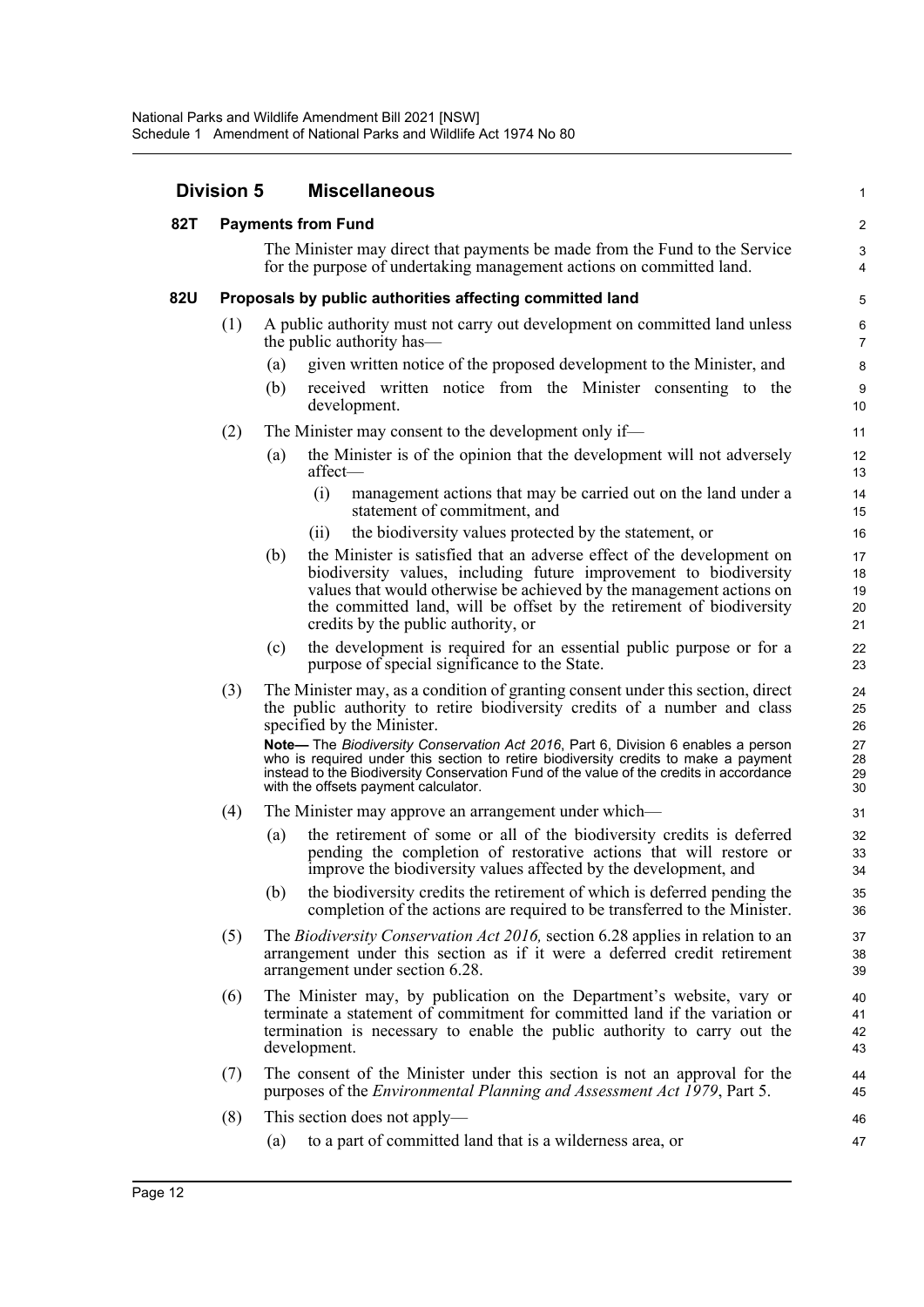| <b>Division 5</b> |     | <b>Miscellaneous</b>                                                                                                                                                                                                                                                                                                                      | 1                    |  |  |  |
|-------------------|-----|-------------------------------------------------------------------------------------------------------------------------------------------------------------------------------------------------------------------------------------------------------------------------------------------------------------------------------------------|----------------------|--|--|--|
| 82T               |     | <b>Payments from Fund</b>                                                                                                                                                                                                                                                                                                                 |                      |  |  |  |
|                   |     | The Minister may direct that payments be made from the Fund to the Service<br>for the purpose of undertaking management actions on committed land.                                                                                                                                                                                        | 3<br>4               |  |  |  |
| <b>82U</b>        |     | Proposals by public authorities affecting committed land                                                                                                                                                                                                                                                                                  | 5                    |  |  |  |
|                   | (1) | A public authority must not carry out development on committed land unless<br>the public authority has—                                                                                                                                                                                                                                   | 6<br>7               |  |  |  |
|                   |     | given written notice of the proposed development to the Minister, and<br>(a)<br>(b)<br>received written notice from the Minister consenting to the<br>development.                                                                                                                                                                        | 8<br>9<br>10         |  |  |  |
|                   | (2) | The Minister may consent to the development only if—                                                                                                                                                                                                                                                                                      | 11                   |  |  |  |
|                   |     | the Minister is of the opinion that the development will not adversely<br>(a)<br>affect-                                                                                                                                                                                                                                                  | 12<br>13             |  |  |  |
|                   |     | (i)<br>management actions that may be carried out on the land under a<br>statement of commitment, and                                                                                                                                                                                                                                     | 14<br>15             |  |  |  |
|                   |     | the biodiversity values protected by the statement, or<br>(i)                                                                                                                                                                                                                                                                             | 16                   |  |  |  |
|                   |     | the Minister is satisfied that an adverse effect of the development on<br>(b)<br>biodiversity values, including future improvement to biodiversity<br>values that would otherwise be achieved by the management actions on<br>the committed land, will be offset by the retirement of biodiversity<br>credits by the public authority, or | 17<br>18<br>19<br>20 |  |  |  |
|                   |     | the development is required for an essential public purpose or for a<br>(c)                                                                                                                                                                                                                                                               | 21<br>22             |  |  |  |
|                   |     | purpose of special significance to the State.                                                                                                                                                                                                                                                                                             | 23                   |  |  |  |
|                   | (3) | The Minister may, as a condition of granting consent under this section, direct<br>the public authority to retire biodiversity credits of a number and class<br>specified by the Minister.                                                                                                                                                | 24<br>25<br>26       |  |  |  |
|                   |     | Note— The Biodiversity Conservation Act 2016, Part 6, Division 6 enables a person<br>who is required under this section to retire biodiversity credits to make a payment<br>instead to the Biodiversity Conservation Fund of the value of the credits in accordance<br>with the offsets payment calculator.                               | 27<br>28<br>29<br>30 |  |  |  |
|                   | (4) | The Minister may approve an arrangement under which—                                                                                                                                                                                                                                                                                      | 31                   |  |  |  |
|                   |     | the retirement of some or all of the biodiversity credits is deferred<br>(a)<br>pending the completion of restorative actions that will restore or<br>improve the biodiversity values affected by the development, and                                                                                                                    | 32<br>33<br>34       |  |  |  |
|                   |     | the biodiversity credits the retirement of which is deferred pending the<br>(b)<br>completion of the actions are required to be transferred to the Minister.                                                                                                                                                                              | 35<br>36             |  |  |  |
|                   | (5) | The <i>Biodiversity Conservation Act 2016</i> , section 6.28 applies in relation to an<br>arrangement under this section as if it were a deferred credit retirement<br>arrangement under section 6.28.                                                                                                                                    | 37<br>38<br>39       |  |  |  |
|                   | (6) | The Minister may, by publication on the Department's website, vary or<br>terminate a statement of commitment for committed land if the variation or<br>termination is necessary to enable the public authority to carry out the<br>development.                                                                                           | 40<br>41<br>42<br>43 |  |  |  |
|                   | (7) | The consent of the Minister under this section is not an approval for the<br>purposes of the <i>Environmental Planning and Assessment Act 1979</i> , Part 5.                                                                                                                                                                              | 44<br>45             |  |  |  |
|                   | (8) | This section does not apply—                                                                                                                                                                                                                                                                                                              | 46                   |  |  |  |
|                   |     | to a part of committed land that is a wilderness area, or<br>(a)                                                                                                                                                                                                                                                                          | 47                   |  |  |  |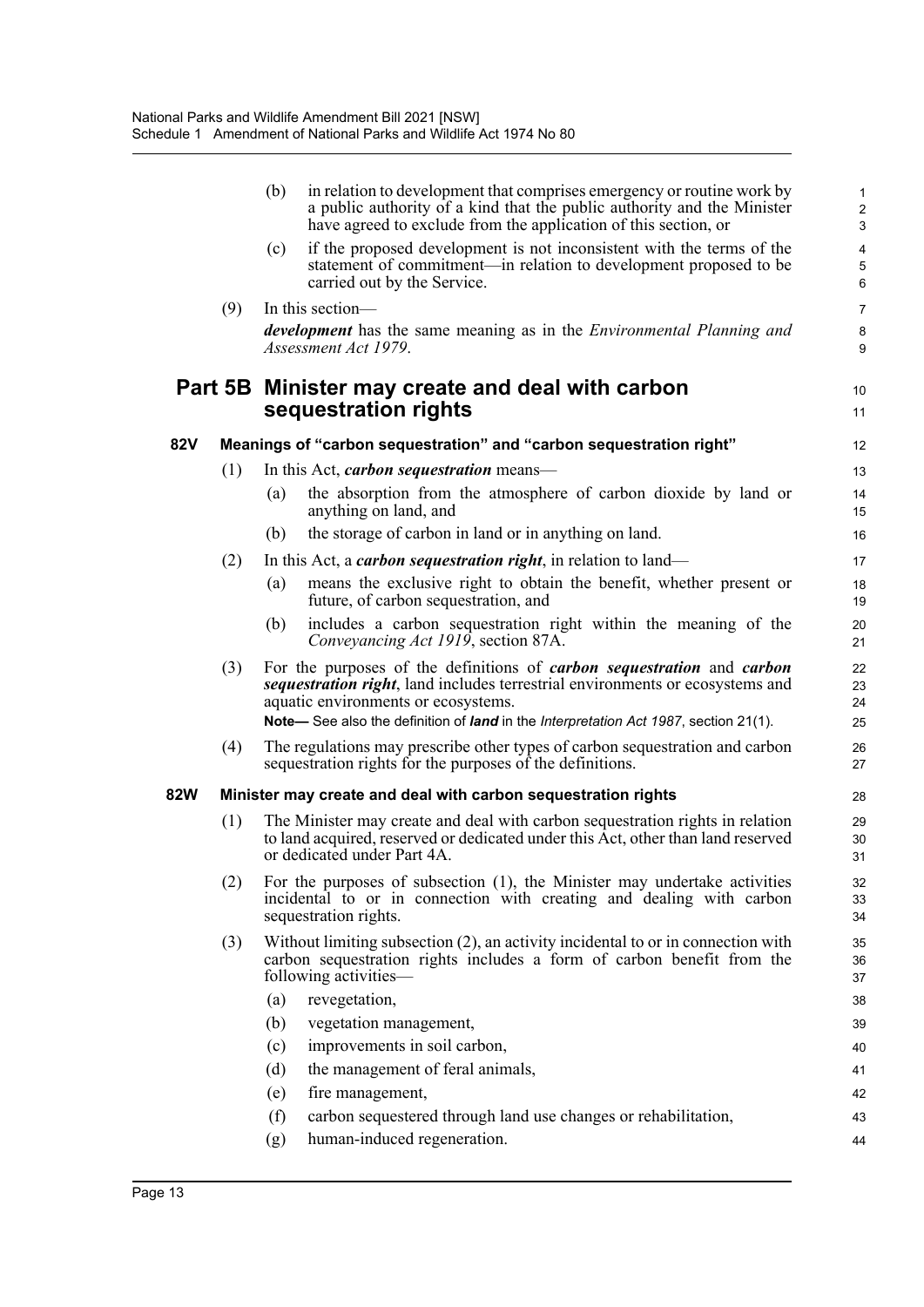|            |     | (b)                                                           | in relation to development that comprises emergency or routine work by<br>a public authority of a kind that the public authority and the Minister<br>have agreed to exclude from the application of this section, or | 1<br>$\overline{\mathbf{c}}$<br>3 |
|------------|-----|---------------------------------------------------------------|----------------------------------------------------------------------------------------------------------------------------------------------------------------------------------------------------------------------|-----------------------------------|
|            |     | (c)<br>carried out by the Service.                            | if the proposed development is not inconsistent with the terms of the<br>statement of commitment—in relation to development proposed to be                                                                           | 4<br>5<br>6                       |
|            | (9) | In this section—                                              |                                                                                                                                                                                                                      | 7                                 |
|            |     | Assessment Act 1979.                                          | <i>development</i> has the same meaning as in the <i>Environmental Planning and</i>                                                                                                                                  | 8<br>9                            |
|            |     | sequestration rights                                          | Part 5B Minister may create and deal with carbon                                                                                                                                                                     | 10<br>11                          |
| <b>82V</b> |     |                                                               | Meanings of "carbon sequestration" and "carbon sequestration right"                                                                                                                                                  | 12                                |
|            | (1) | In this Act, <i>carbon sequestration</i> means—               |                                                                                                                                                                                                                      | 13                                |
|            |     | (a)<br>anything on land, and                                  | the absorption from the atmosphere of carbon dioxide by land or                                                                                                                                                      | 14<br>15                          |
|            |     | (b)                                                           | the storage of carbon in land or in anything on land.                                                                                                                                                                | 16                                |
|            | (2) |                                                               | In this Act, a <i>carbon sequestration right</i> , in relation to land—                                                                                                                                              | 17                                |
|            |     | (a)<br>future, of carbon sequestration, and                   | means the exclusive right to obtain the benefit, whether present or                                                                                                                                                  | 18<br>19                          |
|            |     | (b)<br>Conveyancing Act 1919, section 87A.                    | includes a carbon sequestration right within the meaning of the                                                                                                                                                      | 20<br>21                          |
|            | (3) | aquatic environments or ecosystems.                           | For the purposes of the definitions of <i>carbon sequestration</i> and <i>carbon</i><br>sequestration right, land includes terrestrial environments or ecosystems and                                                | 22<br>23<br>24                    |
|            |     |                                                               | Note-See also the definition of land in the Interpretation Act 1987, section 21(1).                                                                                                                                  | 25                                |
|            | (4) | sequestration rights for the purposes of the definitions.     | The regulations may prescribe other types of carbon sequestration and carbon                                                                                                                                         | 26<br>27                          |
| 82W        |     | Minister may create and deal with carbon sequestration rights |                                                                                                                                                                                                                      | 28                                |
|            | (1) | or dedicated under Part 4A.                                   | The Minister may create and deal with carbon sequestration rights in relation<br>to land acquired, reserved or dedicated under this Act, other than land reserved                                                    | 29<br>30<br>31                    |
|            | (2) | sequestration rights.                                         | For the purposes of subsection (1), the Minister may undertake activities<br>incidental to or in connection with creating and dealing with carbon                                                                    | 32<br>33<br>34                    |
|            | (3) | following activities—                                         | Without limiting subsection (2), an activity incidental to or in connection with<br>carbon sequestration rights includes a form of carbon benefit from the                                                           | 35<br>36<br>37                    |
|            |     | (a)<br>revegetation,                                          |                                                                                                                                                                                                                      | 38                                |
|            |     | (b)<br>vegetation management,                                 |                                                                                                                                                                                                                      | 39                                |
|            |     | improvements in soil carbon,<br>(c)                           |                                                                                                                                                                                                                      | 40                                |
|            |     | (d)<br>the management of feral animals,                       |                                                                                                                                                                                                                      | 41                                |
|            |     | (e)<br>fire management,                                       |                                                                                                                                                                                                                      | 42                                |
|            |     | (f)                                                           | carbon sequestered through land use changes or rehabilitation,                                                                                                                                                       | 43                                |
|            |     | human-induced regeneration.<br>(g)                            |                                                                                                                                                                                                                      | 44                                |
|            |     |                                                               |                                                                                                                                                                                                                      |                                   |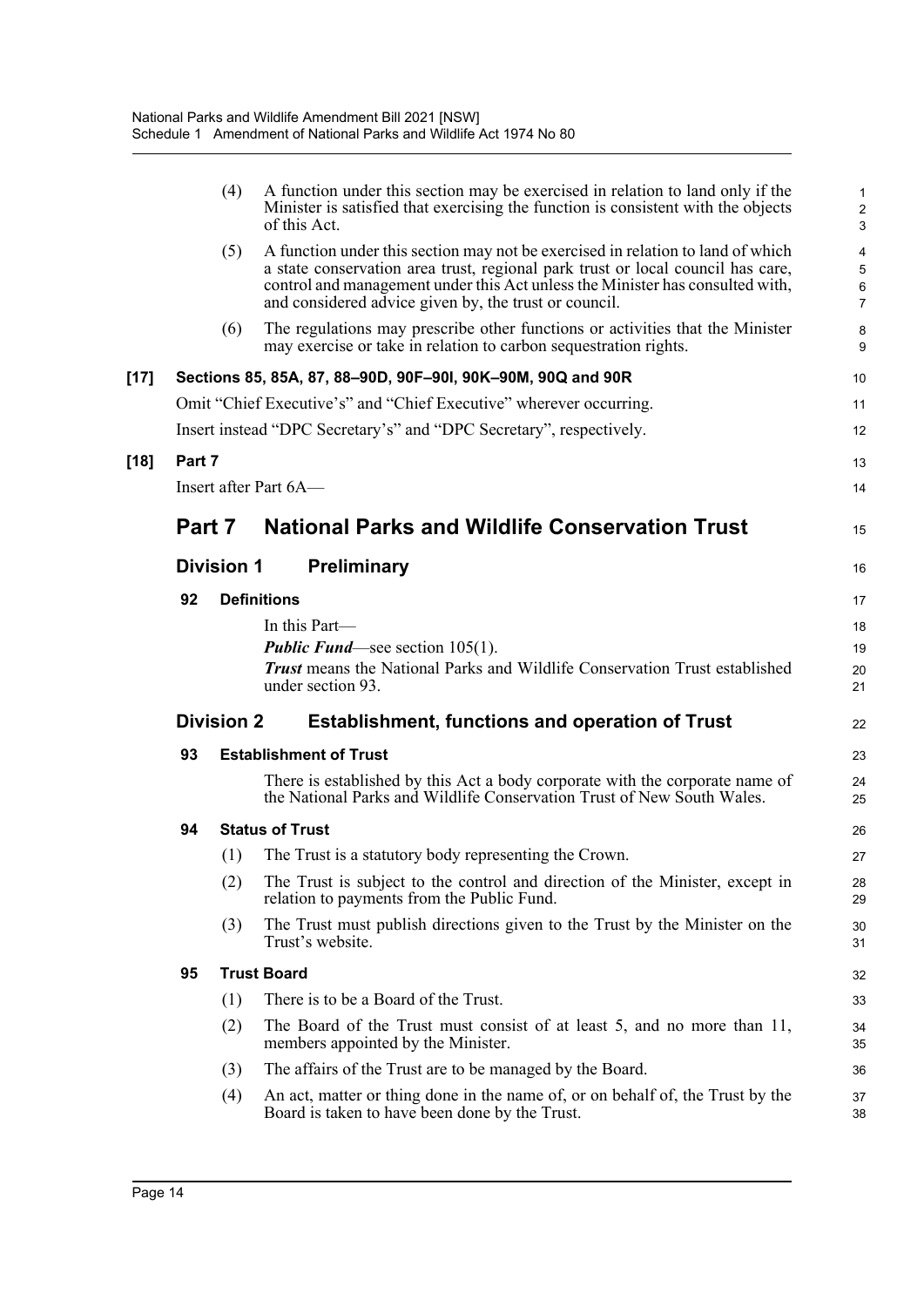|        |        | (4)               | A function under this section may be exercised in relation to land only if the<br>Minister is satisfied that exercising the function is consistent with the objects<br>of this Act.                                                                                                                          | 1<br>$\boldsymbol{2}$<br>3    |
|--------|--------|-------------------|--------------------------------------------------------------------------------------------------------------------------------------------------------------------------------------------------------------------------------------------------------------------------------------------------------------|-------------------------------|
|        |        | (5)               | A function under this section may not be exercised in relation to land of which<br>a state conservation area trust, regional park trust or local council has care,<br>control and management under this Act unless the Minister has consulted with,<br>and considered advice given by, the trust or council. | 4<br>5<br>6<br>$\overline{7}$ |
|        |        | (6)               | The regulations may prescribe other functions or activities that the Minister<br>may exercise or take in relation to carbon sequestration rights.                                                                                                                                                            | 8<br>9                        |
| $[17]$ |        |                   | Sections 85, 85A, 87, 88-90D, 90F-90I, 90K-90M, 90Q and 90R                                                                                                                                                                                                                                                  | 10                            |
|        |        |                   | Omit "Chief Executive's" and "Chief Executive" wherever occurring.                                                                                                                                                                                                                                           | 11                            |
|        |        |                   | Insert instead "DPC Secretary's" and "DPC Secretary", respectively.                                                                                                                                                                                                                                          | 12                            |
| $[18]$ | Part 7 |                   |                                                                                                                                                                                                                                                                                                              | 13                            |
|        |        |                   | Insert after Part 6A-                                                                                                                                                                                                                                                                                        | 14                            |
|        | Part 7 |                   | <b>National Parks and Wildlife Conservation Trust</b>                                                                                                                                                                                                                                                        | 15                            |
|        |        | <b>Division 1</b> | <b>Preliminary</b>                                                                                                                                                                                                                                                                                           | 16                            |
|        | 92     |                   | <b>Definitions</b>                                                                                                                                                                                                                                                                                           | 17                            |
|        |        |                   | In this Part—                                                                                                                                                                                                                                                                                                | 18                            |
|        |        |                   | <b>Public Fund</b> —see section $105(1)$ .                                                                                                                                                                                                                                                                   |                               |
|        |        |                   | <b>Trust</b> means the National Parks and Wildlife Conservation Trust established<br>under section 93.                                                                                                                                                                                                       | 20<br>21                      |
|        |        | <b>Division 2</b> | <b>Establishment, functions and operation of Trust</b>                                                                                                                                                                                                                                                       | 22                            |
|        | 93     |                   | <b>Establishment of Trust</b>                                                                                                                                                                                                                                                                                | 23                            |
|        |        |                   | There is established by this Act a body corporate with the corporate name of<br>the National Parks and Wildlife Conservation Trust of New South Wales.                                                                                                                                                       | 24<br>25                      |
|        | 94     |                   | <b>Status of Trust</b>                                                                                                                                                                                                                                                                                       | 26                            |
|        |        | (1)               | The Trust is a statutory body representing the Crown.                                                                                                                                                                                                                                                        | 27                            |
|        |        | (2)               | The Trust is subject to the control and direction of the Minister, except in<br>relation to payments from the Public Fund.                                                                                                                                                                                   | 28<br>29                      |
|        |        | (3)               | The Trust must publish directions given to the Trust by the Minister on the<br>Trust's website.                                                                                                                                                                                                              | 30<br>31                      |
|        | 95     |                   | <b>Trust Board</b>                                                                                                                                                                                                                                                                                           | 32                            |
|        |        | (1)               | There is to be a Board of the Trust.                                                                                                                                                                                                                                                                         | 33                            |
|        |        | (2)               | The Board of the Trust must consist of at least 5, and no more than 11,<br>members appointed by the Minister.                                                                                                                                                                                                | 34<br>35                      |
|        |        | (3)               | The affairs of the Trust are to be managed by the Board.                                                                                                                                                                                                                                                     | 36                            |
|        |        | (4)               | An act, matter or thing done in the name of, or on behalf of, the Trust by the<br>Board is taken to have been done by the Trust.                                                                                                                                                                             | 37<br>38                      |
|        |        |                   |                                                                                                                                                                                                                                                                                                              |                               |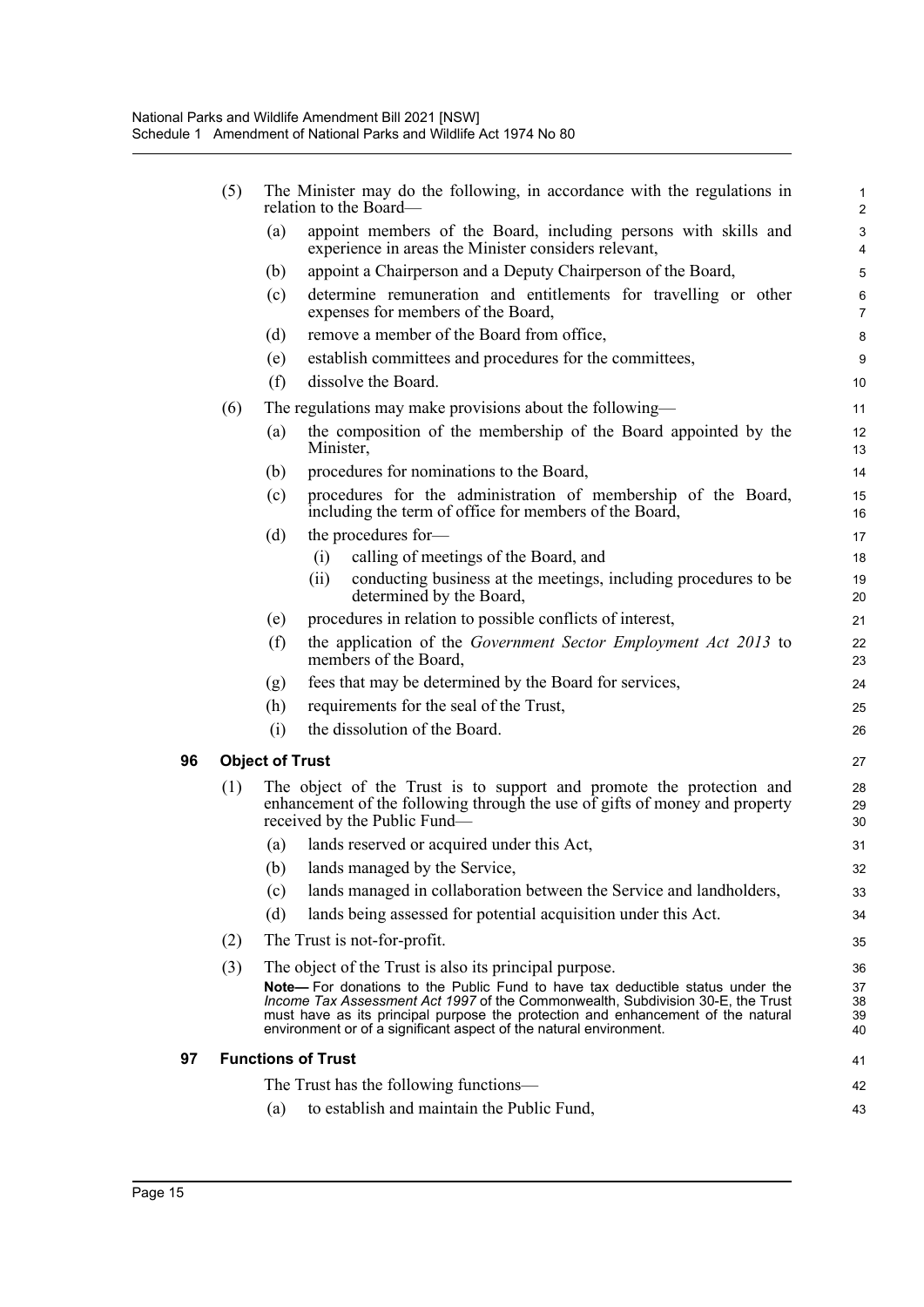|    | (5) | The Minister may do the following, in accordance with the regulations in<br>relation to the Board— |                                                                                                                                                                                                                                                                                                                                    |                               |  |  |  |
|----|-----|----------------------------------------------------------------------------------------------------|------------------------------------------------------------------------------------------------------------------------------------------------------------------------------------------------------------------------------------------------------------------------------------------------------------------------------------|-------------------------------|--|--|--|
|    |     | (a)                                                                                                | appoint members of the Board, including persons with skills and<br>experience in areas the Minister considers relevant,                                                                                                                                                                                                            | $\mathsf 3$<br>$\overline{4}$ |  |  |  |
|    |     | (b)                                                                                                | appoint a Chairperson and a Deputy Chairperson of the Board,                                                                                                                                                                                                                                                                       | 5                             |  |  |  |
|    |     | (c)                                                                                                | determine remuneration and entitlements for travelling or other<br>expenses for members of the Board,                                                                                                                                                                                                                              | $\,6\,$<br>$\overline{7}$     |  |  |  |
|    |     | (d)                                                                                                | remove a member of the Board from office,                                                                                                                                                                                                                                                                                          | 8                             |  |  |  |
|    |     | (e)                                                                                                | establish committees and procedures for the committees,                                                                                                                                                                                                                                                                            | 9                             |  |  |  |
|    |     | (f)                                                                                                | dissolve the Board.                                                                                                                                                                                                                                                                                                                | 10                            |  |  |  |
|    | (6) |                                                                                                    | The regulations may make provisions about the following—                                                                                                                                                                                                                                                                           | 11                            |  |  |  |
|    |     | (a)                                                                                                | the composition of the membership of the Board appointed by the<br>Minister,                                                                                                                                                                                                                                                       | 12<br>13                      |  |  |  |
|    |     | (b)                                                                                                | procedures for nominations to the Board,                                                                                                                                                                                                                                                                                           | 14                            |  |  |  |
|    |     | (c)                                                                                                | procedures for the administration of membership of the Board,<br>including the term of office for members of the Board,                                                                                                                                                                                                            | 15<br>16                      |  |  |  |
|    |     | (d)                                                                                                | the procedures for-                                                                                                                                                                                                                                                                                                                | 17                            |  |  |  |
|    |     |                                                                                                    | calling of meetings of the Board, and<br>(i)                                                                                                                                                                                                                                                                                       | 18                            |  |  |  |
|    |     |                                                                                                    | conducting business at the meetings, including procedures to be<br>(i)<br>determined by the Board,                                                                                                                                                                                                                                 | 19<br>20                      |  |  |  |
|    |     | (e)                                                                                                | procedures in relation to possible conflicts of interest,                                                                                                                                                                                                                                                                          | 21                            |  |  |  |
|    |     | (f)                                                                                                | the application of the Government Sector Employment Act 2013 to<br>members of the Board,                                                                                                                                                                                                                                           | 22<br>23                      |  |  |  |
|    |     | (g)                                                                                                | fees that may be determined by the Board for services,                                                                                                                                                                                                                                                                             | 24                            |  |  |  |
|    |     | (h)                                                                                                | requirements for the seal of the Trust,                                                                                                                                                                                                                                                                                            | 25                            |  |  |  |
|    |     | (i)                                                                                                | the dissolution of the Board.                                                                                                                                                                                                                                                                                                      | 26                            |  |  |  |
| 96 |     | <b>Object of Trust</b>                                                                             |                                                                                                                                                                                                                                                                                                                                    | 27                            |  |  |  |
|    | (1) |                                                                                                    | The object of the Trust is to support and promote the protection and<br>enhancement of the following through the use of gifts of money and property<br>received by the Public Fund—                                                                                                                                                | 28<br>29<br>30                |  |  |  |
|    |     | (a)                                                                                                | lands reserved or acquired under this Act,                                                                                                                                                                                                                                                                                         | 31                            |  |  |  |
|    |     |                                                                                                    | (b) lands managed by the Service,                                                                                                                                                                                                                                                                                                  | 32                            |  |  |  |
|    |     | (c)                                                                                                | lands managed in collaboration between the Service and landholders,                                                                                                                                                                                                                                                                | 33                            |  |  |  |
|    |     | (d)                                                                                                | lands being assessed for potential acquisition under this Act.                                                                                                                                                                                                                                                                     | 34                            |  |  |  |
|    | (2) |                                                                                                    | The Trust is not-for-profit.                                                                                                                                                                                                                                                                                                       | 35                            |  |  |  |
|    | (3) |                                                                                                    | The object of the Trust is also its principal purpose.                                                                                                                                                                                                                                                                             | 36                            |  |  |  |
|    |     |                                                                                                    | <b>Note—</b> For donations to the Public Fund to have tax deductible status under the<br>Income Tax Assessment Act 1997 of the Commonwealth, Subdivision 30-E, the Trust<br>must have as its principal purpose the protection and enhancement of the natural<br>environment or of a significant aspect of the natural environment. | 37<br>38<br>39<br>40          |  |  |  |
| 97 |     |                                                                                                    | <b>Functions of Trust</b>                                                                                                                                                                                                                                                                                                          | 41                            |  |  |  |
|    |     |                                                                                                    | The Trust has the following functions-                                                                                                                                                                                                                                                                                             | 42                            |  |  |  |
|    |     | (a)                                                                                                | to establish and maintain the Public Fund,                                                                                                                                                                                                                                                                                         | 43                            |  |  |  |
|    |     |                                                                                                    |                                                                                                                                                                                                                                                                                                                                    |                               |  |  |  |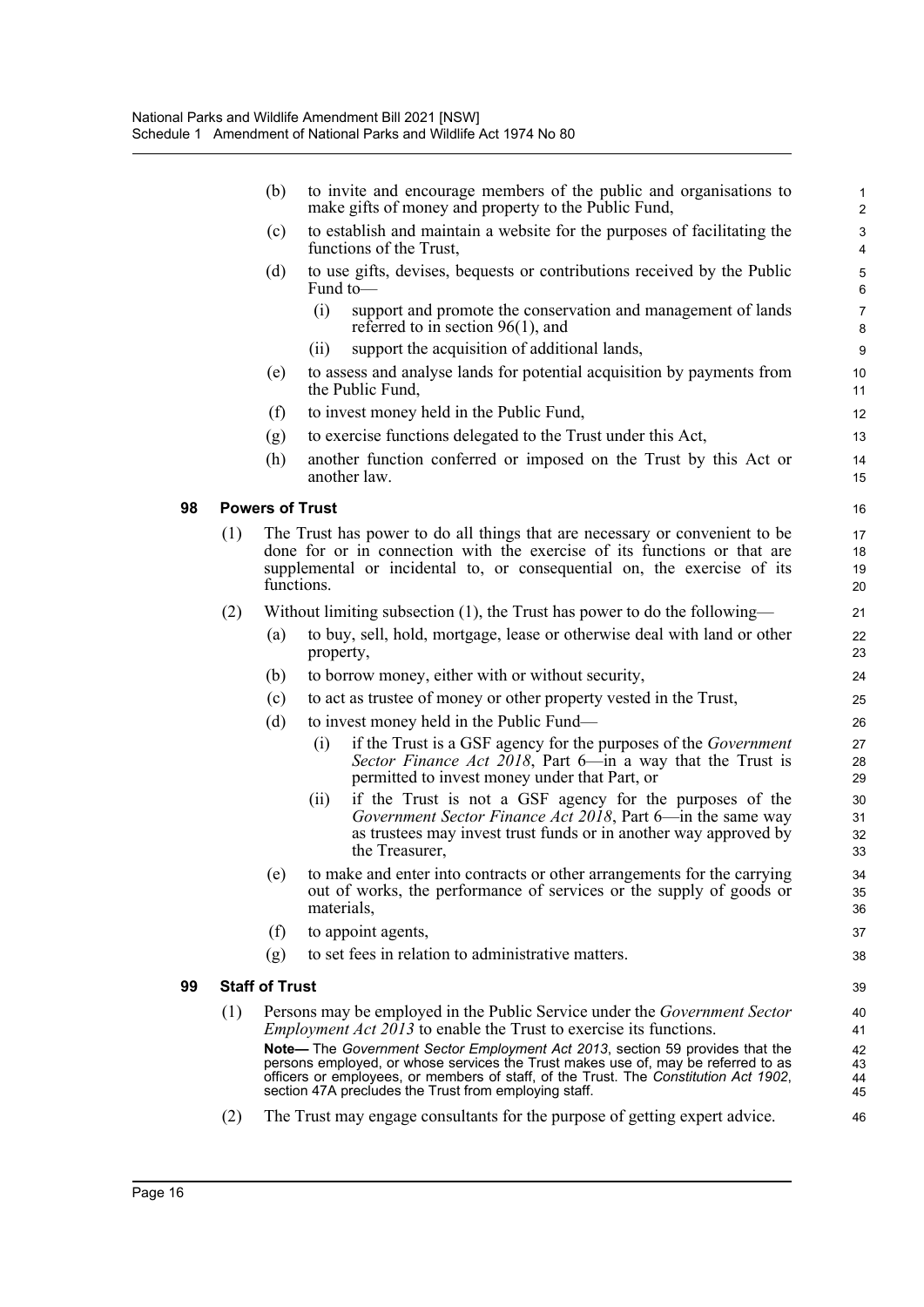|     | (b)                                                                                   |              | to invite and encourage members of the public and organisations to<br>make gifts of money and property to the Public Fund,                                                            | $\mathbf{1}$<br>$\overline{2}$ |  |  |
|-----|---------------------------------------------------------------------------------------|--------------|---------------------------------------------------------------------------------------------------------------------------------------------------------------------------------------|--------------------------------|--|--|
|     | (c)                                                                                   |              | to establish and maintain a website for the purposes of facilitating the<br>functions of the Trust,                                                                                   | 3<br>4                         |  |  |
|     | (d)                                                                                   | Fund to-     | to use gifts, devises, bequests or contributions received by the Public                                                                                                               | 5<br>6                         |  |  |
|     |                                                                                       | (i)          | support and promote the conservation and management of lands<br>referred to in section $96(1)$ , and                                                                                  | $\overline{7}$<br>8            |  |  |
|     |                                                                                       | (ii)         | support the acquisition of additional lands,                                                                                                                                          | 9                              |  |  |
|     | (e)                                                                                   |              | to assess and analyse lands for potential acquisition by payments from<br>the Public Fund,                                                                                            | 10<br>11                       |  |  |
|     | (f)                                                                                   |              | to invest money held in the Public Fund,                                                                                                                                              | 12 <sup>2</sup>                |  |  |
|     | (g)                                                                                   |              | to exercise functions delegated to the Trust under this Act,                                                                                                                          | 13                             |  |  |
|     | (h)                                                                                   | another law. | another function conferred or imposed on the Trust by this Act or                                                                                                                     | 14<br>15                       |  |  |
|     | <b>Powers of Trust</b>                                                                |              |                                                                                                                                                                                       | 16                             |  |  |
| (1) |                                                                                       |              | The Trust has power to do all things that are necessary or convenient to be                                                                                                           | 17                             |  |  |
|     |                                                                                       |              | done for or in connection with the exercise of its functions or that are                                                                                                              | 18<br>19                       |  |  |
|     | supplemental or incidental to, or consequential on, the exercise of its<br>functions. |              |                                                                                                                                                                                       |                                |  |  |
| (2) | Without limiting subsection $(1)$ , the Trust has power to do the following—          |              |                                                                                                                                                                                       |                                |  |  |
|     | (a)                                                                                   |              | to buy, sell, hold, mortgage, lease or otherwise deal with land or other                                                                                                              | 21                             |  |  |
|     |                                                                                       | property,    |                                                                                                                                                                                       | 22<br>23                       |  |  |
|     | (b)                                                                                   |              | to borrow money, either with or without security,                                                                                                                                     | 24                             |  |  |
|     | (c)                                                                                   |              | to act as trustee of money or other property vested in the Trust,                                                                                                                     | 25                             |  |  |
|     | (d)                                                                                   |              | to invest money held in the Public Fund—                                                                                                                                              | 26                             |  |  |
|     |                                                                                       | (i)          | if the Trust is a GSF agency for the purposes of the <i>Government</i><br>Sector Finance Act 2018, Part 6—in a way that the Trust is<br>permitted to invest money under that Part, or | 27<br>28<br>29                 |  |  |
|     |                                                                                       | (ii)         | if the Trust is not a GSF agency for the purposes of the                                                                                                                              | 30                             |  |  |
|     |                                                                                       |              | Government Sector Finance Act 2018, Part 6—in the same way                                                                                                                            | 31                             |  |  |
|     |                                                                                       |              | as trustees may invest trust funds or in another way approved by<br>the Treasurer,                                                                                                    | 32<br>33                       |  |  |
|     | (e)                                                                                   | materials,   | to make and enter into contracts or other arrangements for the carrying<br>out of works, the performance of services or the supply of goods or                                        | 34<br>35<br>36                 |  |  |
|     | (f)                                                                                   |              | to appoint agents,                                                                                                                                                                    | 37                             |  |  |
|     | (g)                                                                                   |              | to set fees in relation to administrative matters.                                                                                                                                    | 38                             |  |  |
|     | Staff of Trust                                                                        |              |                                                                                                                                                                                       | 39                             |  |  |
| (1) |                                                                                       |              | Persons may be employed in the Public Service under the <i>Government Sector</i>                                                                                                      | 40                             |  |  |
|     |                                                                                       |              | <i>Employment Act 2013</i> to enable the Trust to exercise its functions.                                                                                                             | 41                             |  |  |
|     |                                                                                       |              | Note-The Government Sector Employment Act 2013, section 59 provides that the                                                                                                          | 42                             |  |  |
|     |                                                                                       |              | persons employed, or whose services the Trust makes use of, may be referred to as<br>officers or employees, or members of staff, of the Trust. The Constitution Act 1902,             | 43<br>44                       |  |  |
|     |                                                                                       |              | section 47A precludes the Trust from employing staff.                                                                                                                                 | 45                             |  |  |
| (2) |                                                                                       |              | The Trust may engage consultants for the purpose of getting expert advice.                                                                                                            | 46                             |  |  |

**99 Staff of Trust**

**98 Powers of Trust**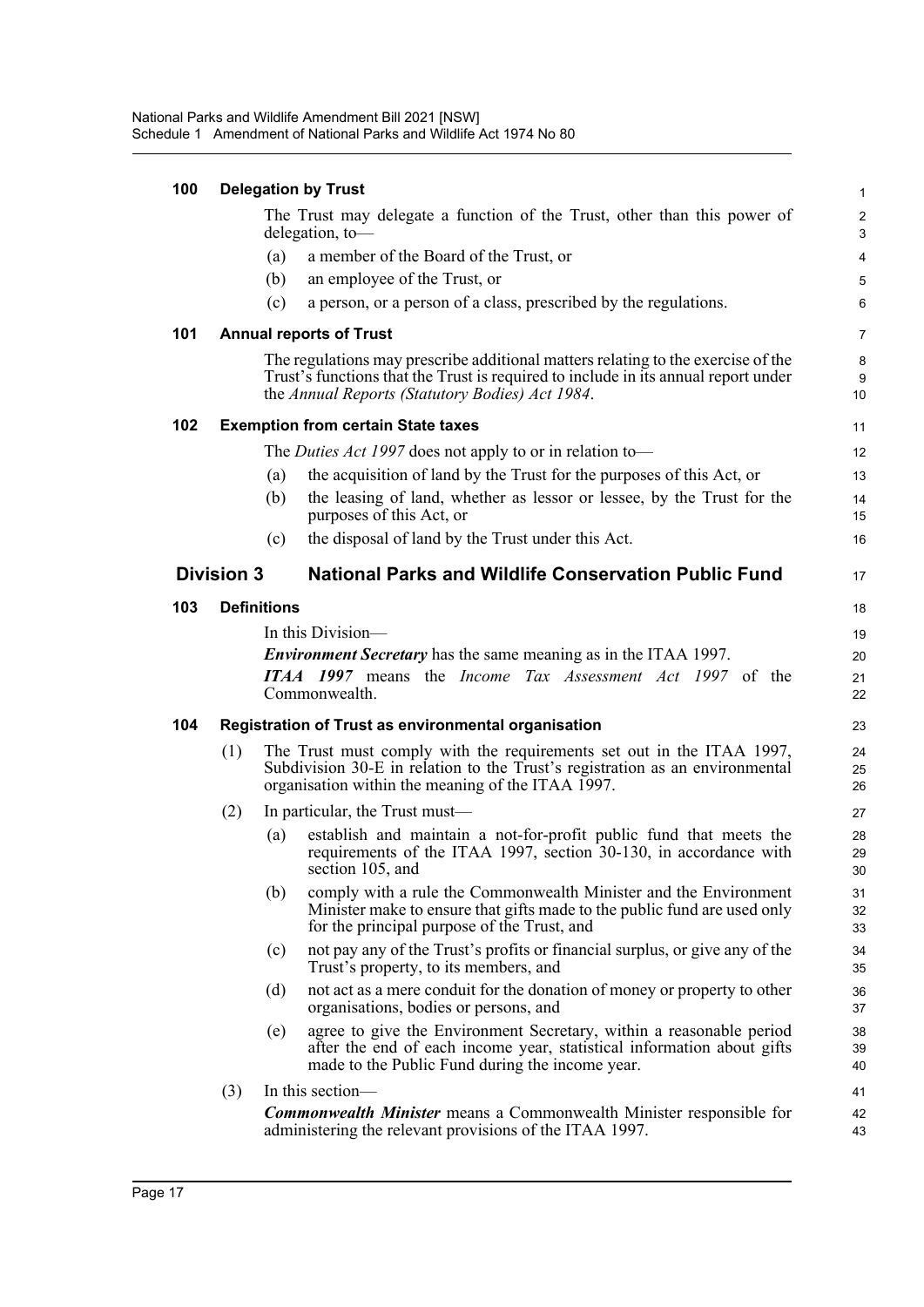| 100 | <b>Delegation by Trust</b> |     |                                                                                                                                                                                                                           |                       |  |
|-----|----------------------------|-----|---------------------------------------------------------------------------------------------------------------------------------------------------------------------------------------------------------------------------|-----------------------|--|
|     |                            |     | The Trust may delegate a function of the Trust, other than this power of<br>delegation, to-                                                                                                                               | $\boldsymbol{2}$<br>3 |  |
|     |                            | (a) | a member of the Board of the Trust, or                                                                                                                                                                                    | $\overline{4}$        |  |
|     |                            | (b) | an employee of the Trust, or                                                                                                                                                                                              | $\mathbf 5$           |  |
|     |                            | (c) | a person, or a person of a class, prescribed by the regulations.                                                                                                                                                          | 6                     |  |
| 101 |                            |     | <b>Annual reports of Trust</b>                                                                                                                                                                                            | $\overline{7}$        |  |
|     |                            |     | The regulations may prescribe additional matters relating to the exercise of the<br>Trust's functions that the Trust is required to include in its annual report under<br>the Annual Reports (Statutory Bodies) Act 1984. | 8<br>9<br>10          |  |
| 102 |                            |     | <b>Exemption from certain State taxes</b>                                                                                                                                                                                 | 11                    |  |
|     |                            |     | The <i>Duties Act 1997</i> does not apply to or in relation to-                                                                                                                                                           | 12                    |  |
|     |                            | (a) | the acquisition of land by the Trust for the purposes of this Act, or                                                                                                                                                     | 13                    |  |
|     |                            | (b) | the leasing of land, whether as lessor or lessee, by the Trust for the<br>purposes of this Act, or                                                                                                                        | 14<br>15              |  |
|     |                            | (c) | the disposal of land by the Trust under this Act.                                                                                                                                                                         | 16                    |  |
|     | <b>Division 3</b>          |     | <b>National Parks and Wildlife Conservation Public Fund</b>                                                                                                                                                               | 17                    |  |
| 103 | <b>Definitions</b>         |     |                                                                                                                                                                                                                           | 18                    |  |
|     |                            |     | In this Division—                                                                                                                                                                                                         | 19                    |  |
|     |                            |     | <b>Environment Secretary</b> has the same meaning as in the ITAA 1997.                                                                                                                                                    | 20                    |  |
|     |                            |     | <b>ITAA 1997</b> means the <i>Income Tax Assessment Act 1997</i> of the<br>Commonwealth.                                                                                                                                  | 21<br>22              |  |
| 104 |                            |     | <b>Registration of Trust as environmental organisation</b>                                                                                                                                                                | 23                    |  |
|     | (1)                        |     | The Trust must comply with the requirements set out in the ITAA 1997,<br>Subdivision 30-E in relation to the Trust's registration as an environmental<br>organisation within the meaning of the ITAA 1997.                | 24<br>25<br>26        |  |
|     | (2)                        |     | In particular, the Trust must—                                                                                                                                                                                            | 27                    |  |
|     |                            | (a) | establish and maintain a not-for-profit public fund that meets the<br>requirements of the ITAA 1997, section 30-130, in accordance with<br>section 105, and                                                               | 28<br>29<br>30        |  |
|     |                            | (b) | comply with a rule the Commonwealth Minister and the Environment<br>Minister make to ensure that gifts made to the public fund are used only<br>for the principal purpose of the Trust, and                               | 31<br>32<br>33        |  |
|     |                            | (c) | not pay any of the Trust's profits or financial surplus, or give any of the<br>Trust's property, to its members, and                                                                                                      | 34<br>35              |  |
|     |                            | (d) | not act as a mere conduit for the donation of money or property to other<br>organisations, bodies or persons, and                                                                                                         | 36<br>37              |  |
|     |                            | (e) | agree to give the Environment Secretary, within a reasonable period<br>after the end of each income year, statistical information about gifts<br>made to the Public Fund during the income year.                          | 38<br>39<br>40        |  |
|     | (3)                        |     | In this section-                                                                                                                                                                                                          | 41                    |  |
|     |                            |     | <b>Commonwealth Minister</b> means a Commonwealth Minister responsible for<br>administering the relevant provisions of the ITAA 1997.                                                                                     | 42<br>43              |  |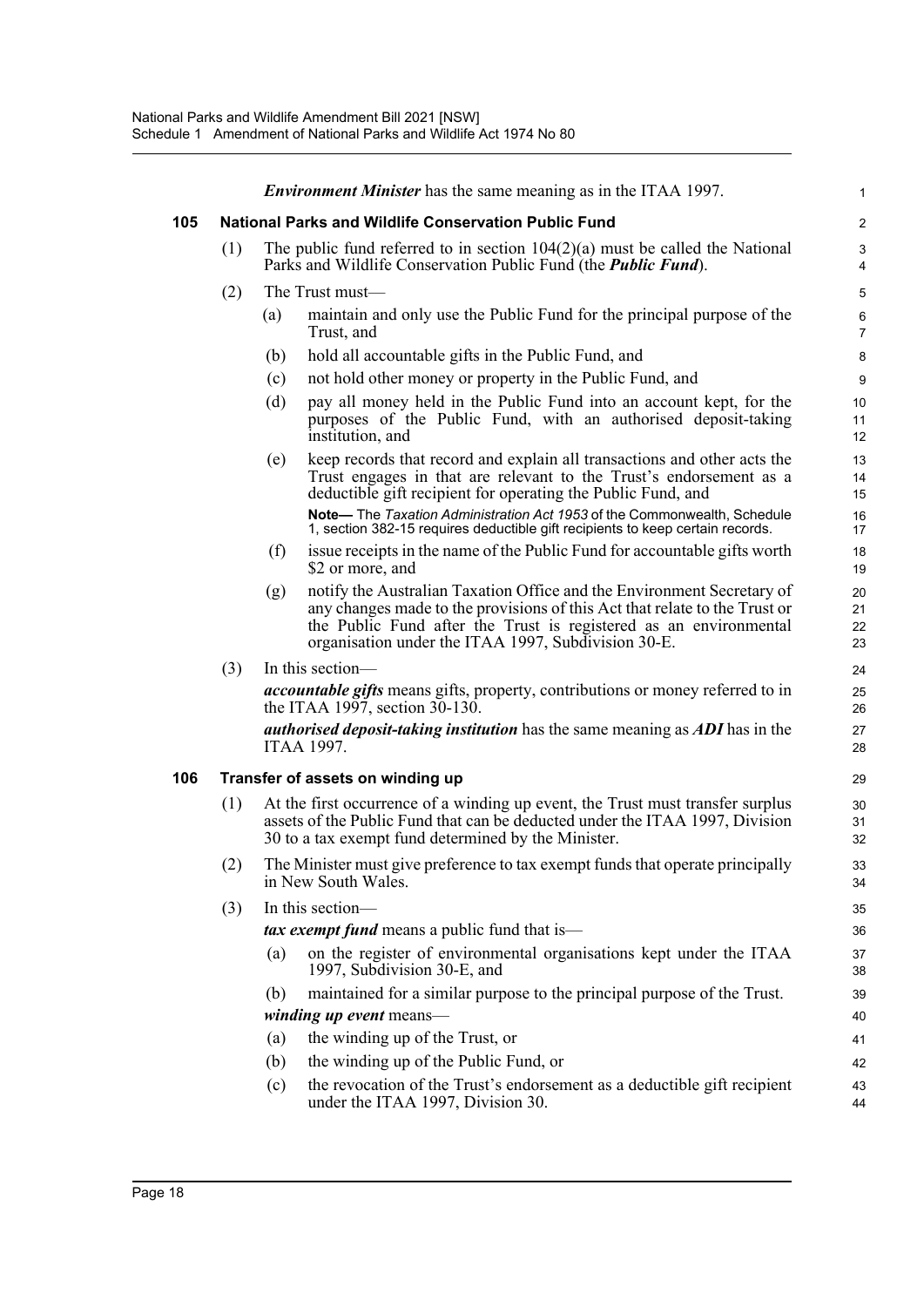|     |     |     | <b>Environment Minister</b> has the same meaning as in the ITAA 1997.                                                                                                                                                                                                            | $\mathbf{1}$         |
|-----|-----|-----|----------------------------------------------------------------------------------------------------------------------------------------------------------------------------------------------------------------------------------------------------------------------------------|----------------------|
| 105 |     |     | <b>National Parks and Wildlife Conservation Public Fund</b>                                                                                                                                                                                                                      | $\overline{2}$       |
|     | (1) |     | The public fund referred to in section $104(2)(a)$ must be called the National<br>Parks and Wildlife Conservation Public Fund (the <i>Public Fund</i> ).                                                                                                                         | 3<br>4               |
|     | (2) |     | The Trust must—                                                                                                                                                                                                                                                                  | 5                    |
|     |     | (a) | maintain and only use the Public Fund for the principal purpose of the<br>Trust, and                                                                                                                                                                                             | 6<br>$\overline{7}$  |
|     |     | (b) | hold all accountable gifts in the Public Fund, and                                                                                                                                                                                                                               | 8                    |
|     |     | (c) | not hold other money or property in the Public Fund, and                                                                                                                                                                                                                         | 9                    |
|     |     | (d) | pay all money held in the Public Fund into an account kept, for the<br>purposes of the Public Fund, with an authorised deposit-taking<br>institution, and                                                                                                                        | 10<br>11<br>12       |
|     |     | (e) | keep records that record and explain all transactions and other acts the<br>Trust engages in that are relevant to the Trust's endorsement as a<br>deductible gift recipient for operating the Public Fund, and                                                                   | 13<br>14<br>15       |
|     |     |     | Note-The Taxation Administration Act 1953 of the Commonwealth, Schedule<br>1, section 382-15 requires deductible gift recipients to keep certain records.                                                                                                                        | 16<br>17             |
|     |     | (f) | is sue receipts in the name of the Public Fund for accountable gifts worth<br>\$2 or more, and                                                                                                                                                                                   | 18<br>19             |
|     |     | (g) | notify the Australian Taxation Office and the Environment Secretary of<br>any changes made to the provisions of this Act that relate to the Trust or<br>the Public Fund after the Trust is registered as an environmental<br>organisation under the ITAA 1997, Subdivision 30-E. | 20<br>21<br>22<br>23 |
|     | (3) |     | In this section-                                                                                                                                                                                                                                                                 | 24                   |
|     |     |     | <i>accountable gifts</i> means gifts, property, contributions or money referred to in<br>the ITAA 1997, section $30-130$ .                                                                                                                                                       | 25<br>26             |
|     |     |     | <i>authorised deposit-taking institution</i> has the same meaning as <i>ADI</i> has in the<br>ITAA 1997.                                                                                                                                                                         | 27<br>28             |
| 106 |     |     | Transfer of assets on winding up                                                                                                                                                                                                                                                 | 29                   |
|     | (1) |     | At the first occurrence of a winding up event, the Trust must transfer surplus<br>assets of the Public Fund that can be deducted under the ITAA 1997, Division<br>30 to a tax exempt fund determined by the Minister.                                                            | 30<br>31<br>32       |
|     | (2) |     | The Minister must give preference to tax exempt funds that operate principally<br>in New South Wales.                                                                                                                                                                            | 33<br>34             |
|     | (3) |     | In this section-                                                                                                                                                                                                                                                                 | 35                   |
|     |     |     | <i>tax exempt fund</i> means a public fund that is—                                                                                                                                                                                                                              | 36                   |
|     |     | (a) | on the register of environmental organisations kept under the ITAA<br>1997, Subdivision 30-E, and                                                                                                                                                                                | 37<br>38             |
|     |     | (b) | maintained for a similar purpose to the principal purpose of the Trust.                                                                                                                                                                                                          | 39                   |
|     |     |     | <i>winding up event</i> means—                                                                                                                                                                                                                                                   | 40                   |
|     |     | (a) | the winding up of the Trust, or                                                                                                                                                                                                                                                  | 41                   |
|     |     | (b) | the winding up of the Public Fund, or                                                                                                                                                                                                                                            | 42                   |
|     |     | (c) | the revocation of the Trust's endorsement as a deductible gift recipient<br>under the ITAA 1997, Division 30.                                                                                                                                                                    | 43<br>44             |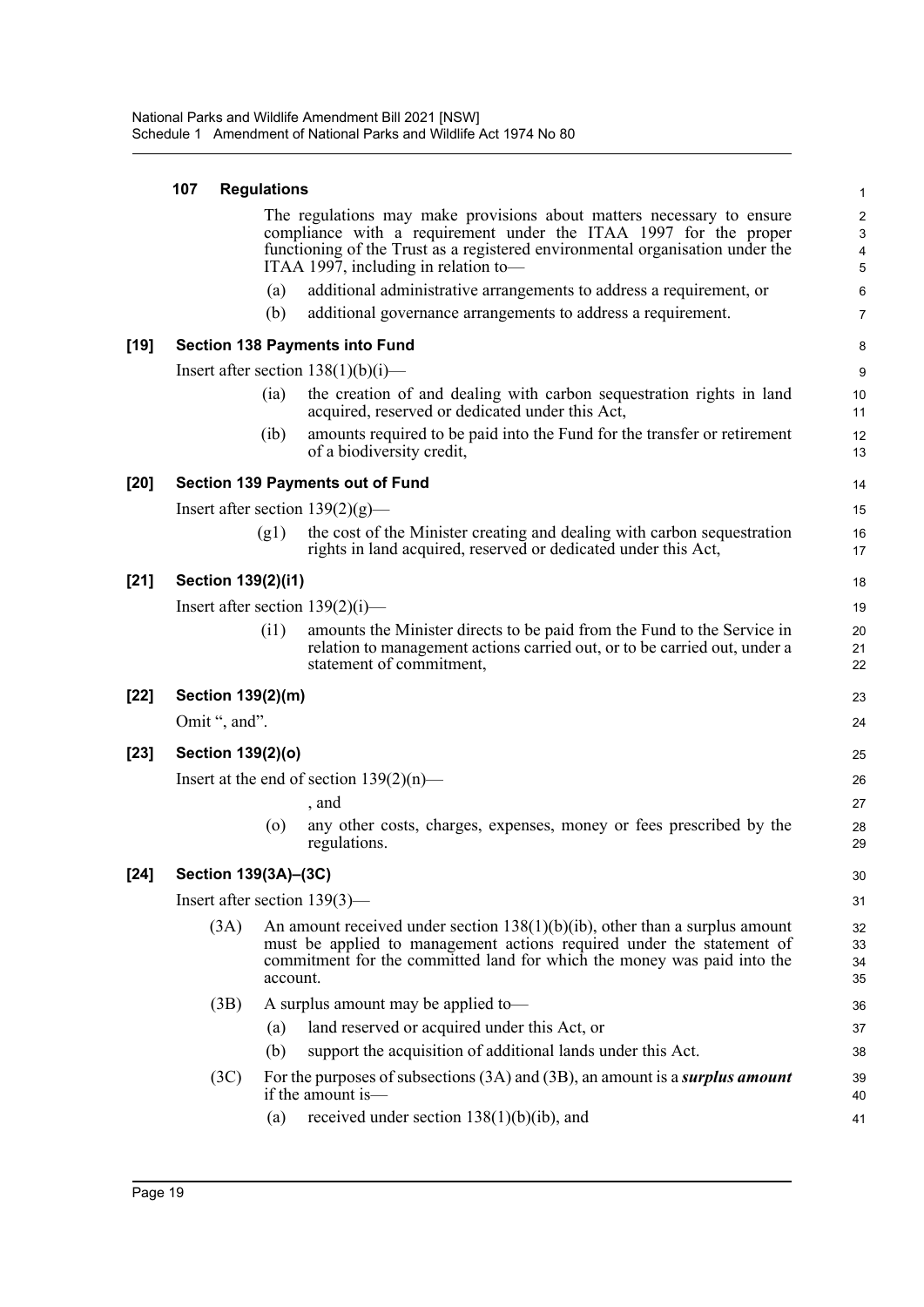| 107 Regulations                         |
|-----------------------------------------|
| The regulations ma<br>compliance with a |

[19]

[20]

[21]

[22]

[23]

 $[24]$ 

|                                 | The regulations may make provisions about matters necessary to ensure<br>compliance with a requirement under the ITAA 1997 for the proper<br>functioning of the Trust as a registered environmental organisation under the<br>ITAA 1997, including in relation to- |                                                                                                                                                                                                                                    |                      |  |  |
|---------------------------------|--------------------------------------------------------------------------------------------------------------------------------------------------------------------------------------------------------------------------------------------------------------------|------------------------------------------------------------------------------------------------------------------------------------------------------------------------------------------------------------------------------------|----------------------|--|--|
|                                 | (a)                                                                                                                                                                                                                                                                | additional administrative arrangements to address a requirement, or                                                                                                                                                                | 6                    |  |  |
|                                 | (b)                                                                                                                                                                                                                                                                | additional governance arrangements to address a requirement.                                                                                                                                                                       | 7                    |  |  |
|                                 |                                                                                                                                                                                                                                                                    | <b>Section 138 Payments into Fund</b>                                                                                                                                                                                              | 8                    |  |  |
|                                 |                                                                                                                                                                                                                                                                    | Insert after section $138(1)(b)(i)$ —                                                                                                                                                                                              | 9                    |  |  |
|                                 | (ia)                                                                                                                                                                                                                                                               | the creation of and dealing with carbon sequestration rights in land<br>acquired, reserved or dedicated under this Act,                                                                                                            | 10<br>11             |  |  |
|                                 | (ib)                                                                                                                                                                                                                                                               | amounts required to be paid into the Fund for the transfer or retirement<br>of a biodiversity credit,                                                                                                                              | 12<br>13             |  |  |
|                                 |                                                                                                                                                                                                                                                                    | <b>Section 139 Payments out of Fund</b>                                                                                                                                                                                            | 14                   |  |  |
|                                 |                                                                                                                                                                                                                                                                    | Insert after section $139(2)(g)$ —                                                                                                                                                                                                 | 15                   |  |  |
|                                 | (g1)                                                                                                                                                                                                                                                               | the cost of the Minister creating and dealing with carbon sequestration<br>rights in land acquired, reserved or dedicated under this Act,                                                                                          | 16<br>17             |  |  |
| Section 139(2)(i1)              |                                                                                                                                                                                                                                                                    |                                                                                                                                                                                                                                    | 18                   |  |  |
|                                 |                                                                                                                                                                                                                                                                    | Insert after section $139(2)(i)$ —                                                                                                                                                                                                 | 19                   |  |  |
|                                 | (i1)                                                                                                                                                                                                                                                               | amounts the Minister directs to be paid from the Fund to the Service in<br>relation to management actions carried out, or to be carried out, under a<br>statement of commitment,                                                   | 20<br>21<br>22       |  |  |
| Section 139(2)(m)               |                                                                                                                                                                                                                                                                    |                                                                                                                                                                                                                                    | 23                   |  |  |
| Omit ", and".                   |                                                                                                                                                                                                                                                                    |                                                                                                                                                                                                                                    | 24                   |  |  |
| Section 139(2)(o)               |                                                                                                                                                                                                                                                                    |                                                                                                                                                                                                                                    | 25                   |  |  |
|                                 |                                                                                                                                                                                                                                                                    | Insert at the end of section $139(2)(n)$ —                                                                                                                                                                                         | 26                   |  |  |
|                                 |                                                                                                                                                                                                                                                                    | , and                                                                                                                                                                                                                              | 27                   |  |  |
|                                 | (0)                                                                                                                                                                                                                                                                | any other costs, charges, expenses, money or fees prescribed by the<br>regulations.                                                                                                                                                | 28<br>29             |  |  |
| Section 139(3A)–(3C)            |                                                                                                                                                                                                                                                                    |                                                                                                                                                                                                                                    | 30                   |  |  |
| Insert after section $139(3)$ — |                                                                                                                                                                                                                                                                    |                                                                                                                                                                                                                                    | 31                   |  |  |
| (3A)                            | account.                                                                                                                                                                                                                                                           | An amount received under section $138(1)(b)(ib)$ , other than a surplus amount<br>must be applied to management actions required under the statement of<br>commitment for the committed land for which the money was paid into the | 32<br>33<br>34<br>35 |  |  |
| (3B)                            |                                                                                                                                                                                                                                                                    | A surplus amount may be applied to-                                                                                                                                                                                                | 36                   |  |  |
|                                 | (a)                                                                                                                                                                                                                                                                | land reserved or acquired under this Act, or                                                                                                                                                                                       | 37                   |  |  |
|                                 | (b)                                                                                                                                                                                                                                                                | support the acquisition of additional lands under this Act.                                                                                                                                                                        | 38                   |  |  |
| (3C)                            |                                                                                                                                                                                                                                                                    | For the purposes of subsections $(3A)$ and $(3B)$ , an amount is a <i>surplus amount</i><br>if the amount is—                                                                                                                      | 39<br>40             |  |  |
|                                 | (a)                                                                                                                                                                                                                                                                | received under section $138(1)(b)(ib)$ , and                                                                                                                                                                                       | 41                   |  |  |

1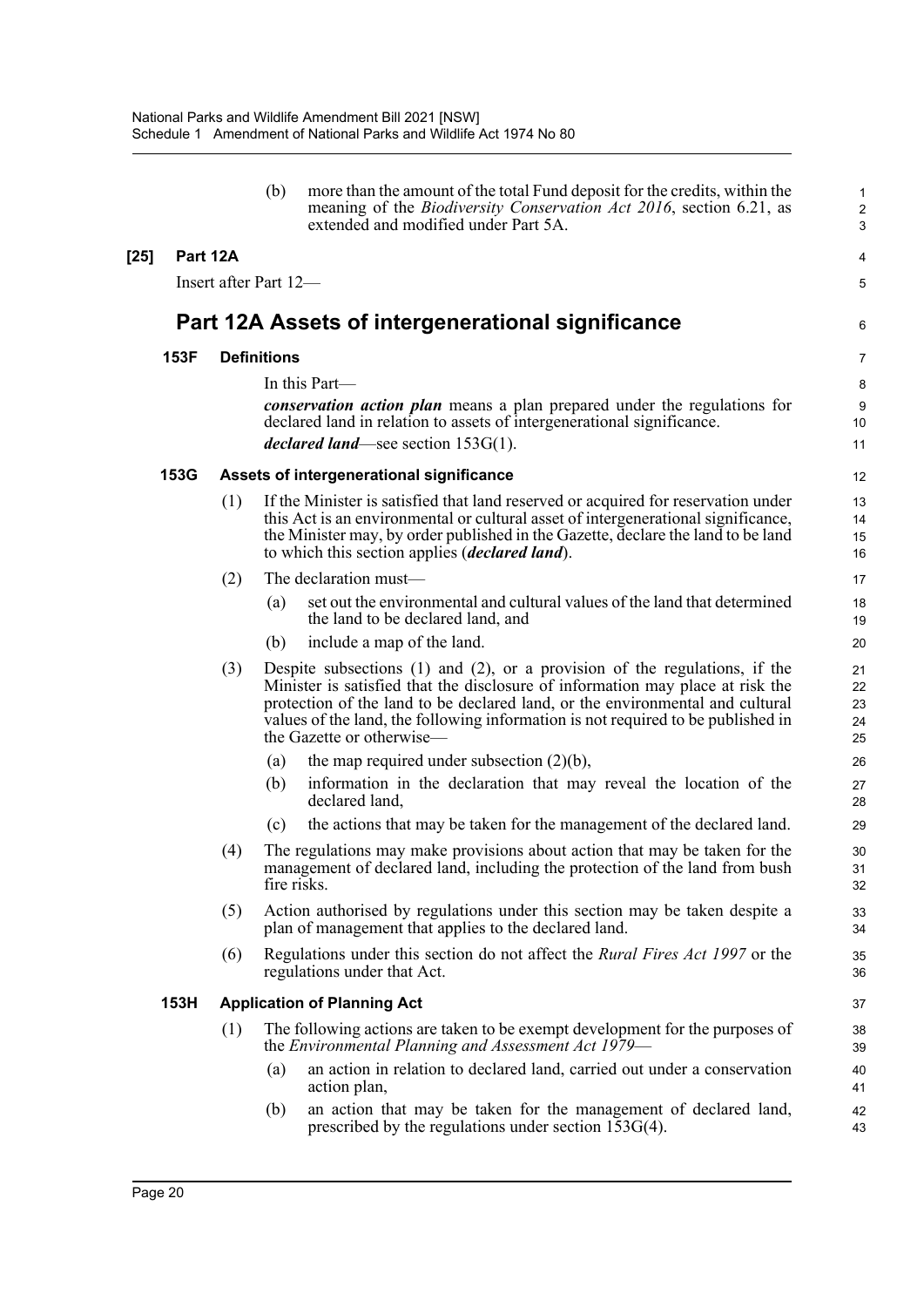|          |     | (b)                   | more than the amount of the total Fund deposit for the credits, within the<br>meaning of the <i>Biodiversity Conservation Act 2016</i> , section 6.21, as<br>extended and modified under Part 5A.                                                                                                                                                                   | 1<br>$\overline{\mathbf{c}}$<br>3 |
|----------|-----|-----------------------|---------------------------------------------------------------------------------------------------------------------------------------------------------------------------------------------------------------------------------------------------------------------------------------------------------------------------------------------------------------------|-----------------------------------|
| Part 12A |     |                       |                                                                                                                                                                                                                                                                                                                                                                     | 4                                 |
|          |     | Insert after Part 12- |                                                                                                                                                                                                                                                                                                                                                                     | 5                                 |
|          |     |                       | Part 12A Assets of intergenerational significance                                                                                                                                                                                                                                                                                                                   | 6                                 |
| 153F     |     | <b>Definitions</b>    |                                                                                                                                                                                                                                                                                                                                                                     | 7                                 |
|          |     |                       | In this Part-                                                                                                                                                                                                                                                                                                                                                       | 8                                 |
|          |     |                       | conservation action plan means a plan prepared under the regulations for<br>declared land in relation to assets of intergenerational significance.<br><i>declared land</i> —see section $153G(1)$ .                                                                                                                                                                 | 9<br>10<br>11                     |
| 153G     |     |                       | Assets of intergenerational significance                                                                                                                                                                                                                                                                                                                            | 12                                |
|          | (1) |                       | If the Minister is satisfied that land reserved or acquired for reservation under<br>this Act is an environmental or cultural asset of intergenerational significance,<br>the Minister may, by order published in the Gazette, declare the land to be land<br>to which this section applies <i>(declared land)</i> .                                                | 13<br>14<br>15<br>16              |
|          | (2) |                       | The declaration must-                                                                                                                                                                                                                                                                                                                                               | 17                                |
|          |     | (a)                   | set out the environmental and cultural values of the land that determined<br>the land to be declared land, and                                                                                                                                                                                                                                                      | 18<br>19                          |
|          |     | (b)                   | include a map of the land.                                                                                                                                                                                                                                                                                                                                          | 20                                |
|          | (3) |                       | Despite subsections $(1)$ and $(2)$ , or a provision of the regulations, if the<br>Minister is satisfied that the disclosure of information may place at risk the<br>protection of the land to be declared land, or the environmental and cultural<br>values of the land, the following information is not required to be published in<br>the Gazette or otherwise— | 21<br>22<br>23<br>24<br>25        |
|          |     | (a)                   | the map required under subsection $(2)(b)$ ,                                                                                                                                                                                                                                                                                                                        | 26                                |
|          |     | (b)                   | information in the declaration that may reveal the location of the<br>declared land,                                                                                                                                                                                                                                                                                | 27<br>28                          |
|          |     | (c)                   | the actions that may be taken for the management of the declared land.                                                                                                                                                                                                                                                                                              | 29                                |
|          | (4) | fire risks.           | The regulations may make provisions about action that may be taken for the<br>management of declared land, including the protection of the land from bush                                                                                                                                                                                                           | 30<br>31<br>32                    |
|          | (5) |                       | Action authorised by regulations under this section may be taken despite a<br>plan of management that applies to the declared land.                                                                                                                                                                                                                                 | 33<br>34                          |
|          | (6) |                       | Regulations under this section do not affect the <i>Rural Fires Act 1997</i> or the<br>regulations under that Act.                                                                                                                                                                                                                                                  | 35<br>36                          |
| 153H     |     |                       | <b>Application of Planning Act</b>                                                                                                                                                                                                                                                                                                                                  | 37                                |
|          | (1) |                       | The following actions are taken to be exempt development for the purposes of<br>the Environmental Planning and Assessment Act 1979—                                                                                                                                                                                                                                 | 38<br>39                          |
|          |     | (a)                   | an action in relation to declared land, carried out under a conservation<br>action plan,                                                                                                                                                                                                                                                                            | 40<br>41                          |
|          |     | (b)                   | an action that may be taken for the management of declared land,<br>prescribed by the regulations under section $153G(4)$ .                                                                                                                                                                                                                                         | 42<br>43                          |
|          |     |                       |                                                                                                                                                                                                                                                                                                                                                                     |                                   |

[25]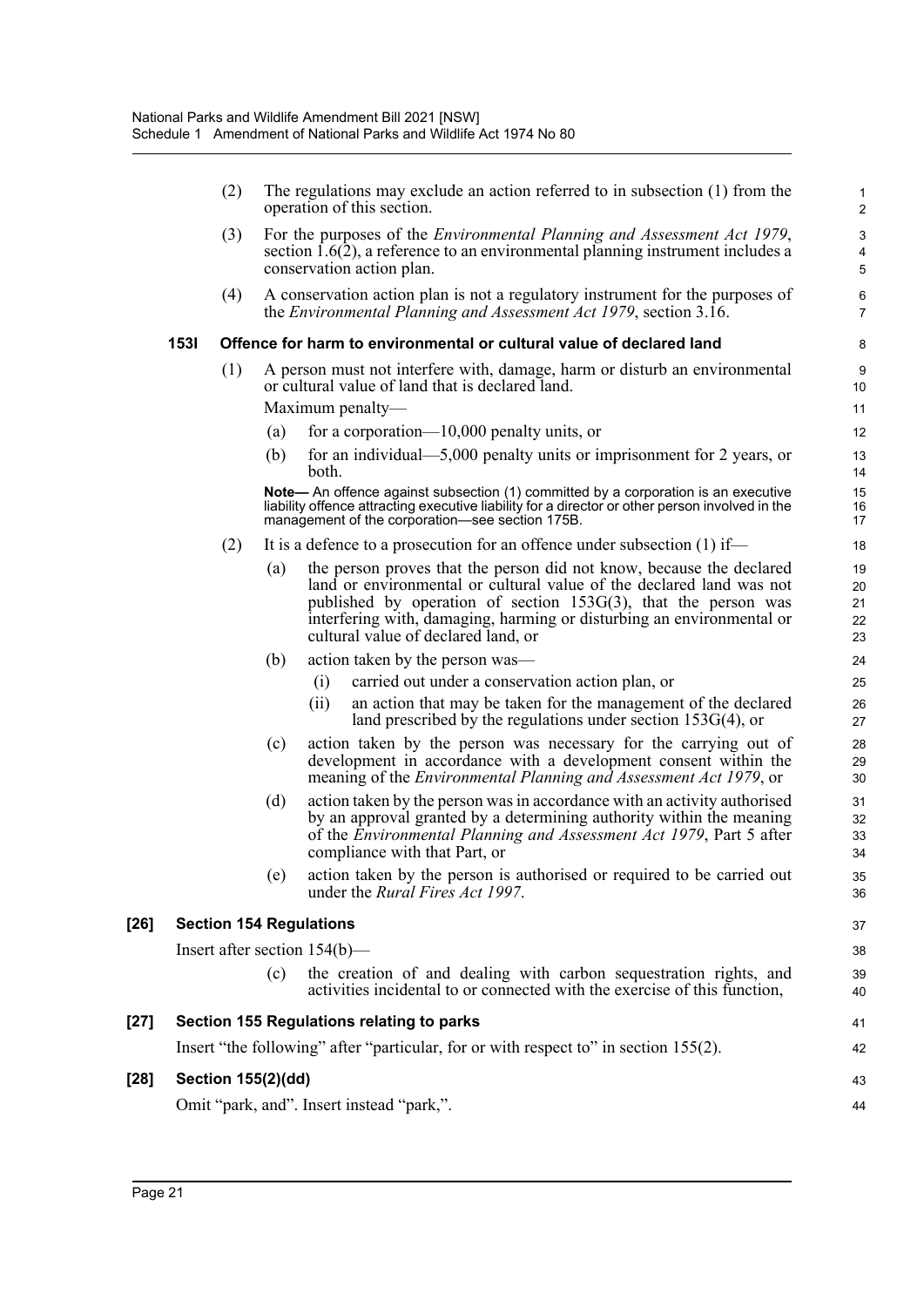|        |      | (2)                |     | The regulations may exclude an action referred to in subsection $(1)$ from the<br>operation of this section.                                                                                                                                                                                                                      | 1<br>$\overline{2}$        |
|--------|------|--------------------|-----|-----------------------------------------------------------------------------------------------------------------------------------------------------------------------------------------------------------------------------------------------------------------------------------------------------------------------------------|----------------------------|
|        |      | (3)                |     | For the purposes of the <i>Environmental Planning and Assessment Act 1979</i> ,<br>section $1.6(2)$ , a reference to an environmental planning instrument includes a<br>conservation action plan.                                                                                                                                 | 3<br>4<br>5                |
|        |      | (4)                |     | A conservation action plan is not a regulatory instrument for the purposes of<br>the <i>Environmental Planning and Assessment Act 1979</i> , section 3.16.                                                                                                                                                                        | 6<br>$\overline{7}$        |
|        | 1531 |                    |     | Offence for harm to environmental or cultural value of declared land                                                                                                                                                                                                                                                              | 8                          |
|        |      | (1)                |     | A person must not interfere with, damage, harm or disturb an environmental<br>or cultural value of land that is declared land.                                                                                                                                                                                                    | $\boldsymbol{9}$<br>10     |
|        |      |                    |     | Maximum penalty—                                                                                                                                                                                                                                                                                                                  | 11                         |
|        |      |                    | (a) | for a corporation— $10,000$ penalty units, or                                                                                                                                                                                                                                                                                     | 12                         |
|        |      |                    | (b) | for an individual—5,000 penalty units or imprisonment for 2 years, or<br>both.                                                                                                                                                                                                                                                    | 13<br>14                   |
|        |      |                    |     | Note— An offence against subsection (1) committed by a corporation is an executive<br>liability offence attracting executive liability for a director or other person involved in the<br>management of the corporation—see section 175B.                                                                                          | 15<br>16<br>17             |
|        |      | (2)                |     | It is a defence to a prosecution for an offence under subsection $(1)$ if—                                                                                                                                                                                                                                                        | 18                         |
|        |      |                    | (a) | the person proves that the person did not know, because the declared<br>land or environmental or cultural value of the declared land was not<br>published by operation of section $153G(3)$ , that the person was<br>interfering with, damaging, harming or disturbing an environmental or<br>cultural value of declared land, or | 19<br>20<br>21<br>22<br>23 |
|        |      |                    | (b) | action taken by the person was-                                                                                                                                                                                                                                                                                                   | 24                         |
|        |      |                    |     | carried out under a conservation action plan, or<br>(i)                                                                                                                                                                                                                                                                           | 25                         |
|        |      |                    |     | an action that may be taken for the management of the declared<br>(ii)<br>land prescribed by the regulations under section $153G(4)$ , or                                                                                                                                                                                         | 26<br>27                   |
|        |      |                    | (c) | action taken by the person was necessary for the carrying out of<br>development in accordance with a development consent within the<br>meaning of the <i>Environmental Planning and Assessment Act 1979</i> , or                                                                                                                  | 28<br>29<br>30             |
|        |      |                    | (d) | action taken by the person was in accordance with an activity authorised<br>by an approval granted by a determining authority within the meaning<br>of the Environmental Planning and Assessment Act 1979, Part 5 after<br>compliance with that Part, or                                                                          | 31<br>32<br>33<br>34       |
|        |      |                    | (e) | action taken by the person is authorised or required to be carried out<br>under the <i>Rural Fires Act 1997</i> .                                                                                                                                                                                                                 | 35<br>36                   |
| $[26]$ |      |                    |     | <b>Section 154 Regulations</b>                                                                                                                                                                                                                                                                                                    | 37                         |
|        |      |                    |     | Insert after section $154(b)$ —                                                                                                                                                                                                                                                                                                   | 38                         |
|        |      |                    | (c) | the creation of and dealing with carbon sequestration rights, and<br>activities incidental to or connected with the exercise of this function,                                                                                                                                                                                    | 39<br>40                   |
| $[27]$ |      |                    |     | Section 155 Regulations relating to parks                                                                                                                                                                                                                                                                                         | 41                         |
|        |      |                    |     | Insert "the following" after "particular, for or with respect to" in section 155(2).                                                                                                                                                                                                                                              | 42                         |
| $[28]$ |      | Section 155(2)(dd) |     |                                                                                                                                                                                                                                                                                                                                   | 43                         |
|        |      |                    |     | Omit "park, and". Insert instead "park,".                                                                                                                                                                                                                                                                                         | 44                         |
|        |      |                    |     |                                                                                                                                                                                                                                                                                                                                   |                            |

[26]

[28]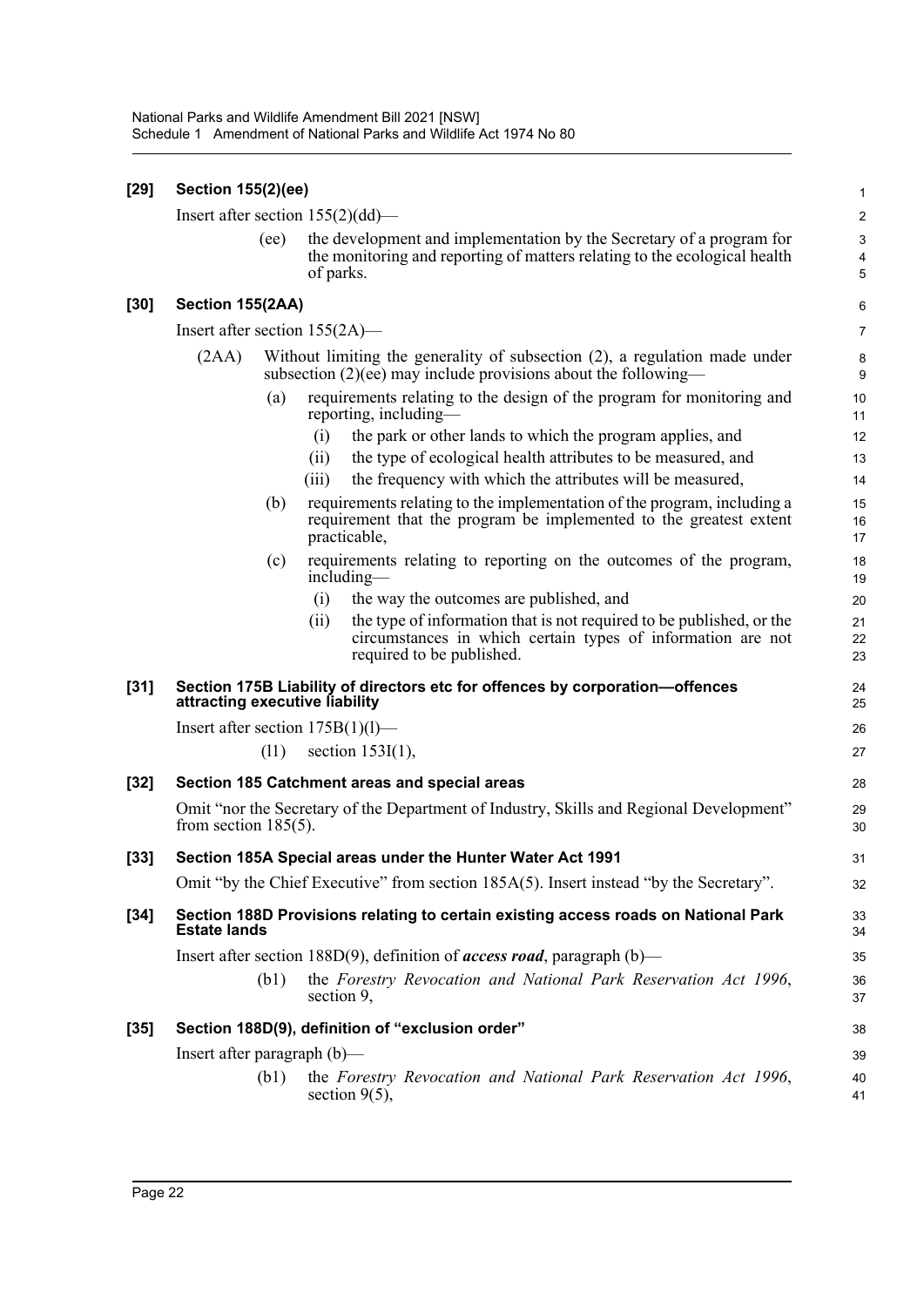| $[29]$ | <b>Section 155(2)(ee)</b>           |                                                                                                                                                                          |                       |  |  |  |
|--------|-------------------------------------|--------------------------------------------------------------------------------------------------------------------------------------------------------------------------|-----------------------|--|--|--|
|        | Insert after section $155(2)(dd)$ — |                                                                                                                                                                          | $\mathbf 2$           |  |  |  |
|        | (ee)                                | the development and implementation by the Secretary of a program for<br>the monitoring and reporting of matters relating to the ecological health<br>of parks.           | $\mathsf 3$<br>4<br>5 |  |  |  |
| $[30]$ | Section 155(2AA)                    |                                                                                                                                                                          | 6                     |  |  |  |
|        | Insert after section $155(2A)$ —    |                                                                                                                                                                          | $\overline{7}$        |  |  |  |
|        | (2AA)                               | Without limiting the generality of subsection (2), a regulation made under<br>subsection $(2)(ee)$ may include provisions about the following—                           | 8<br>9                |  |  |  |
|        | (a)                                 | requirements relating to the design of the program for monitoring and<br>reporting, including—                                                                           | 10<br>11              |  |  |  |
|        |                                     | the park or other lands to which the program applies, and<br>(i)                                                                                                         | 12                    |  |  |  |
|        |                                     | the type of ecological health attributes to be measured, and<br>(ii)                                                                                                     | 13                    |  |  |  |
|        |                                     | the frequency with which the attributes will be measured,<br>(iii)                                                                                                       | 14                    |  |  |  |
|        | (b)                                 | requirements relating to the implementation of the program, including a<br>requirement that the program be implemented to the greatest extent<br>practicable,            | 15<br>16<br>17        |  |  |  |
|        | (c)                                 | requirements relating to reporting on the outcomes of the program,<br>including-                                                                                         | 18<br>19              |  |  |  |
|        |                                     | (i)<br>the way the outcomes are published, and                                                                                                                           | 20                    |  |  |  |
|        |                                     | the type of information that is not required to be published, or the<br>(ii)<br>circumstances in which certain types of information are not<br>required to be published. | 21<br>22<br>23        |  |  |  |
| $[31]$ | attracting executive liability      | Section 175B Liability of directors etc for offences by corporation-offences                                                                                             | 24<br>25              |  |  |  |
|        | Insert after section $175B(1)(l)$ — |                                                                                                                                                                          | 26                    |  |  |  |
|        | (11)                                | section $153I(1)$ ,                                                                                                                                                      | 27                    |  |  |  |
| $[32]$ |                                     | Section 185 Catchment areas and special areas                                                                                                                            | 28                    |  |  |  |
|        | from section $185(5)$ .             | Omit "nor the Secretary of the Department of Industry, Skills and Regional Development"                                                                                  | 29<br>30              |  |  |  |
| $[33]$ |                                     | Section 185A Special areas under the Hunter Water Act 1991                                                                                                               | 31                    |  |  |  |
|        |                                     | Omit "by the Chief Executive" from section 185A(5). Insert instead "by the Secretary".                                                                                   | 32                    |  |  |  |
| $[34]$ | <b>Estate lands</b>                 | Section 188D Provisions relating to certain existing access roads on National Park                                                                                       | 33<br>34              |  |  |  |
|        |                                     | Insert after section 188D(9), definition of <i>access road</i> , paragraph (b)—                                                                                          | 35                    |  |  |  |
|        | (b1)                                | the Forestry Revocation and National Park Reservation Act 1996,<br>section 9,                                                                                            | 36<br>37              |  |  |  |
| $[35]$ |                                     | Section 188D(9), definition of "exclusion order"                                                                                                                         | 38                    |  |  |  |
|        | Insert after paragraph $(b)$ —      |                                                                                                                                                                          | 39                    |  |  |  |
|        | (b1)                                | the Forestry Revocation and National Park Reservation Act 1996,<br>section $9(5)$ ,                                                                                      | 40<br>41              |  |  |  |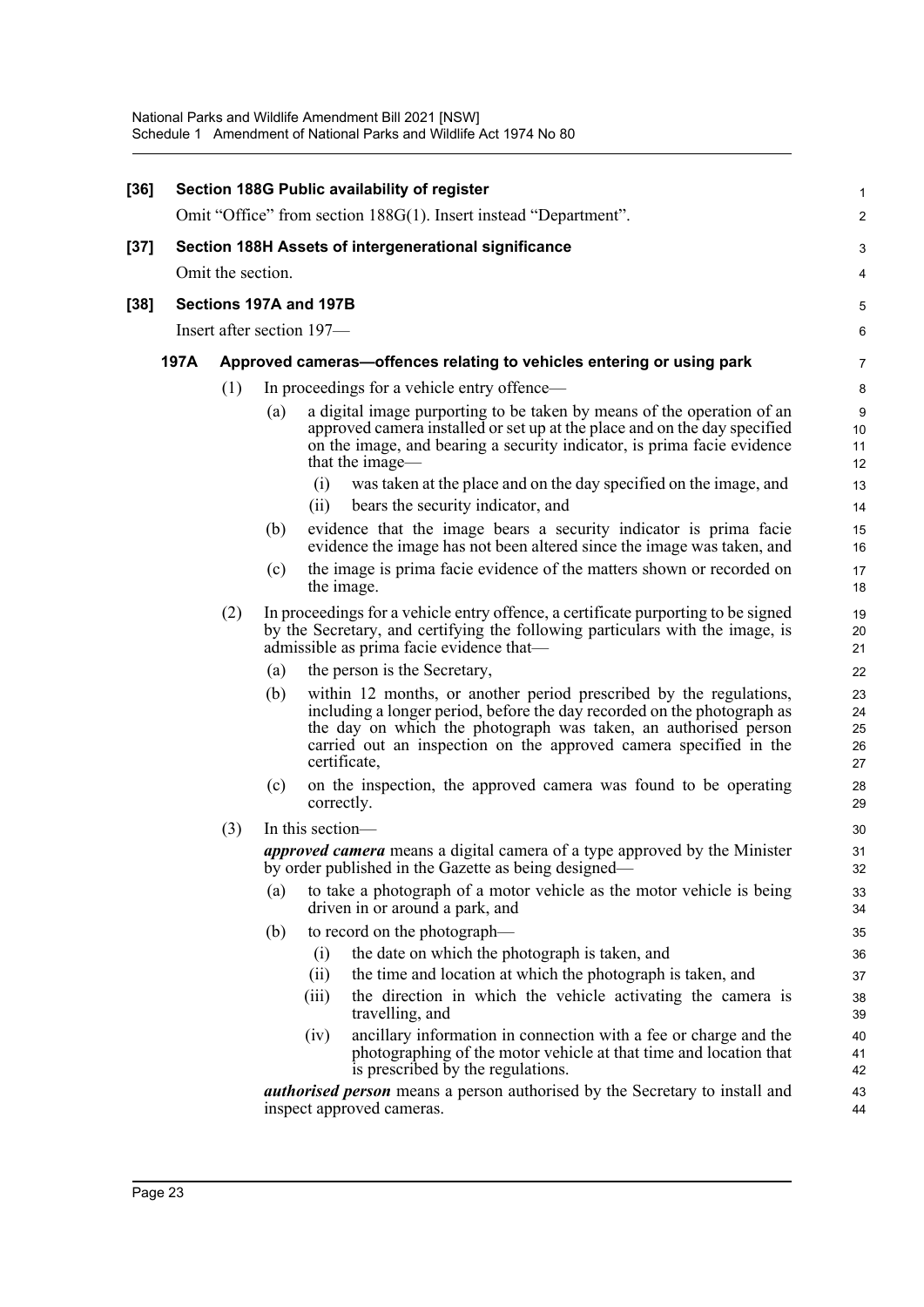| $[36]$ |                                                                            |     |     | Section 188G Public availability of register                                                                                                                                                                                                                                                                                  | 1                          |  |  |  |
|--------|----------------------------------------------------------------------------|-----|-----|-------------------------------------------------------------------------------------------------------------------------------------------------------------------------------------------------------------------------------------------------------------------------------------------------------------------------------|----------------------------|--|--|--|
|        |                                                                            |     |     | Omit "Office" from section 188G(1). Insert instead "Department".                                                                                                                                                                                                                                                              | $\overline{\mathbf{c}}$    |  |  |  |
| [37]   | Section 188H Assets of intergenerational significance<br>Omit the section. |     |     |                                                                                                                                                                                                                                                                                                                               |                            |  |  |  |
|        |                                                                            |     |     |                                                                                                                                                                                                                                                                                                                               | 4                          |  |  |  |
| $[38]$ |                                                                            |     |     | Sections 197A and 197B                                                                                                                                                                                                                                                                                                        | 5                          |  |  |  |
|        | Insert after section 197-                                                  |     |     |                                                                                                                                                                                                                                                                                                                               |                            |  |  |  |
|        | 197A                                                                       |     |     | Approved cameras—offences relating to vehicles entering or using park                                                                                                                                                                                                                                                         | 7                          |  |  |  |
|        |                                                                            | (1) |     | In proceedings for a vehicle entry offence—                                                                                                                                                                                                                                                                                   | 8                          |  |  |  |
|        |                                                                            |     | (a) | a digital image purporting to be taken by means of the operation of an<br>approved camera installed or set up at the place and on the day specified<br>on the image, and bearing a security indicator, is prima facie evidence<br>that the image-<br>(i)<br>was taken at the place and on the day specified on the image, and | 9<br>10<br>11<br>12<br>13  |  |  |  |
|        |                                                                            |     |     | bears the security indicator, and<br>(ii)                                                                                                                                                                                                                                                                                     | 14                         |  |  |  |
|        |                                                                            |     | (b) | evidence that the image bears a security indicator is prima facie<br>evidence the image has not been altered since the image was taken, and                                                                                                                                                                                   | 15<br>16                   |  |  |  |
|        |                                                                            |     | (c) | the image is prima facie evidence of the matters shown or recorded on<br>the image.                                                                                                                                                                                                                                           | 17<br>18                   |  |  |  |
|        |                                                                            | (2) |     | In proceedings for a vehicle entry offence, a certificate purporting to be signed<br>by the Secretary, and certifying the following particulars with the image, is<br>admissible as prima facie evidence that-                                                                                                                | 19<br>20<br>21             |  |  |  |
|        |                                                                            |     | (a) | the person is the Secretary,                                                                                                                                                                                                                                                                                                  | 22                         |  |  |  |
|        |                                                                            |     | (b) | within 12 months, or another period prescribed by the regulations,<br>including a longer period, before the day recorded on the photograph as<br>the day on which the photograph was taken, an authorised person<br>carried out an inspection on the approved camera specified in the<br>certificate,                         | 23<br>24<br>25<br>26<br>27 |  |  |  |
|        |                                                                            |     | (c) | on the inspection, the approved camera was found to be operating<br>correctly.                                                                                                                                                                                                                                                | 28<br>29                   |  |  |  |
|        |                                                                            | (3) |     | In this section-                                                                                                                                                                                                                                                                                                              | 30                         |  |  |  |
|        |                                                                            |     |     | <i>approved camera</i> means a digital camera of a type approved by the Minister<br>by order published in the Gazette as being designed—                                                                                                                                                                                      | 31<br>32                   |  |  |  |
|        |                                                                            |     | (a) | to take a photograph of a motor vehicle as the motor vehicle is being<br>driven in or around a park, and                                                                                                                                                                                                                      | 33<br>34                   |  |  |  |
|        |                                                                            |     | (b) | to record on the photograph—                                                                                                                                                                                                                                                                                                  | 35                         |  |  |  |
|        |                                                                            |     |     | the date on which the photograph is taken, and<br>(i)                                                                                                                                                                                                                                                                         | 36                         |  |  |  |
|        |                                                                            |     |     | the time and location at which the photograph is taken, and<br>(i)<br>the direction in which the vehicle activating the camera is<br>(iii)<br>travelling, and                                                                                                                                                                 | 37<br>38<br>39             |  |  |  |
|        |                                                                            |     |     | ancillary information in connection with a fee or charge and the<br>(iv)<br>photographing of the motor vehicle at that time and location that<br>is prescribed by the regulations.                                                                                                                                            | 40<br>41<br>42             |  |  |  |
|        |                                                                            |     |     | <b>authorised person</b> means a person authorised by the Secretary to install and<br>inspect approved cameras.                                                                                                                                                                                                               | 43<br>44                   |  |  |  |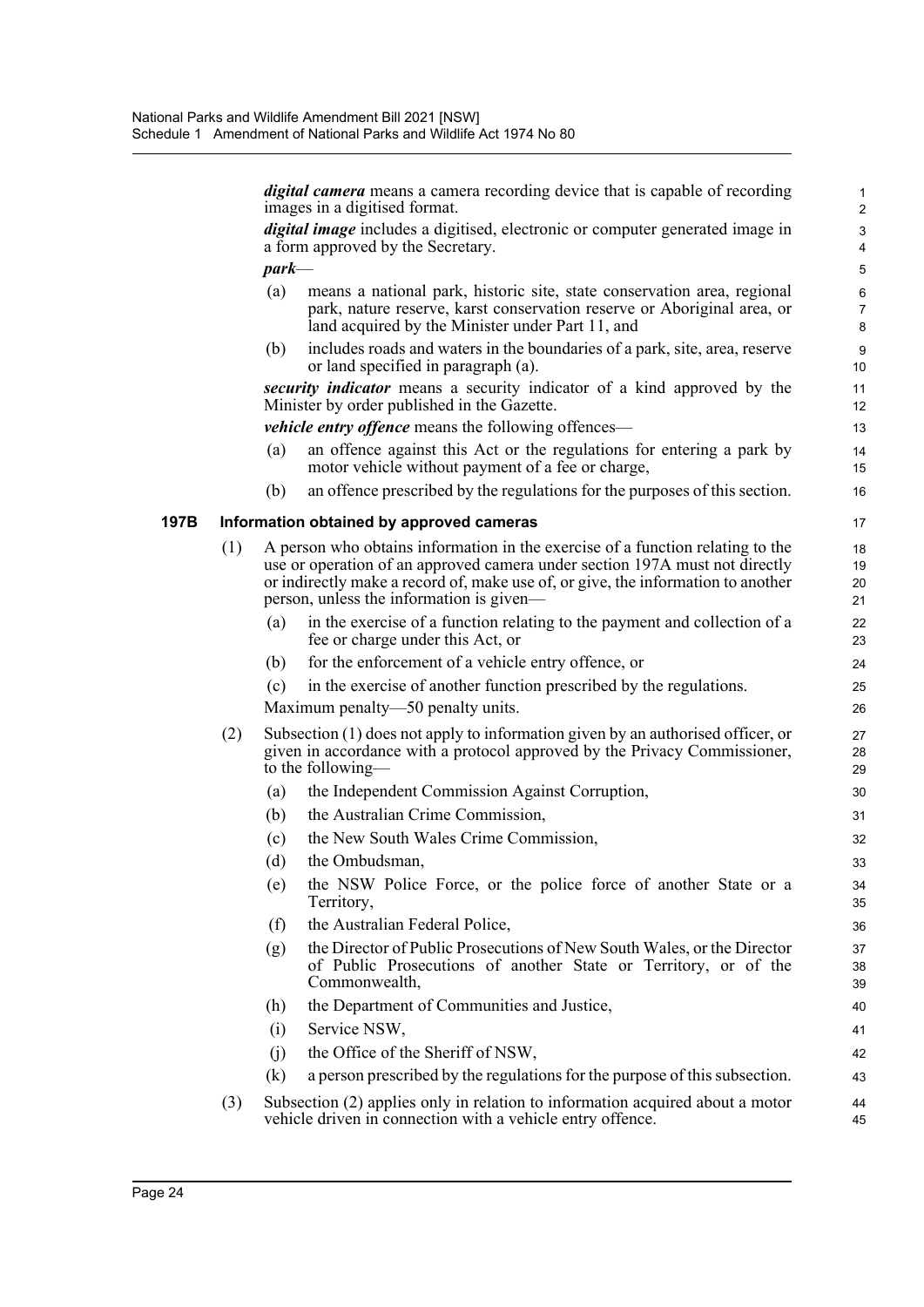|      |     |          | <i>digital camera</i> means a camera recording device that is capable of recording<br>images in a digitised format.                                                                                                                                                                           | 1<br>$\overline{c}$                    |
|------|-----|----------|-----------------------------------------------------------------------------------------------------------------------------------------------------------------------------------------------------------------------------------------------------------------------------------------------|----------------------------------------|
|      |     |          | <i>digital image</i> includes a digitised, electronic or computer generated image in<br>a form approved by the Secretary.                                                                                                                                                                     | $\mathsf 3$<br>$\overline{\mathbf{4}}$ |
|      |     | $park$ — |                                                                                                                                                                                                                                                                                               | 5                                      |
|      |     | (a)      | means a national park, historic site, state conservation area, regional<br>park, nature reserve, karst conservation reserve or Aboriginal area, or<br>land acquired by the Minister under Part 11, and                                                                                        | $\,6$<br>$\overline{7}$<br>8           |
|      |     | (b)      | includes roads and waters in the boundaries of a park, site, area, reserve<br>or land specified in paragraph (a).                                                                                                                                                                             | 9<br>10                                |
|      |     |          | security indicator means a security indicator of a kind approved by the<br>Minister by order published in the Gazette.                                                                                                                                                                        | 11<br>12                               |
|      |     |          | <i>vehicle entry offence</i> means the following offences—                                                                                                                                                                                                                                    | 13                                     |
|      |     | (a)      | an offence against this Act or the regulations for entering a park by<br>motor vehicle without payment of a fee or charge,                                                                                                                                                                    | 14<br>15                               |
|      |     | (b)      | an offence prescribed by the regulations for the purposes of this section.                                                                                                                                                                                                                    | 16                                     |
| 197B |     |          | Information obtained by approved cameras                                                                                                                                                                                                                                                      | 17                                     |
|      | (1) |          | A person who obtains information in the exercise of a function relating to the<br>use or operation of an approved camera under section 197A must not directly<br>or indirectly make a record of, make use of, or give, the information to another<br>person, unless the information is given— | 18<br>19<br>20<br>21                   |
|      |     | (a)      | in the exercise of a function relating to the payment and collection of a<br>fee or charge under this Act, or                                                                                                                                                                                 | 22<br>23                               |
|      |     | (b)      | for the enforcement of a vehicle entry offence, or                                                                                                                                                                                                                                            | 24                                     |
|      |     | (c)      | in the exercise of another function prescribed by the regulations.                                                                                                                                                                                                                            | 25                                     |
|      |     |          | Maximum penalty-50 penalty units.                                                                                                                                                                                                                                                             | 26                                     |
|      | (2) |          | Subsection (1) does not apply to information given by an authorised officer, or<br>given in accordance with a protocol approved by the Privacy Commissioner,<br>to the following—                                                                                                             | 27<br>28<br>29                         |
|      |     | (a)      | the Independent Commission Against Corruption,                                                                                                                                                                                                                                                | 30                                     |
|      |     | (b)      | the Australian Crime Commission,                                                                                                                                                                                                                                                              | 31                                     |
|      |     | (c)      | the New South Wales Crime Commission,                                                                                                                                                                                                                                                         | 32                                     |
|      |     | (d)      | the Ombudsman,                                                                                                                                                                                                                                                                                | 33                                     |
|      |     | (e)      | the NSW Police Force, or the police force of another State or a<br>Territory,                                                                                                                                                                                                                 | 34<br>35                               |
|      |     | (f)      | the Australian Federal Police,                                                                                                                                                                                                                                                                | 36                                     |
|      |     | (g)      | the Director of Public Prosecutions of New South Wales, or the Director<br>of Public Prosecutions of another State or Territory, or of the<br>Commonwealth,                                                                                                                                   | 37<br>38<br>39                         |
|      |     | (h)      | the Department of Communities and Justice,                                                                                                                                                                                                                                                    | 40                                     |
|      |     | (i)      | Service NSW,                                                                                                                                                                                                                                                                                  | 41                                     |
|      |     | (j)      | the Office of the Sheriff of NSW,                                                                                                                                                                                                                                                             | 42                                     |
|      |     | (k)      | a person prescribed by the regulations for the purpose of this subsection.                                                                                                                                                                                                                    | 43                                     |
|      | (3) |          | Subsection (2) applies only in relation to information acquired about a motor<br>vehicle driven in connection with a vehicle entry offence.                                                                                                                                                   | 44<br>45                               |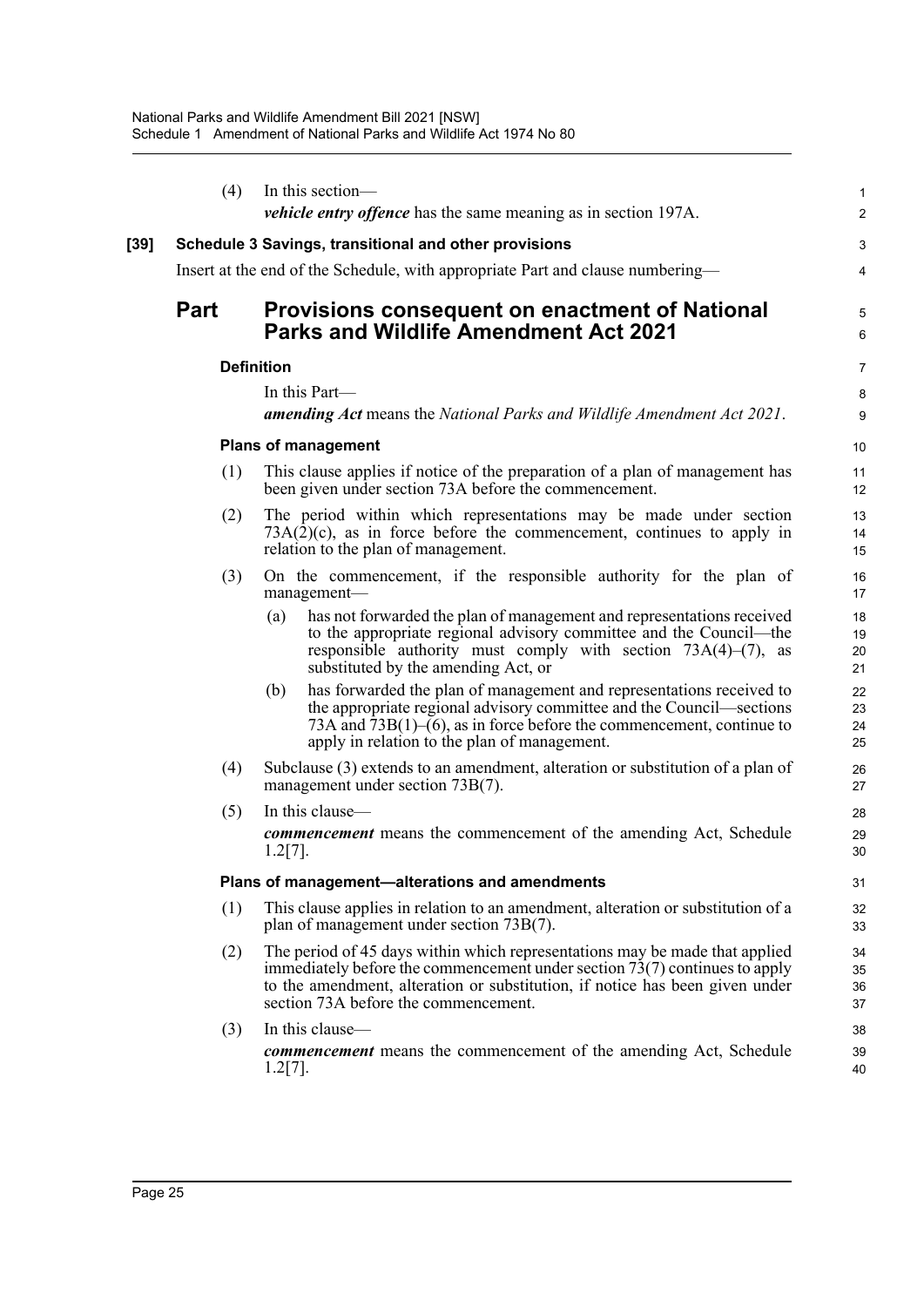|      | (4)         | In this section—                                                                                                                                                                                                                                                                    | $\mathbf{1}$         |
|------|-------------|-------------------------------------------------------------------------------------------------------------------------------------------------------------------------------------------------------------------------------------------------------------------------------------|----------------------|
|      |             | <i>vehicle entry offence</i> has the same meaning as in section 197A.                                                                                                                                                                                                               | $\overline{c}$       |
| [39] |             | Schedule 3 Savings, transitional and other provisions                                                                                                                                                                                                                               | 3                    |
|      |             | Insert at the end of the Schedule, with appropriate Part and clause numbering—                                                                                                                                                                                                      | 4                    |
|      | <b>Part</b> | <b>Provisions consequent on enactment of National</b><br><b>Parks and Wildlife Amendment Act 2021</b>                                                                                                                                                                               | 5<br>6               |
|      |             | <b>Definition</b>                                                                                                                                                                                                                                                                   | $\overline{7}$       |
|      |             | In this Part—<br>amending Act means the National Parks and Wildlife Amendment Act 2021.                                                                                                                                                                                             | 8<br>9               |
|      |             | <b>Plans of management</b>                                                                                                                                                                                                                                                          | 10                   |
|      | (1)         | This clause applies if notice of the preparation of a plan of management has<br>been given under section 73A before the commencement.                                                                                                                                               | 11<br>12             |
|      | (2)         | The period within which representations may be made under section<br>$73A(2)(c)$ , as in force before the commencement, continues to apply in<br>relation to the plan of management.                                                                                                | 13<br>14<br>15       |
|      | (3)         | On the commencement, if the responsible authority for the plan of<br>management-                                                                                                                                                                                                    | 16<br>17             |
|      |             | has not forwarded the plan of management and representations received<br>(a)<br>to the appropriate regional advisory committee and the Council—the<br>responsible authority must comply with section $73A(4)$ – $(7)$ , as<br>substituted by the amending Act, or                   | 18<br>19<br>20<br>21 |
|      |             | has forwarded the plan of management and representations received to<br>(b)<br>the appropriate regional advisory committee and the Council—sections<br>73A and $73B(1)$ –(6), as in force before the commencement, continue to<br>apply in relation to the plan of management.      | 22<br>23<br>24<br>25 |
|      | (4)         | Subclause (3) extends to an amendment, alteration or substitution of a plan of<br>management under section 73B(7).                                                                                                                                                                  | 26<br>27             |
|      | (5)         | In this clause-                                                                                                                                                                                                                                                                     | 28                   |
|      |             | <b><i>commencement</i></b> means the commencement of the amending Act, Schedule<br>$1.2[7]$ .                                                                                                                                                                                       | 29<br>30             |
|      |             | Plans of management-alterations and amendments                                                                                                                                                                                                                                      | 31                   |
|      | (1)         | This clause applies in relation to an amendment, alteration or substitution of a<br>plan of management under section 73B(7).                                                                                                                                                        | 32<br>33             |
|      | (2)         | The period of 45 days within which representations may be made that applied<br>immediately before the commencement under section $73(7)$ continues to apply<br>to the amendment, alteration or substitution, if notice has been given under<br>section 73A before the commencement. | 34<br>35<br>36<br>37 |
|      | (3)         | In this clause-                                                                                                                                                                                                                                                                     | 38                   |
|      |             | <b><i>commencement</i></b> means the commencement of the amending Act, Schedule<br>$1.2[7]$ .                                                                                                                                                                                       | 39<br>40             |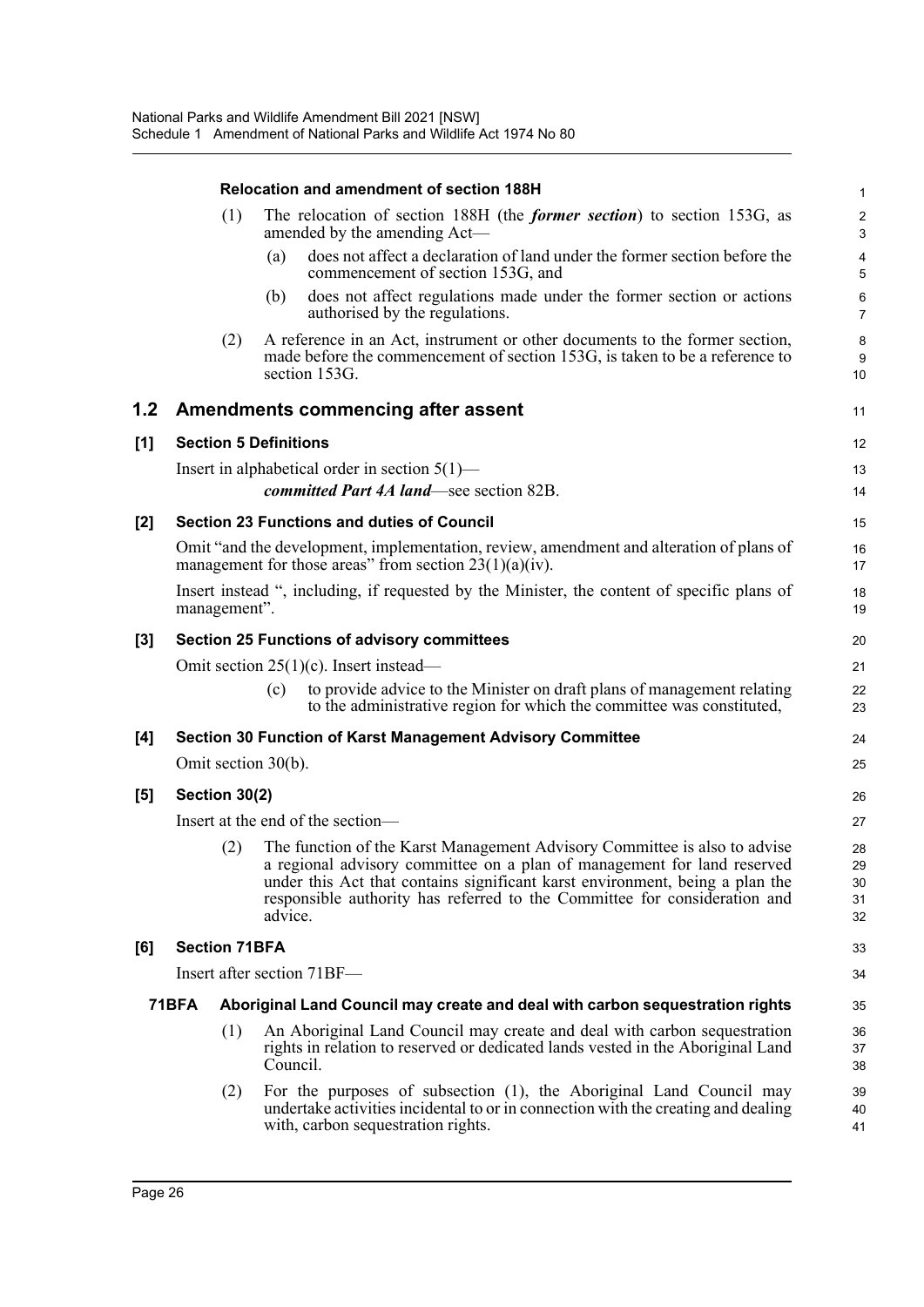|       |                                                                                                             |                      | Relocation and amendment of section 188H                                                                                                                                                                                                                                                                                     | 1                            |  |  |  |
|-------|-------------------------------------------------------------------------------------------------------------|----------------------|------------------------------------------------------------------------------------------------------------------------------------------------------------------------------------------------------------------------------------------------------------------------------------------------------------------------------|------------------------------|--|--|--|
|       |                                                                                                             | (1)                  | The relocation of section 188H (the <i>former section</i> ) to section 153G, as<br>amended by the amending Act—                                                                                                                                                                                                              | $\overline{\mathbf{c}}$<br>3 |  |  |  |
|       |                                                                                                             |                      | does not affect a declaration of land under the former section before the<br>(a)<br>commencement of section 153G, and                                                                                                                                                                                                        | 4<br>5                       |  |  |  |
|       |                                                                                                             |                      | does not affect regulations made under the former section or actions<br>(b)<br>authorised by the regulations.                                                                                                                                                                                                                | 6<br>7                       |  |  |  |
|       |                                                                                                             | (2)                  | A reference in an Act, instrument or other documents to the former section,<br>made before the commencement of section 153G, is taken to be a reference to<br>section 153G.                                                                                                                                                  | 8<br>9<br>10                 |  |  |  |
| 1.2   |                                                                                                             |                      | Amendments commencing after assent                                                                                                                                                                                                                                                                                           | 11                           |  |  |  |
| [1]   |                                                                                                             |                      | <b>Section 5 Definitions</b>                                                                                                                                                                                                                                                                                                 | 12                           |  |  |  |
|       |                                                                                                             |                      | Insert in alphabetical order in section $5(1)$ —                                                                                                                                                                                                                                                                             | 13                           |  |  |  |
|       |                                                                                                             |                      | committed Part 4A land—see section 82B.                                                                                                                                                                                                                                                                                      | 14                           |  |  |  |
| $[2]$ |                                                                                                             |                      | <b>Section 23 Functions and duties of Council</b>                                                                                                                                                                                                                                                                            | 15                           |  |  |  |
|       |                                                                                                             |                      | Omit "and the development, implementation, review, amendment and alteration of plans of<br>management for those areas" from section $23(1)(a)(iv)$ .                                                                                                                                                                         | 16<br>17                     |  |  |  |
|       | Insert instead ", including, if requested by the Minister, the content of specific plans of<br>management". |                      |                                                                                                                                                                                                                                                                                                                              |                              |  |  |  |
| $[3]$ |                                                                                                             |                      | <b>Section 25 Functions of advisory committees</b>                                                                                                                                                                                                                                                                           | 20                           |  |  |  |
|       |                                                                                                             |                      | Omit section $25(1)(c)$ . Insert instead—                                                                                                                                                                                                                                                                                    | 21                           |  |  |  |
|       |                                                                                                             |                      | to provide advice to the Minister on draft plans of management relating<br>(c)<br>to the administrative region for which the committee was constituted,                                                                                                                                                                      | 22<br>23                     |  |  |  |
| [4]   |                                                                                                             |                      | <b>Section 30 Function of Karst Management Advisory Committee</b>                                                                                                                                                                                                                                                            | 24                           |  |  |  |
|       |                                                                                                             |                      | Omit section 30(b).                                                                                                                                                                                                                                                                                                          | 25                           |  |  |  |
| [5]   |                                                                                                             | Section 30(2)        |                                                                                                                                                                                                                                                                                                                              | 26                           |  |  |  |
|       |                                                                                                             |                      | Insert at the end of the section-                                                                                                                                                                                                                                                                                            | 27                           |  |  |  |
|       |                                                                                                             | (2)                  | The function of the Karst Management Advisory Committee is also to advise<br>a regional advisory committee on a plan of management for land reserved<br>under this Act that contains significant karst environment, being a plan the<br>responsible authority has referred to the Committee for consideration and<br>advice. | 28<br>29<br>30<br>31<br>32   |  |  |  |
| [6]   |                                                                                                             | <b>Section 71BFA</b> |                                                                                                                                                                                                                                                                                                                              | 33                           |  |  |  |
|       |                                                                                                             |                      | Insert after section 71BF—                                                                                                                                                                                                                                                                                                   | 34                           |  |  |  |
|       | 71BFA                                                                                                       |                      | Aboriginal Land Council may create and deal with carbon sequestration rights                                                                                                                                                                                                                                                 | 35                           |  |  |  |
|       |                                                                                                             | (1)                  | An Aboriginal Land Council may create and deal with carbon sequestration<br>rights in relation to reserved or dedicated lands vested in the Aboriginal Land<br>Council.                                                                                                                                                      | 36<br>37<br>38               |  |  |  |
|       |                                                                                                             | (2)                  | For the purposes of subsection (1), the Aboriginal Land Council may<br>undertake activities incidental to or in connection with the creating and dealing<br>with, carbon sequestration rights.                                                                                                                               | 39<br>40<br>41               |  |  |  |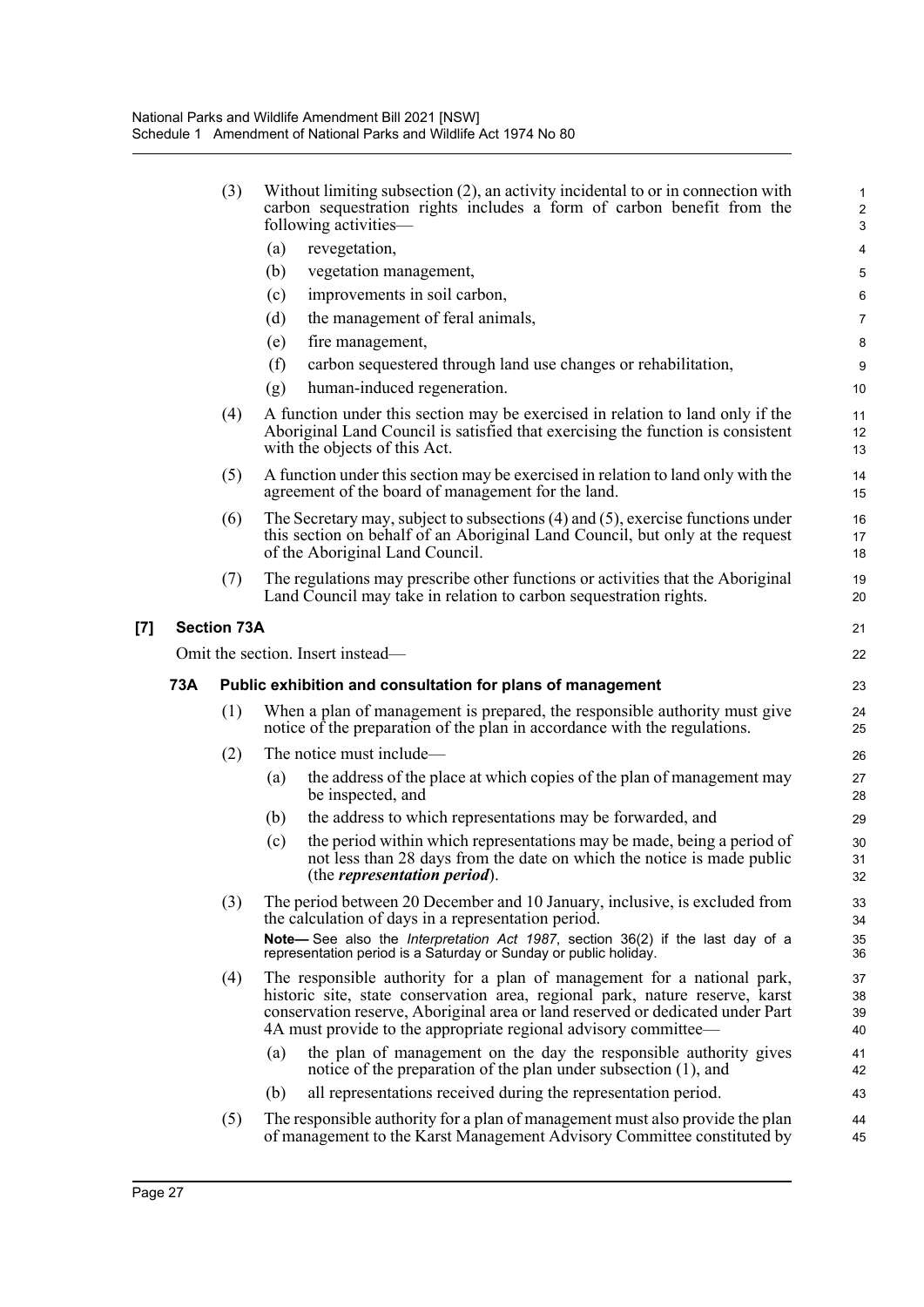|     | (3)                | Without limiting subsection (2), an activity incidental to or in connection with<br>carbon sequestration rights includes a form of carbon benefit from the<br>following activities—                                                                                                                          | $\mathbf{1}$<br>$\overline{2}$<br>3 |
|-----|--------------------|--------------------------------------------------------------------------------------------------------------------------------------------------------------------------------------------------------------------------------------------------------------------------------------------------------------|-------------------------------------|
|     |                    | (a)<br>revegetation,                                                                                                                                                                                                                                                                                         | $\overline{4}$                      |
|     |                    | (b)<br>vegetation management,                                                                                                                                                                                                                                                                                | 5                                   |
|     |                    | improvements in soil carbon,<br>(c)                                                                                                                                                                                                                                                                          | $6\phantom{1}6$                     |
|     |                    | the management of feral animals,<br>(d)                                                                                                                                                                                                                                                                      | 7                                   |
|     |                    | (e)<br>fire management,                                                                                                                                                                                                                                                                                      | 8                                   |
|     |                    | (f)<br>carbon sequestered through land use changes or rehabilitation,                                                                                                                                                                                                                                        | 9                                   |
|     |                    | human-induced regeneration.<br>(g)                                                                                                                                                                                                                                                                           | 10                                  |
|     | (4)                | A function under this section may be exercised in relation to land only if the<br>Aboriginal Land Council is satisfied that exercising the function is consistent<br>with the objects of this Act.                                                                                                           | 11<br>12<br>13                      |
|     | (5)                | A function under this section may be exercised in relation to land only with the<br>agreement of the board of management for the land.                                                                                                                                                                       | 14<br>15                            |
|     | (6)                | The Secretary may, subject to subsections $(4)$ and $(5)$ , exercise functions under<br>this section on behalf of an Aboriginal Land Council, but only at the request<br>of the Aboriginal Land Council.                                                                                                     | 16<br>17<br>18                      |
|     | (7)                | The regulations may prescribe other functions or activities that the Aboriginal<br>Land Council may take in relation to carbon sequestration rights.                                                                                                                                                         | 19<br>20                            |
|     | <b>Section 73A</b> |                                                                                                                                                                                                                                                                                                              | 21                                  |
|     |                    | Omit the section. Insert instead—                                                                                                                                                                                                                                                                            | 22                                  |
|     |                    |                                                                                                                                                                                                                                                                                                              |                                     |
| 73A |                    | Public exhibition and consultation for plans of management                                                                                                                                                                                                                                                   | 23                                  |
|     | (1)                | When a plan of management is prepared, the responsible authority must give<br>notice of the preparation of the plan in accordance with the regulations.                                                                                                                                                      | 24<br>25                            |
|     | (2)                | The notice must include—                                                                                                                                                                                                                                                                                     | 26                                  |
|     |                    | the address of the place at which copies of the plan of management may<br>(a)<br>be inspected, and                                                                                                                                                                                                           | 27<br>28                            |
|     |                    | the address to which representations may be forwarded, and<br>(b)                                                                                                                                                                                                                                            | 29                                  |
|     |                    | the period within which representations may be made, being a period of<br>(c)<br>not less than 28 days from the date on which the notice is made public<br>(the <i>representation period</i> ).                                                                                                              | 30<br>31<br>32                      |
|     | (3)                | The period between 20 December and 10 January, inclusive, is excluded from<br>the calculation of days in a representation period.                                                                                                                                                                            | 33<br>34                            |
|     |                    | Note-See also the <i>Interpretation Act 1987</i> , section 36(2) if the last day of a<br>representation period is a Saturday or Sunday or public holiday.                                                                                                                                                    | 35<br>36                            |
|     | (4)                | The responsible authority for a plan of management for a national park,<br>historic site, state conservation area, regional park, nature reserve, karst<br>conservation reserve, Aboriginal area or land reserved or dedicated under Part<br>4A must provide to the appropriate regional advisory committee— | 37<br>38<br>39<br>40                |
|     |                    | the plan of management on the day the responsible authority gives<br>(a)<br>notice of the preparation of the plan under subsection (1), and                                                                                                                                                                  | 41<br>42                            |
|     |                    | all representations received during the representation period.<br>(b)                                                                                                                                                                                                                                        | 43                                  |

**[7] Section 73A**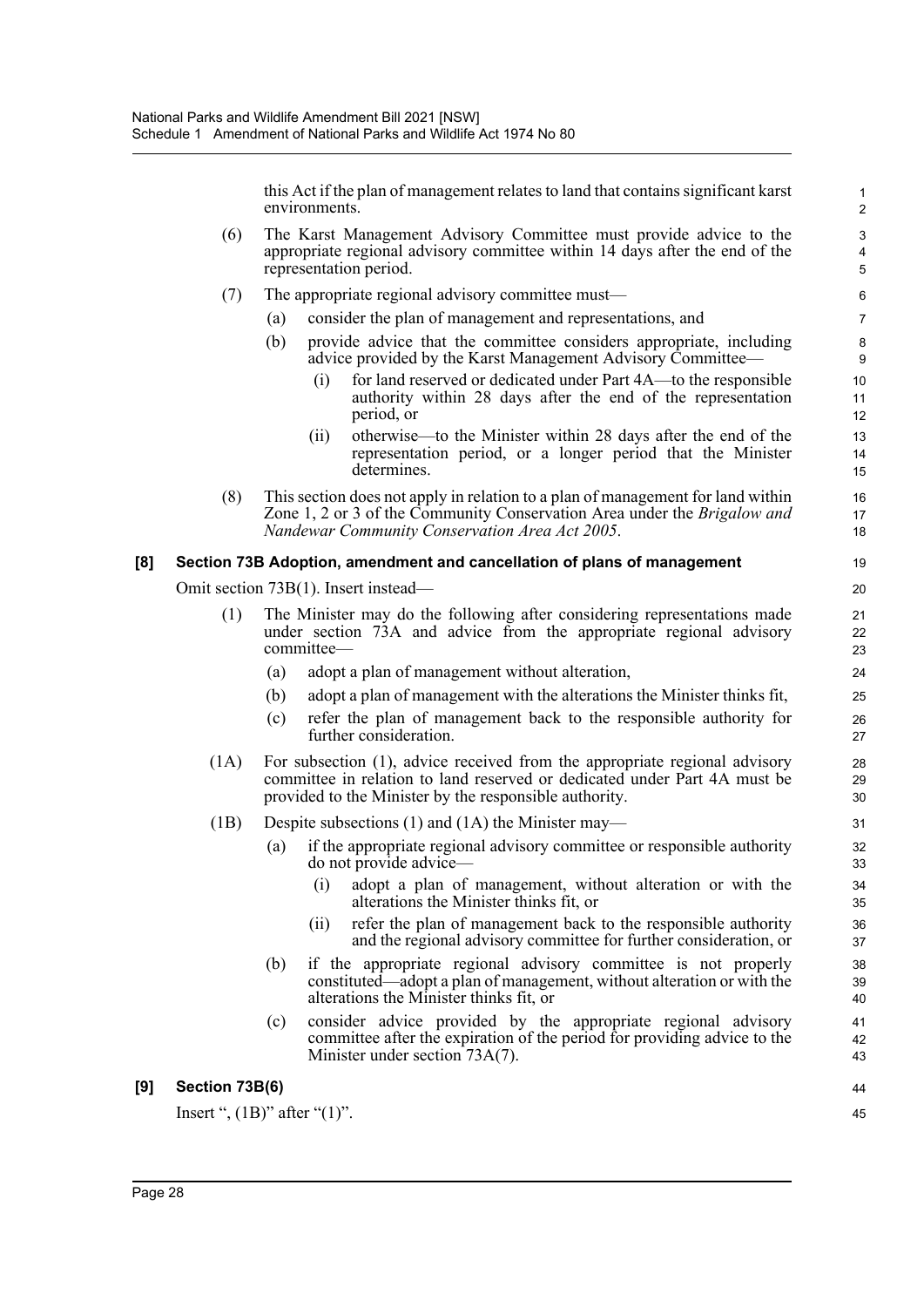this Act if the plan of management relates to land that contains significant karst environments.

44 45

- (6) The Karst Management Advisory Committee must provide advice to the appropriate regional advisory committee within 14 days after the end of the representation period.
- (7) The appropriate regional advisory committee must—
	- (a) consider the plan of management and representations, and
	- (b) provide advice that the committee considers appropriate, including advice provided by the Karst Management Advisory Committee—
		- (i) for land reserved or dedicated under Part 4A—to the responsible authority within 28 days after the end of the representation period, or
		- (ii) otherwise—to the Minister within 28 days after the end of the representation period, or a longer period that the Minister determines.
- (8) This section does not apply in relation to a plan of management for land within Zone 1, 2 or 3 of the Community Conservation Area under the *Brigalow and Nandewar Community Conservation Area Act 2005*.

#### **[8] Section 73B Adoption, amendment and cancellation of plans of management**

Omit section 73B(1). Insert instead—

- (1) The Minister may do the following after considering representations made under section 73A and advice from the appropriate regional advisory committee—
	- (a) adopt a plan of management without alteration,
	- (b) adopt a plan of management with the alterations the Minister thinks fit,
	- (c) refer the plan of management back to the responsible authority for further consideration.
- (1A) For subsection (1), advice received from the appropriate regional advisory committee in relation to land reserved or dedicated under Part 4A must be provided to the Minister by the responsible authority.
- (1B) Despite subsections (1) and (1A) the Minister may—
	- (a) if the appropriate regional advisory committee or responsible authority do not provide advice—
		- (i) adopt a plan of management, without alteration or with the alterations the Minister thinks fit, or
		- (ii) refer the plan of management back to the responsible authority and the regional advisory committee for further consideration, or
	- (b) if the appropriate regional advisory committee is not properly constituted—adopt a plan of management, without alteration or with the alterations the Minister thinks fit, or
	- (c) consider advice provided by the appropriate regional advisory committee after the expiration of the period for providing advice to the Minister under section 73A(7).

#### **[9] Section 73B(6)**

Insert ",  $(1B)$ " after " $(1)$ ".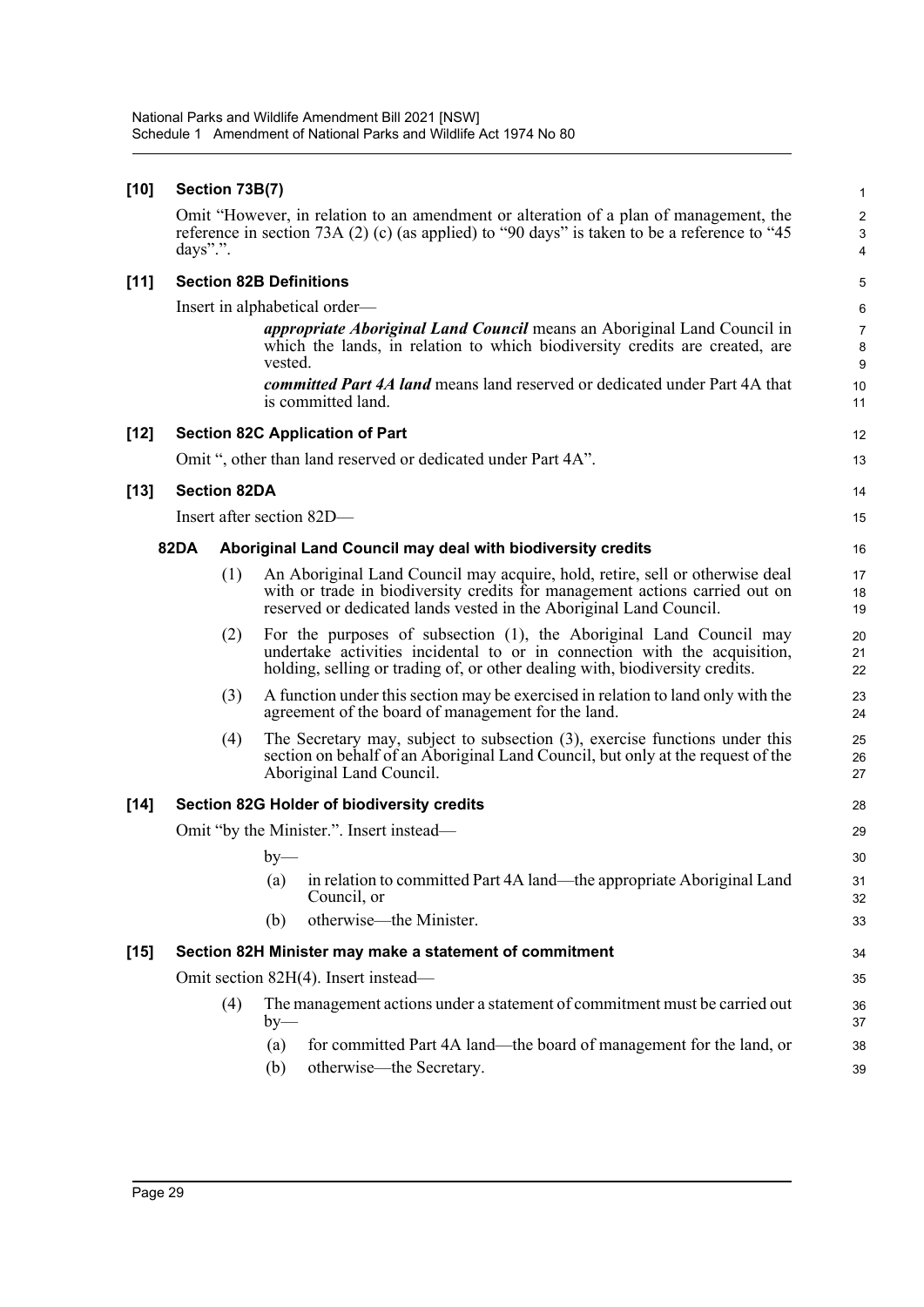| $[10]$ | Section 73B(7)      |                                                                                                                                                                                                                                   |                          |  |  |  |
|--------|---------------------|-----------------------------------------------------------------------------------------------------------------------------------------------------------------------------------------------------------------------------------|--------------------------|--|--|--|
|        | days".".            | Omit "However, in relation to an amendment or alteration of a plan of management, the<br>reference in section 73A (2) (c) (as applied) to "90 days" is taken to be a reference to "45                                             | $\overline{c}$<br>3<br>4 |  |  |  |
| $[11]$ |                     | <b>Section 82B Definitions</b>                                                                                                                                                                                                    | 5                        |  |  |  |
|        |                     | Insert in alphabetical order—                                                                                                                                                                                                     | 6                        |  |  |  |
|        |                     | <i>appropriate Aboriginal Land Council</i> means an Aboriginal Land Council in<br>which the lands, in relation to which biodiversity credits are created, are<br>vested.                                                          | $\overline{7}$<br>8<br>9 |  |  |  |
|        |                     | committed Part 4A land means land reserved or dedicated under Part 4A that<br>is committed land.                                                                                                                                  | 10<br>11                 |  |  |  |
| $[12]$ |                     | <b>Section 82C Application of Part</b>                                                                                                                                                                                            | 12                       |  |  |  |
|        |                     | Omit ", other than land reserved or dedicated under Part 4A".                                                                                                                                                                     | 13                       |  |  |  |
| $[13]$ | <b>Section 82DA</b> |                                                                                                                                                                                                                                   | 14                       |  |  |  |
|        |                     | Insert after section 82D-                                                                                                                                                                                                         | 15                       |  |  |  |
|        | <b>82DA</b>         | Aboriginal Land Council may deal with biodiversity credits                                                                                                                                                                        | 16                       |  |  |  |
|        | (1)                 | An Aboriginal Land Council may acquire, hold, retire, sell or otherwise deal<br>with or trade in biodiversity credits for management actions carried out on<br>reserved or dedicated lands vested in the Aboriginal Land Council. | 17<br>18<br>19           |  |  |  |
|        | (2)                 | For the purposes of subsection (1), the Aboriginal Land Council may<br>undertake activities incidental to or in connection with the acquisition,<br>holding, selling or trading of, or other dealing with, biodiversity credits.  | 20<br>21<br>22           |  |  |  |
|        | (3)                 | A function under this section may be exercised in relation to land only with the<br>agreement of the board of management for the land.                                                                                            | 23<br>24                 |  |  |  |
|        | (4)                 | The Secretary may, subject to subsection (3), exercise functions under this<br>section on behalf of an Aboriginal Land Council, but only at the request of the<br>Aboriginal Land Council.                                        | 25<br>26<br>27           |  |  |  |
| $[14]$ |                     | <b>Section 82G Holder of biodiversity credits</b>                                                                                                                                                                                 | 28                       |  |  |  |
|        |                     | Omit "by the Minister.". Insert instead—                                                                                                                                                                                          | 29                       |  |  |  |
|        |                     | $by-$                                                                                                                                                                                                                             | 30                       |  |  |  |
|        |                     | in relation to committed Part 4A land—the appropriate Aboriginal Land<br>(a)<br>Council, or                                                                                                                                       | 31<br>32                 |  |  |  |
|        |                     | otherwise—the Minister.<br>(b)                                                                                                                                                                                                    | 33                       |  |  |  |
| $[15]$ |                     | Section 82H Minister may make a statement of commitment                                                                                                                                                                           | 34                       |  |  |  |
|        |                     | Omit section 82H(4). Insert instead—                                                                                                                                                                                              | 35                       |  |  |  |
|        | (4)                 | The management actions under a statement of commitment must be carried out<br>$by-$                                                                                                                                               | 36<br>37                 |  |  |  |
|        |                     | for committed Part 4A land—the board of management for the land, or<br>(a)<br>(b)<br>otherwise—the Secretary.                                                                                                                     | 38<br>39                 |  |  |  |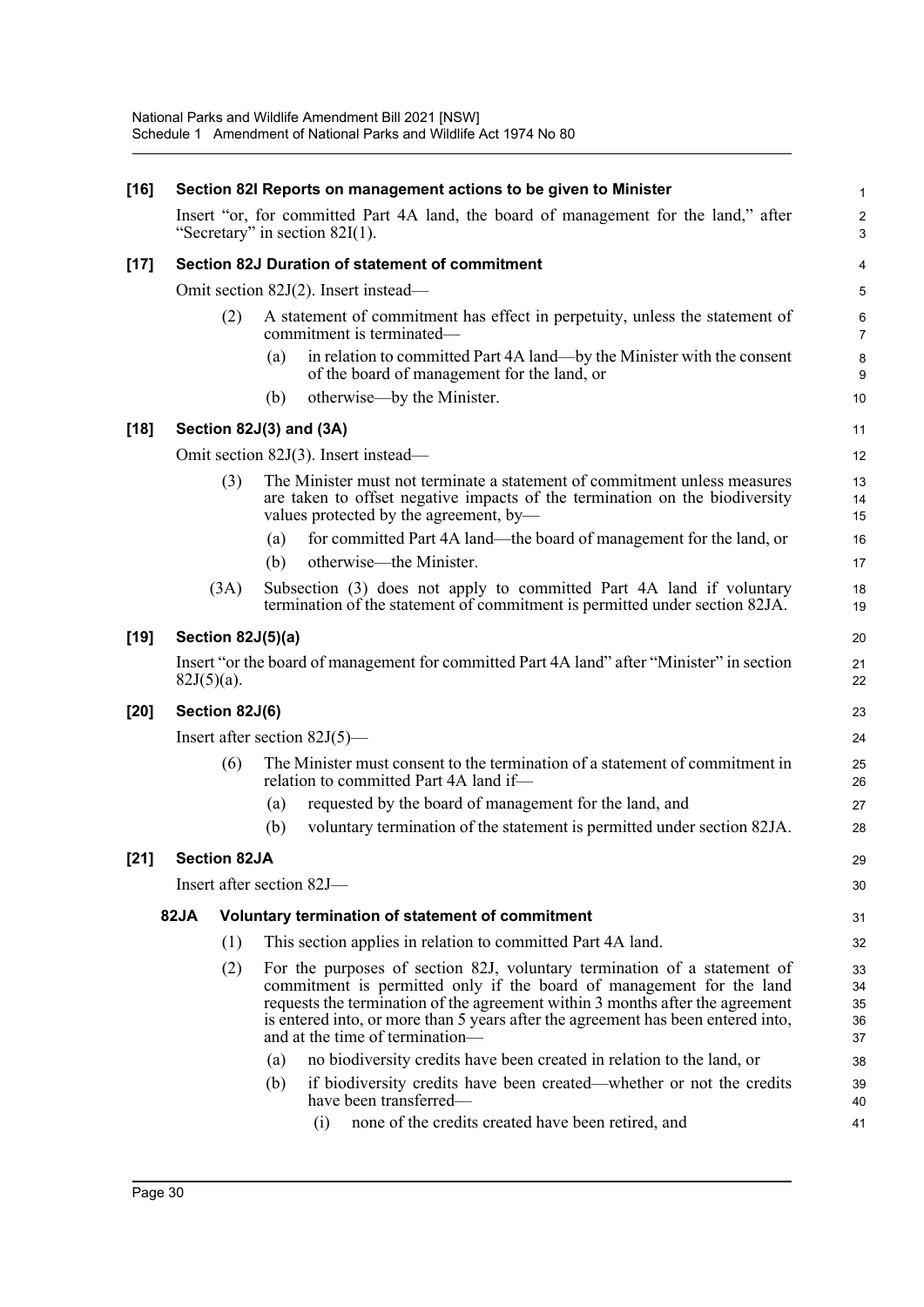| $[16]$ |                                                 |                     |     | Section 82I Reports on management actions to be given to Minister                                                                                                                                                                                                                                                                                        | 1                            |  |  |
|--------|-------------------------------------------------|---------------------|-----|----------------------------------------------------------------------------------------------------------------------------------------------------------------------------------------------------------------------------------------------------------------------------------------------------------------------------------------------------------|------------------------------|--|--|
|        |                                                 |                     |     | Insert "or, for committed Part 4A land, the board of management for the land," after<br>"Secretary" in section $82I(1)$ .                                                                                                                                                                                                                                | $\overline{\mathbf{c}}$<br>3 |  |  |
| $[17]$ | Section 82J Duration of statement of commitment |                     |     |                                                                                                                                                                                                                                                                                                                                                          |                              |  |  |
|        |                                                 |                     |     | Omit section 82J(2). Insert instead—                                                                                                                                                                                                                                                                                                                     | 5                            |  |  |
|        |                                                 | (2)                 |     | A statement of commitment has effect in perpetuity, unless the statement of<br>commitment is terminated-                                                                                                                                                                                                                                                 | 6<br>$\overline{7}$          |  |  |
|        |                                                 |                     | (a) | in relation to committed Part 4A land—by the Minister with the consent<br>of the board of management for the land, or                                                                                                                                                                                                                                    | 8<br>9                       |  |  |
|        |                                                 |                     | (b) | otherwise—by the Minister.                                                                                                                                                                                                                                                                                                                               | 10                           |  |  |
| $[18]$ |                                                 |                     |     | Section 82J(3) and (3A)                                                                                                                                                                                                                                                                                                                                  | 11                           |  |  |
|        |                                                 |                     |     | Omit section 82J(3). Insert instead—                                                                                                                                                                                                                                                                                                                     | 12                           |  |  |
|        |                                                 | (3)                 |     | The Minister must not terminate a statement of commitment unless measures<br>are taken to offset negative impacts of the termination on the biodiversity<br>values protected by the agreement, by-                                                                                                                                                       | 13<br>14<br>15               |  |  |
|        |                                                 |                     | (a) | for committed Part 4A land-the board of management for the land, or                                                                                                                                                                                                                                                                                      | 16                           |  |  |
|        |                                                 |                     | (b) | otherwise—the Minister.                                                                                                                                                                                                                                                                                                                                  | 17                           |  |  |
|        |                                                 | (3A)                |     | Subsection (3) does not apply to committed Part 4A land if voluntary<br>termination of the statement of commitment is permitted under section 82JA.                                                                                                                                                                                                      | 18<br>19                     |  |  |
| $[19]$ |                                                 | Section 82J(5)(a)   |     |                                                                                                                                                                                                                                                                                                                                                          | 20                           |  |  |
|        | $82J(5)(a)$ .                                   |                     |     | Insert "or the board of management for committed Part 4A land" after "Minister" in section                                                                                                                                                                                                                                                               | 21<br>22                     |  |  |
| $[20]$ | Section 82J(6)                                  |                     |     |                                                                                                                                                                                                                                                                                                                                                          |                              |  |  |
|        |                                                 |                     |     | Insert after section $82J(5)$ —                                                                                                                                                                                                                                                                                                                          | 24                           |  |  |
|        |                                                 | (6)                 |     | The Minister must consent to the termination of a statement of commitment in<br>relation to committed Part 4A land if-                                                                                                                                                                                                                                   | 25<br>26                     |  |  |
|        |                                                 |                     | (a) | requested by the board of management for the land, and                                                                                                                                                                                                                                                                                                   | 27                           |  |  |
|        |                                                 |                     | (b) | voluntary termination of the statement is permitted under section 82JA.                                                                                                                                                                                                                                                                                  | 28                           |  |  |
| $[21]$ |                                                 | <b>Section 82JA</b> |     |                                                                                                                                                                                                                                                                                                                                                          | 29                           |  |  |
|        |                                                 |                     |     | Insert after section 82J-                                                                                                                                                                                                                                                                                                                                | 30                           |  |  |
|        | 82JA                                            |                     |     | Voluntary termination of statement of commitment                                                                                                                                                                                                                                                                                                         | 31                           |  |  |
|        |                                                 | (1)                 |     | This section applies in relation to committed Part 4A land.                                                                                                                                                                                                                                                                                              | 32                           |  |  |
|        |                                                 | (2)                 |     | For the purposes of section 82J, voluntary termination of a statement of<br>commitment is permitted only if the board of management for the land<br>requests the termination of the agreement within 3 months after the agreement<br>is entered into, or more than 5 years after the agreement has been entered into,<br>and at the time of termination— | 33<br>34<br>35<br>36<br>37   |  |  |
|        |                                                 |                     | (a) | no biodiversity credits have been created in relation to the land, or                                                                                                                                                                                                                                                                                    | 38                           |  |  |
|        |                                                 |                     | (b) | if biodiversity credits have been created—whether or not the credits<br>have been transferred-                                                                                                                                                                                                                                                           | 39<br>40                     |  |  |
|        |                                                 |                     |     | none of the credits created have been retired, and<br>(i)                                                                                                                                                                                                                                                                                                | 41                           |  |  |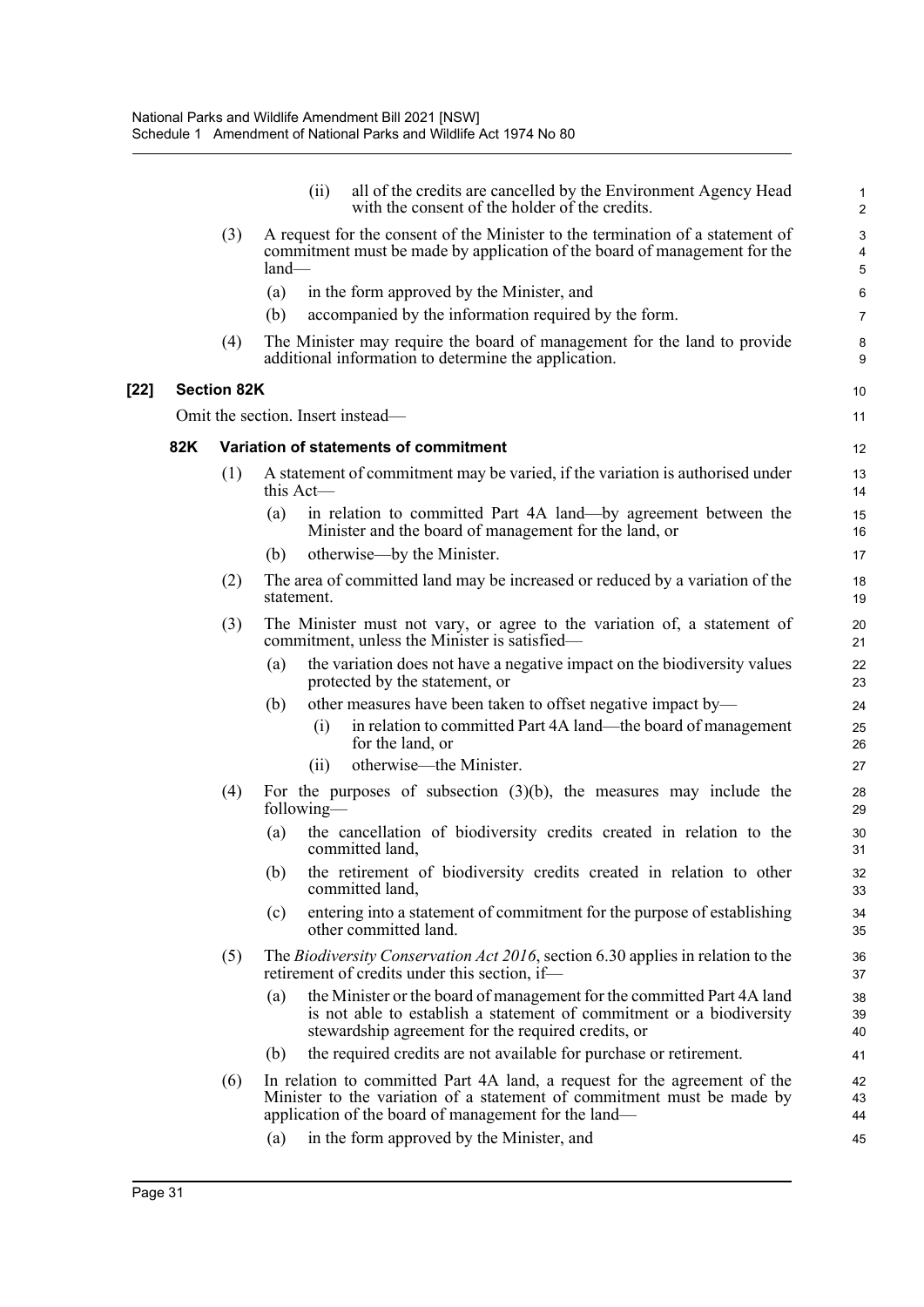|     |                                                                                                                                                                             | all of the credits are cancelled by the Environment Agency Head<br>(ii)<br>with the consent of the holder of the credits.                                                                                   | $\mathbf{1}$<br>2 |  |  |  |  |
|-----|-----------------------------------------------------------------------------------------------------------------------------------------------------------------------------|-------------------------------------------------------------------------------------------------------------------------------------------------------------------------------------------------------------|-------------------|--|--|--|--|
|     | A request for the consent of the Minister to the termination of a statement of<br>(3)<br>commitment must be made by application of the board of management for the<br>land- |                                                                                                                                                                                                             |                   |  |  |  |  |
|     |                                                                                                                                                                             | (a)<br>in the form approved by the Minister, and                                                                                                                                                            | 6                 |  |  |  |  |
|     |                                                                                                                                                                             | (b)<br>accompanied by the information required by the form.                                                                                                                                                 | $\overline{7}$    |  |  |  |  |
|     | (4)                                                                                                                                                                         | The Minister may require the board of management for the land to provide<br>additional information to determine the application.                                                                            | 8<br>9            |  |  |  |  |
|     | <b>Section 82K</b>                                                                                                                                                          |                                                                                                                                                                                                             | 10                |  |  |  |  |
|     |                                                                                                                                                                             | Omit the section. Insert instead—                                                                                                                                                                           | 11                |  |  |  |  |
| 82K |                                                                                                                                                                             | Variation of statements of commitment                                                                                                                                                                       | $12 \overline{ }$ |  |  |  |  |
|     | (1)                                                                                                                                                                         | A statement of commitment may be varied, if the variation is authorised under<br>this $Act$ —                                                                                                               | 13<br>14          |  |  |  |  |
|     |                                                                                                                                                                             | in relation to committed Part 4A land—by agreement between the<br>(a)<br>Minister and the board of management for the land, or                                                                              | 15<br>16          |  |  |  |  |
|     |                                                                                                                                                                             | otherwise—by the Minister.<br>(b)                                                                                                                                                                           | 17                |  |  |  |  |
|     | (2)                                                                                                                                                                         | The area of committed land may be increased or reduced by a variation of the<br>statement.                                                                                                                  | 18<br>19          |  |  |  |  |
|     | The Minister must not vary, or agree to the variation of, a statement of<br>(3)<br>commitment, unless the Minister is satisfied-                                            |                                                                                                                                                                                                             |                   |  |  |  |  |
|     |                                                                                                                                                                             | the variation does not have a negative impact on the biodiversity values<br>(a)<br>protected by the statement, or                                                                                           | 22<br>23          |  |  |  |  |
|     |                                                                                                                                                                             | other measures have been taken to offset negative impact by—<br>(b)                                                                                                                                         | 24                |  |  |  |  |
|     |                                                                                                                                                                             | in relation to committed Part 4A land—the board of management<br>(i)<br>for the land, or                                                                                                                    | 25<br>26          |  |  |  |  |
|     |                                                                                                                                                                             | otherwise—the Minister.<br>(i)                                                                                                                                                                              | 27                |  |  |  |  |
|     | (4)                                                                                                                                                                         | For the purposes of subsection $(3)(b)$ , the measures may include the<br>following—                                                                                                                        | 28<br>29          |  |  |  |  |
|     |                                                                                                                                                                             | the cancellation of biodiversity credits created in relation to the<br>(a)<br>committed land,                                                                                                               | 30<br>31          |  |  |  |  |
|     |                                                                                                                                                                             | (b) the retirement of biodiversity credits created in relation to other<br>committed land,                                                                                                                  | 32<br>33          |  |  |  |  |
|     |                                                                                                                                                                             | entering into a statement of commitment for the purpose of establishing<br>(c)<br>other committed land.                                                                                                     | 34<br>35          |  |  |  |  |
|     | (5)                                                                                                                                                                         | The Biodiversity Conservation Act 2016, section 6.30 applies in relation to the<br>retirement of credits under this section, if-                                                                            | 36<br>37          |  |  |  |  |
|     |                                                                                                                                                                             | the Minister or the board of management for the committed Part 4A land<br>(a)<br>is not able to establish a statement of commitment or a biodiversity<br>stewardship agreement for the required credits, or | 38<br>39<br>40    |  |  |  |  |
|     |                                                                                                                                                                             | the required credits are not available for purchase or retirement.<br>(b)                                                                                                                                   | 41                |  |  |  |  |
|     | (6)                                                                                                                                                                         | In relation to committed Part 4A land, a request for the agreement of the<br>Minister to the variation of a statement of commitment must be made by<br>application of the board of management for the land— | 42<br>43<br>44    |  |  |  |  |
|     |                                                                                                                                                                             | in the form approved by the Minister, and<br>(a)                                                                                                                                                            | 45                |  |  |  |  |
|     |                                                                                                                                                                             |                                                                                                                                                                                                             |                   |  |  |  |  |

**[22]**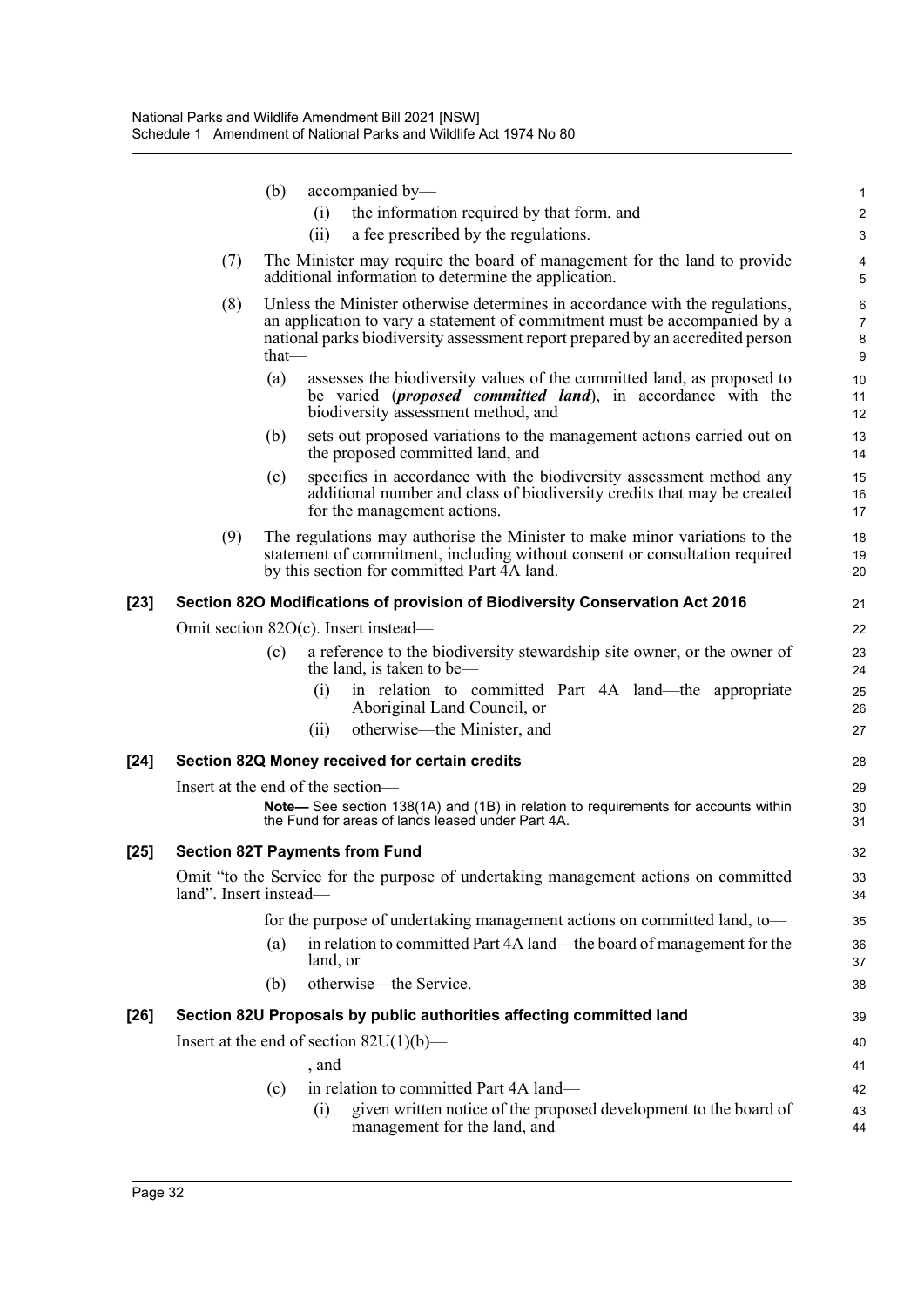|        |                        | (b)<br>accompanied by-                               |                                                                                                                                                                                                                                             | 1                       |
|--------|------------------------|------------------------------------------------------|---------------------------------------------------------------------------------------------------------------------------------------------------------------------------------------------------------------------------------------------|-------------------------|
|        |                        | (i)                                                  | the information required by that form, and                                                                                                                                                                                                  | $\overline{\mathbf{c}}$ |
|        |                        | (ii)                                                 | a fee prescribed by the regulations.                                                                                                                                                                                                        | 3                       |
|        | (7)                    | additional information to determine the application. | The Minister may require the board of management for the land to provide                                                                                                                                                                    | 4<br>5                  |
|        | (8)                    | $that$ —                                             | Unless the Minister otherwise determines in accordance with the regulations,<br>an application to vary a statement of commitment must be accompanied by a<br>national parks biodiversity assessment report prepared by an accredited person | 6<br>7<br>8<br>9        |
|        |                        | (a)<br>biodiversity assessment method, and           | assesses the biodiversity values of the committed land, as proposed to<br>be varied ( <i>proposed committed land</i> ), in accordance with the                                                                                              | 10<br>11<br>12          |
|        |                        | (b)<br>the proposed committed land, and              | sets out proposed variations to the management actions carried out on                                                                                                                                                                       | 13<br>14                |
|        |                        | (c)<br>for the management actions.                   | specifies in accordance with the biodiversity assessment method any<br>additional number and class of biodiversity credits that may be created                                                                                              | 15<br>16<br>17          |
|        | (9)                    | by this section for committed Part 4A land.          | The regulations may authorise the Minister to make minor variations to the<br>statement of commitment, including without consent or consultation required                                                                                   | 18<br>19<br>20          |
| $[23]$ |                        |                                                      | Section 82O Modifications of provision of Biodiversity Conservation Act 2016                                                                                                                                                                | 21                      |
|        |                        | Omit section 82O(c). Insert instead—                 |                                                                                                                                                                                                                                             | 22                      |
|        |                        | (c)<br>the land, is taken to be—                     | a reference to the biodiversity stewardship site owner, or the owner of                                                                                                                                                                     | 23<br>24                |
|        |                        | (i)<br>Aboriginal Land Council, or                   | in relation to committed Part 4A land—the appropriate                                                                                                                                                                                       | 25<br>26                |
|        |                        | otherwise—the Minister, and<br>(ii)                  |                                                                                                                                                                                                                                             | 27                      |
| $[24]$ |                        | Section 82Q Money received for certain credits       |                                                                                                                                                                                                                                             | 28                      |
|        |                        | Insert at the end of the section-                    |                                                                                                                                                                                                                                             | 29                      |
|        |                        | the Fund for areas of lands leased under Part 4A.    | Note-See section 138(1A) and (1B) in relation to requirements for accounts within                                                                                                                                                           | 30<br>31                |
| $[25]$ |                        | <b>Section 82T Payments from Fund</b>                |                                                                                                                                                                                                                                             | 32                      |
|        | land". Insert instead- |                                                      | Omit "to the Service for the purpose of undertaking management actions on committed                                                                                                                                                         | 33<br>34                |
|        |                        |                                                      | for the purpose of undertaking management actions on committed land, to-                                                                                                                                                                    | 35                      |
|        |                        | (a)<br>land, or                                      | in relation to committed Part 4A land—the board of management for the                                                                                                                                                                       | 36<br>37                |
|        |                        | otherwise—the Service.<br>(b)                        |                                                                                                                                                                                                                                             | 38                      |
| [26]   |                        |                                                      | Section 82U Proposals by public authorities affecting committed land                                                                                                                                                                        | 39                      |
|        |                        | Insert at the end of section $82U(1)(b)$ —           |                                                                                                                                                                                                                                             | 40                      |
|        |                        | , and                                                |                                                                                                                                                                                                                                             | 41                      |
|        |                        | in relation to committed Part 4A land—<br>(c)        |                                                                                                                                                                                                                                             | 42                      |
|        |                        | (i)<br>management for the land, and                  | given written notice of the proposed development to the board of                                                                                                                                                                            | 43<br>44                |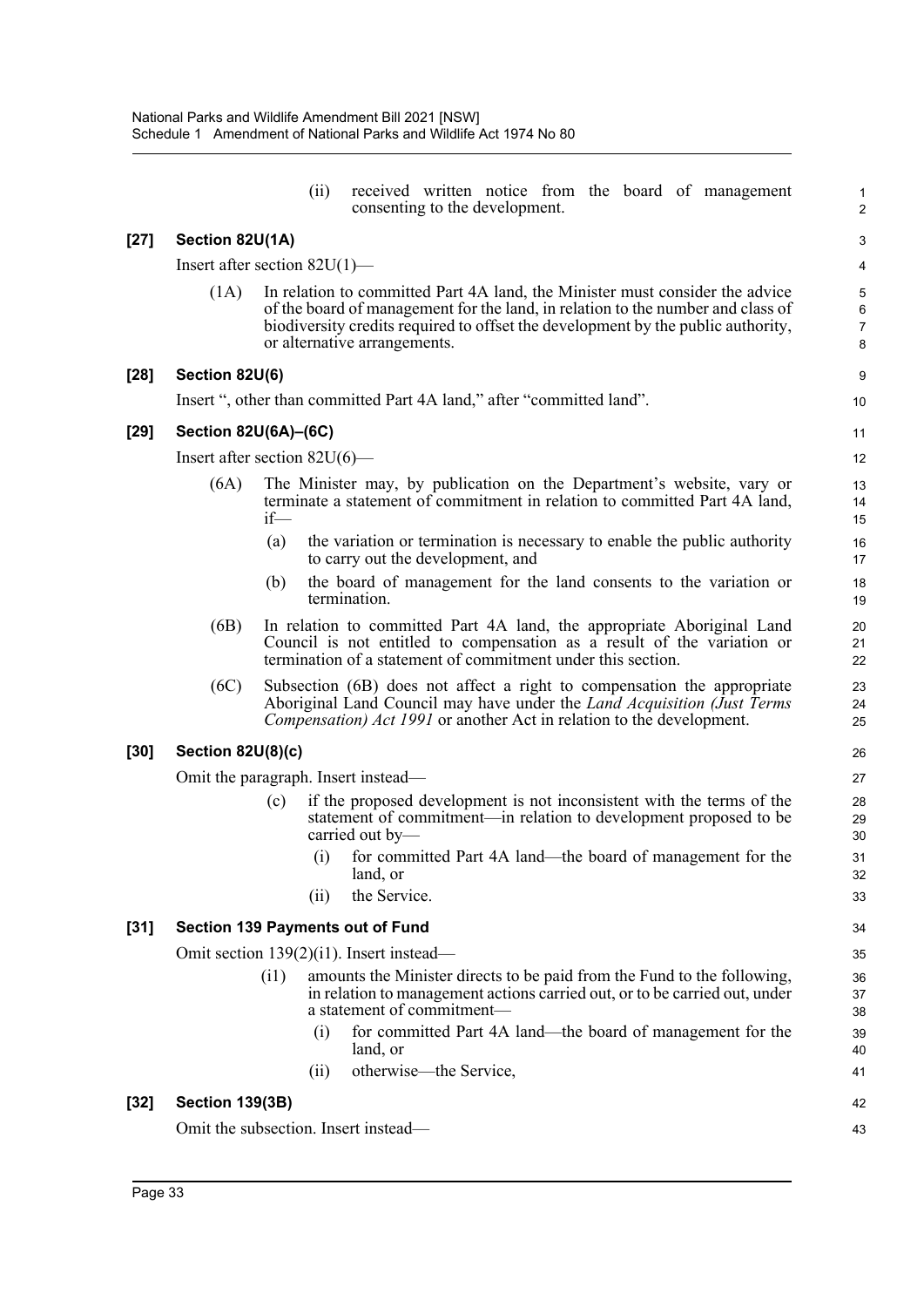|        |                                     |        | (ii) | received written notice from the board of management<br>consenting to the development.                                                                                                                                                                                              | 1<br>$\overline{c}$                        |  |  |
|--------|-------------------------------------|--------|------|-------------------------------------------------------------------------------------------------------------------------------------------------------------------------------------------------------------------------------------------------------------------------------------|--------------------------------------------|--|--|
| $[27]$ | Section 82U(1A)                     |        |      |                                                                                                                                                                                                                                                                                     | 3                                          |  |  |
|        | Insert after section $82U(1)$ —     |        |      |                                                                                                                                                                                                                                                                                     | $\overline{\mathbf{4}}$                    |  |  |
|        | (1A)                                |        |      | In relation to committed Part 4A land, the Minister must consider the advice<br>of the board of management for the land, in relation to the number and class of<br>biodiversity credits required to offset the development by the public authority,<br>or alternative arrangements. | 5<br>$\overline{6}$<br>$\overline{7}$<br>8 |  |  |
| [28]   | Section 82U(6)                      |        |      |                                                                                                                                                                                                                                                                                     | 9                                          |  |  |
|        |                                     |        |      | Insert ", other than committed Part 4A land," after "committed land".                                                                                                                                                                                                               | 10                                         |  |  |
| [29]   | Section 82U(6A)-(6C)                |        |      |                                                                                                                                                                                                                                                                                     | 11                                         |  |  |
|        | Insert after section $82U(6)$ —     |        |      |                                                                                                                                                                                                                                                                                     | 12                                         |  |  |
|        | (6A)                                | $if$ — |      | The Minister may, by publication on the Department's website, vary or<br>terminate a statement of commitment in relation to committed Part 4A land,                                                                                                                                 | 13<br>14<br>15                             |  |  |
|        |                                     | (a)    |      | the variation or termination is necessary to enable the public authority<br>to carry out the development, and                                                                                                                                                                       | 16<br>17                                   |  |  |
|        |                                     | (b)    |      | the board of management for the land consents to the variation or<br>termination.                                                                                                                                                                                                   | 18<br>19                                   |  |  |
|        | (6B)                                |        |      | In relation to committed Part 4A land, the appropriate Aboriginal Land<br>Council is not entitled to compensation as a result of the variation or<br>termination of a statement of commitment under this section.                                                                   | 20<br>21<br>22                             |  |  |
|        | (6C)                                |        |      | Subsection (6B) does not affect a right to compensation the appropriate<br>Aboriginal Land Council may have under the <i>Land Acquisition (Just Terms</i><br><i>Compensation) Act 1991</i> or another Act in relation to the development.                                           | 23<br>24<br>25                             |  |  |
| [30]   | Section 82U(8)(c)                   |        |      |                                                                                                                                                                                                                                                                                     | 26                                         |  |  |
|        | Omit the paragraph. Insert instead- |        |      |                                                                                                                                                                                                                                                                                     |                                            |  |  |
|        |                                     | (c)    |      | if the proposed development is not inconsistent with the terms of the<br>statement of commitment—in relation to development proposed to be<br>carried out by-                                                                                                                       | 28<br>29<br>30                             |  |  |
|        |                                     |        | (i)  | for committed Part 4A land—the board of management for the<br>land, or                                                                                                                                                                                                              | 31<br>32                                   |  |  |
|        |                                     |        | (i)  | the Service.                                                                                                                                                                                                                                                                        | 33                                         |  |  |
| [31]   |                                     |        |      | <b>Section 139 Payments out of Fund</b>                                                                                                                                                                                                                                             | 34                                         |  |  |
|        |                                     |        |      | Omit section $139(2)(11)$ . Insert instead—                                                                                                                                                                                                                                         | 35                                         |  |  |
|        |                                     | (i1)   |      | amounts the Minister directs to be paid from the Fund to the following,<br>in relation to management actions carried out, or to be carried out, under<br>a statement of commitment-                                                                                                 | 36<br>37<br>38                             |  |  |
|        |                                     |        | (i)  | for committed Part 4A land—the board of management for the<br>land, or                                                                                                                                                                                                              | 39<br>40                                   |  |  |
|        |                                     |        | (i)  | otherwise—the Service,                                                                                                                                                                                                                                                              | 41                                         |  |  |
| [32]   | <b>Section 139(3B)</b>              |        |      |                                                                                                                                                                                                                                                                                     | 42                                         |  |  |
|        |                                     |        |      | Omit the subsection. Insert instead—                                                                                                                                                                                                                                                | 43                                         |  |  |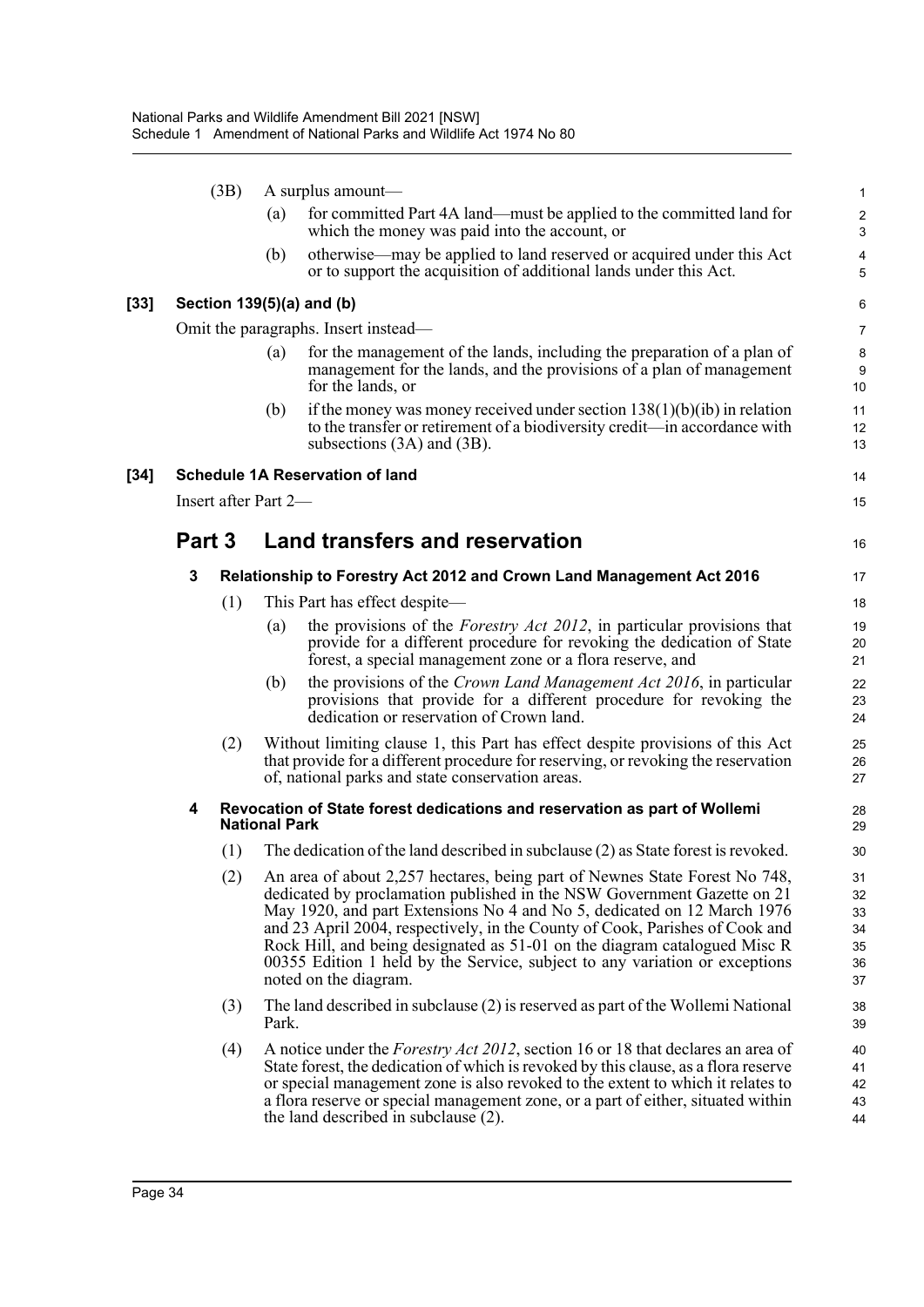|        | (3B)                 |     | A surplus amount—    |                                                                                                                                                                                                                                                                                                                                                                                                                                                                                                           |                                        |  |  |  |
|--------|----------------------|-----|----------------------|-----------------------------------------------------------------------------------------------------------------------------------------------------------------------------------------------------------------------------------------------------------------------------------------------------------------------------------------------------------------------------------------------------------------------------------------------------------------------------------------------------------|----------------------------------------|--|--|--|
|        |                      |     | (a)                  | for committed Part 4A land—must be applied to the committed land for<br>which the money was paid into the account, or                                                                                                                                                                                                                                                                                                                                                                                     | $\overline{\mathbf{c}}$<br>3           |  |  |  |
|        |                      |     | (b)                  | otherwise—may be applied to land reserved or acquired under this Act<br>or to support the acquisition of additional lands under this Act.                                                                                                                                                                                                                                                                                                                                                                 | 4<br>5                                 |  |  |  |
| $[33]$ |                      |     |                      | Section 139(5)(a) and (b)                                                                                                                                                                                                                                                                                                                                                                                                                                                                                 | 6                                      |  |  |  |
|        |                      |     |                      | Omit the paragraphs. Insert instead—                                                                                                                                                                                                                                                                                                                                                                                                                                                                      | 7                                      |  |  |  |
|        |                      |     | (a)                  | for the management of the lands, including the preparation of a plan of<br>management for the lands, and the provisions of a plan of management<br>for the lands, or                                                                                                                                                                                                                                                                                                                                      | 8<br>9<br>10                           |  |  |  |
|        |                      |     | (b)                  | if the money was money received under section $138(1)(b)(ib)$ in relation<br>to the transfer or retirement of a biodiversity credit—in accordance with<br>subsections $(3A)$ and $(3B)$ .                                                                                                                                                                                                                                                                                                                 | 11<br>12<br>13                         |  |  |  |
| $[34]$ |                      |     |                      | <b>Schedule 1A Reservation of land</b>                                                                                                                                                                                                                                                                                                                                                                                                                                                                    | 14                                     |  |  |  |
|        | Insert after Part 2- |     |                      |                                                                                                                                                                                                                                                                                                                                                                                                                                                                                                           | 15                                     |  |  |  |
|        | Part 3               |     |                      | <b>Land transfers and reservation</b>                                                                                                                                                                                                                                                                                                                                                                                                                                                                     | 16                                     |  |  |  |
|        | 3                    |     |                      | Relationship to Forestry Act 2012 and Crown Land Management Act 2016                                                                                                                                                                                                                                                                                                                                                                                                                                      | 17                                     |  |  |  |
|        |                      | (1) |                      | This Part has effect despite—                                                                                                                                                                                                                                                                                                                                                                                                                                                                             | 18                                     |  |  |  |
|        |                      |     | (a)                  | the provisions of the <i>Forestry Act 2012</i> , in particular provisions that<br>provide for a different procedure for revoking the dedication of State<br>forest, a special management zone or a flora reserve, and                                                                                                                                                                                                                                                                                     | 19<br>20<br>21                         |  |  |  |
|        |                      |     | (b)                  | the provisions of the Crown Land Management Act 2016, in particular<br>provisions that provide for a different procedure for revoking the<br>dedication or reservation of Crown land.                                                                                                                                                                                                                                                                                                                     | 22<br>23<br>24                         |  |  |  |
|        |                      | (2) |                      | Without limiting clause 1, this Part has effect despite provisions of this Act<br>that provide for a different procedure for reserving, or revoking the reservation<br>of, national parks and state conservation areas.                                                                                                                                                                                                                                                                                   | 25<br>26<br>27                         |  |  |  |
|        | 4                    |     | <b>National Park</b> | Revocation of State forest dedications and reservation as part of Wollemi                                                                                                                                                                                                                                                                                                                                                                                                                                 | 28<br>29                               |  |  |  |
|        |                      | (1) |                      | The dedication of the land described in subclause (2) as State forest is revoked.                                                                                                                                                                                                                                                                                                                                                                                                                         | 30                                     |  |  |  |
|        |                      |     |                      | (2) An area of about 2,257 hectares, being part of Newnes State Forest No 748,<br>dedicated by proclamation published in the NSW Government Gazette on 21<br>May 1920, and part Extensions No 4 and No 5, dedicated on 12 March 1976<br>and 23 April 2004, respectively, in the County of Cook, Parishes of Cook and<br>Rock Hill, and being designated as 51-01 on the diagram catalogued Misc R<br>00355 Edition 1 held by the Service, subject to any variation or exceptions<br>noted on the diagram. | 31<br>32<br>33<br>34<br>35<br>36<br>37 |  |  |  |
|        |                      | (3) | Park.                | The land described in subclause $(2)$ is reserved as part of the Wollemi National                                                                                                                                                                                                                                                                                                                                                                                                                         | 38<br>39                               |  |  |  |
|        |                      | (4) |                      | A notice under the <i>Forestry Act 2012</i> , section 16 or 18 that declares an area of<br>State forest, the dedication of which is revoked by this clause, as a flora reserve<br>or special management zone is also revoked to the extent to which it relates to<br>a flora reserve or special management zone, or a part of either, situated within<br>the land described in subclause (2).                                                                                                             | 40<br>41<br>42<br>43<br>44             |  |  |  |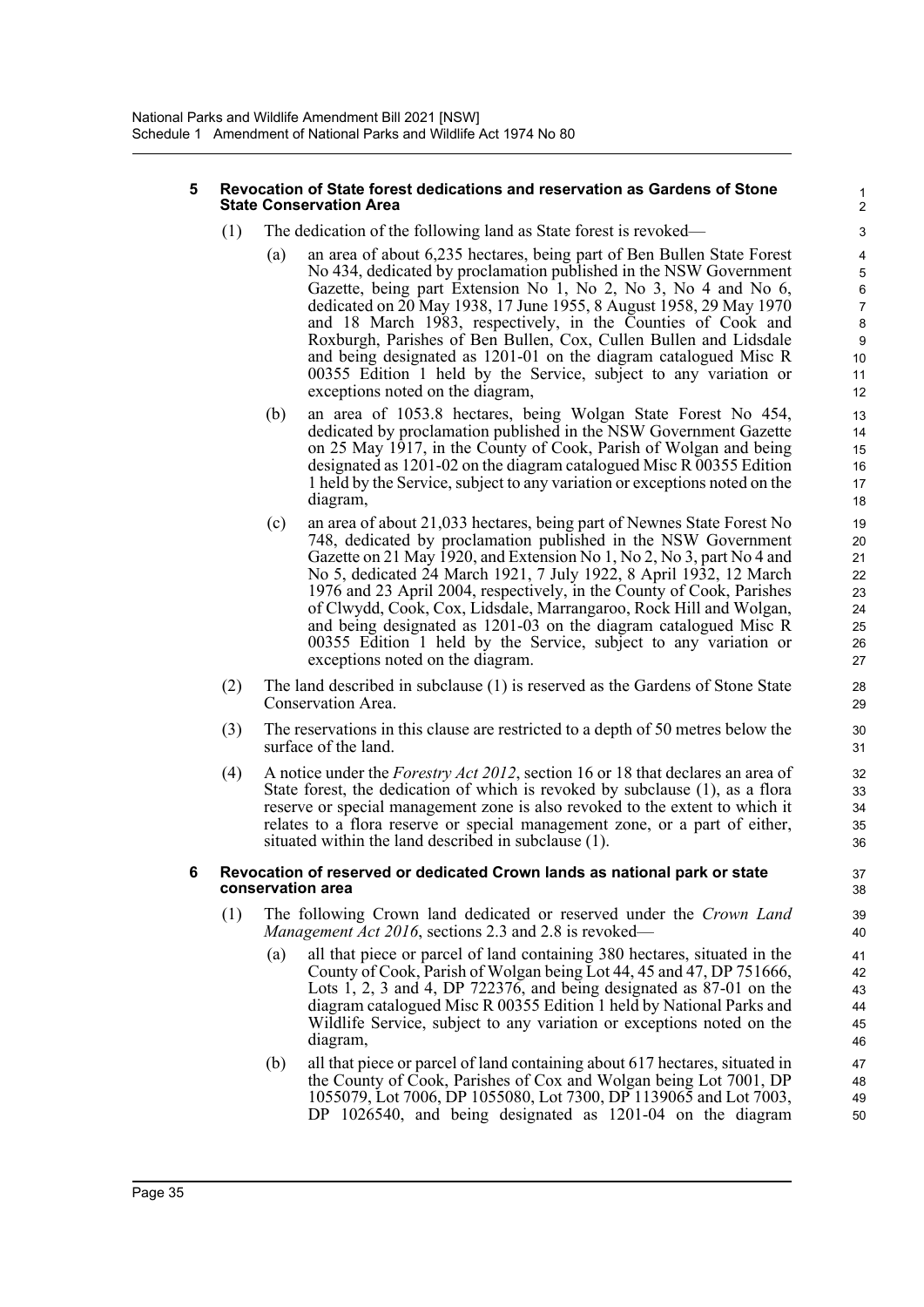#### **5 Revocation of State forest dedications and reservation as Gardens of Stone State Conservation Area**

- (1) The dedication of the following land as State forest is revoked—
	- (a) an area of about 6,235 hectares, being part of Ben Bullen State Forest No 434, dedicated by proclamation published in the NSW Government Gazette, being part Extension No 1, No 2, No 3, No 4 and No 6, dedicated on 20 May 1938, 17 June 1955, 8 August 1958, 29 May 1970 and 18 March 1983, respectively, in the Counties of Cook and Roxburgh, Parishes of Ben Bullen, Cox, Cullen Bullen and Lidsdale and being designated as 1201-01 on the diagram catalogued Misc R 00355 Edition 1 held by the Service, subject to any variation or exceptions noted on the diagram,

- (b) an area of 1053.8 hectares, being Wolgan State Forest No 454, dedicated by proclamation published in the NSW Government Gazette on 25 May 1917, in the County of Cook, Parish of Wolgan and being designated as 1201-02 on the diagram catalogued Misc R  $\overline{0}0355$  Edition 1 held by the Service, subject to any variation or exceptions noted on the diagram,
- (c) an area of about 21,033 hectares, being part of Newnes State Forest No 748, dedicated by proclamation published in the NSW Government Gazette on 21 May 1920, and Extension No 1, No 2, No 3, part No 4 and No 5, dedicated 24 March 1921, 7 July 1922, 8 April 1932, 12 March 1976 and 23 April 2004, respectively, in the County of Cook, Parishes of Clwydd, Cook, Cox, Lidsdale, Marrangaroo, Rock Hill and Wolgan, and being designated as 1201-03 on the diagram catalogued Misc R 00355 Edition 1 held by the Service, subject to any variation or exceptions noted on the diagram.
- (2) The land described in subclause (1) is reserved as the Gardens of Stone State Conservation Area.
- (3) The reservations in this clause are restricted to a depth of 50 metres below the surface of the land.
- (4) A notice under the *Forestry Act 2012*, section 16 or 18 that declares an area of State forest, the dedication of which is revoked by subclause (1), as a flora reserve or special management zone is also revoked to the extent to which it relates to a flora reserve or special management zone, or a part of either, situated within the land described in subclause (1).

#### **6 Revocation of reserved or dedicated Crown lands as national park or state conservation area**

- (1) The following Crown land dedicated or reserved under the *Crown Land Management Act 2016*, sections 2.3 and 2.8 is revoked—
	- (a) all that piece or parcel of land containing 380 hectares, situated in the County of Cook, Parish of Wolgan being Lot 44, 45 and 47, DP 751666, Lots 1, 2, 3 and 4, DP 722376, and being designated as 87-01 on the diagram catalogued Misc R 00355 Edition 1 held by National Parks and Wildlife Service, subject to any variation or exceptions noted on the diagram,
	- (b) all that piece or parcel of land containing about 617 hectares, situated in the County of Cook, Parishes of Cox and Wolgan being Lot 7001, DP 1055079, Lot 7006, DP 1055080, Lot 7300, DP 1139065 and Lot 7003, DP 1026540, and being designated as 1201-04 on the diagram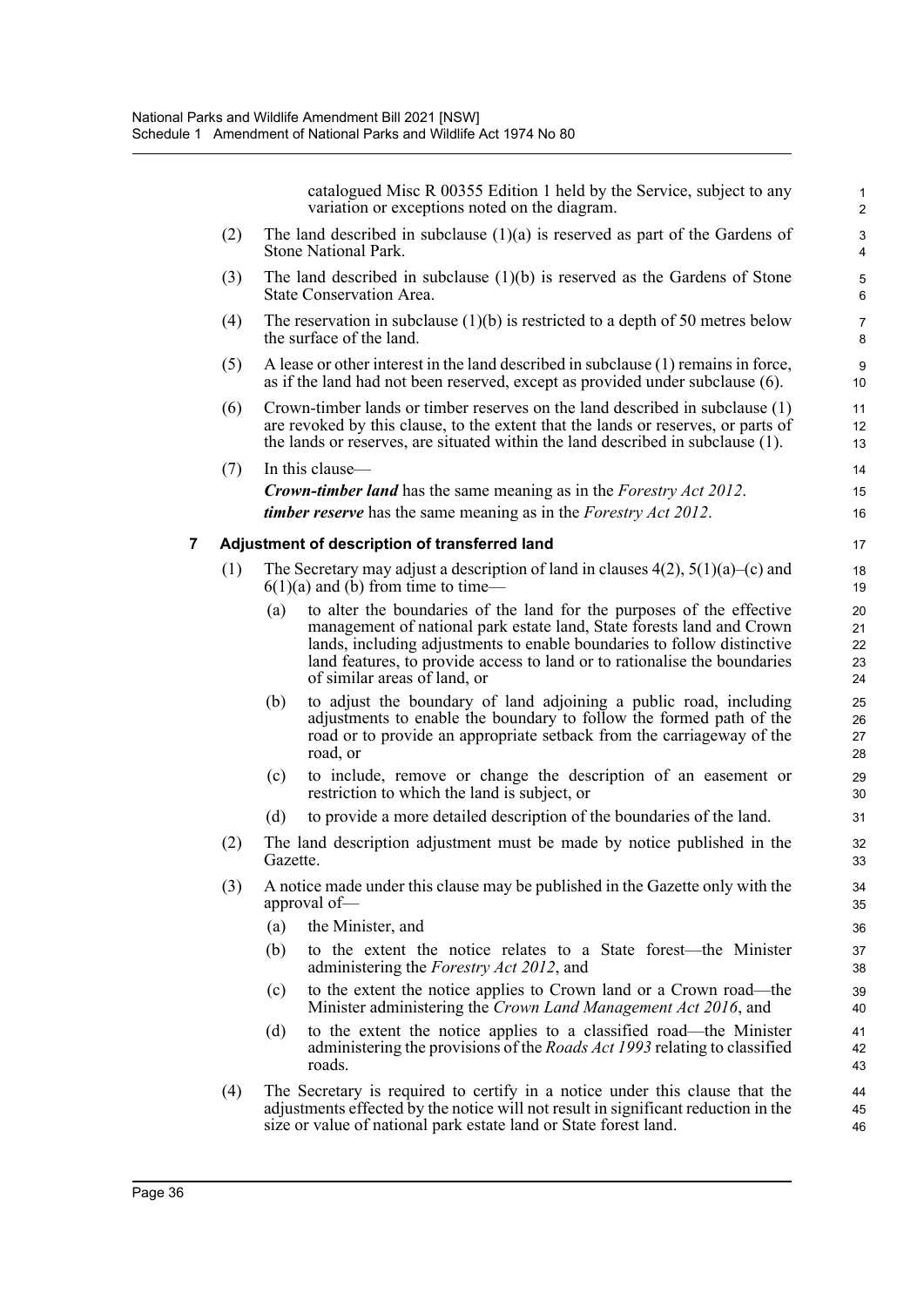catalogued Misc R 00355 Edition 1 held by the Service, subject to any variation or exceptions noted on the diagram.

1

44 45 46

- (2) The land described in subclause (1)(a) is reserved as part of the Gardens of Stone National Park. (3) The land described in subclause (1)(b) is reserved as the Gardens of Stone State Conservation Area. (4) The reservation in subclause  $(1)(b)$  is restricted to a depth of 50 metres below the surface of the land. (5) A lease or other interest in the land described in subclause (1) remains in force, as if the land had not been reserved, except as provided under subclause (6). (6) Crown-timber lands or timber reserves on the land described in subclause (1) are revoked by this clause, to the extent that the lands or reserves, or parts of the lands or reserves, are situated within the land described in subclause (1). (7) In this clause— *Crown-timber land* has the same meaning as in the *Forestry Act 2012*. *timber reserve* has the same meaning as in the *Forestry Act 2012*. **7 Adjustment of description of transferred land** (1) The Secretary may adjust a description of land in clauses  $4(2)$ ,  $5(1)(a)$ –(c) and  $6(1)(a)$  and (b) from time to time-(a) to alter the boundaries of the land for the purposes of the effective management of national park estate land, State forests land and Crown lands, including adjustments to enable boundaries to follow distinctive land features, to provide access to land or to rationalise the boundaries of similar areas of land, or (b) to adjust the boundary of land adjoining a public road, including adjustments to enable the boundary to follow the formed path of the road or to provide an appropriate setback from the carriageway of the road, or (c) to include, remove or change the description of an easement or restriction to which the land is subject, or (d) to provide a more detailed description of the boundaries of the land. (2) The land description adjustment must be made by notice published in the Gazette. (3) A notice made under this clause may be published in the Gazette only with the approval of— (a) the Minister, and (b) to the extent the notice relates to a State forest—the Minister administering the *Forestry Act 2012*, and (c) to the extent the notice applies to Crown land or a Crown road—the Minister administering the *Crown Land Management Act 2016*, and (d) to the extent the notice applies to a classified road—the Minister administering the provisions of the *Roads Act 1993* relating to classified roads. 2 3 4 5 6 7 8 9 10 11 12 13 14 15 16 17 18 19 20 21 22 23 24 25 26 27 28 29 30 31 32 33 34 35 36 37 38 39  $40$ 41 42 43
	- (4) The Secretary is required to certify in a notice under this clause that the adjustments effected by the notice will not result in significant reduction in the size or value of national park estate land or State forest land.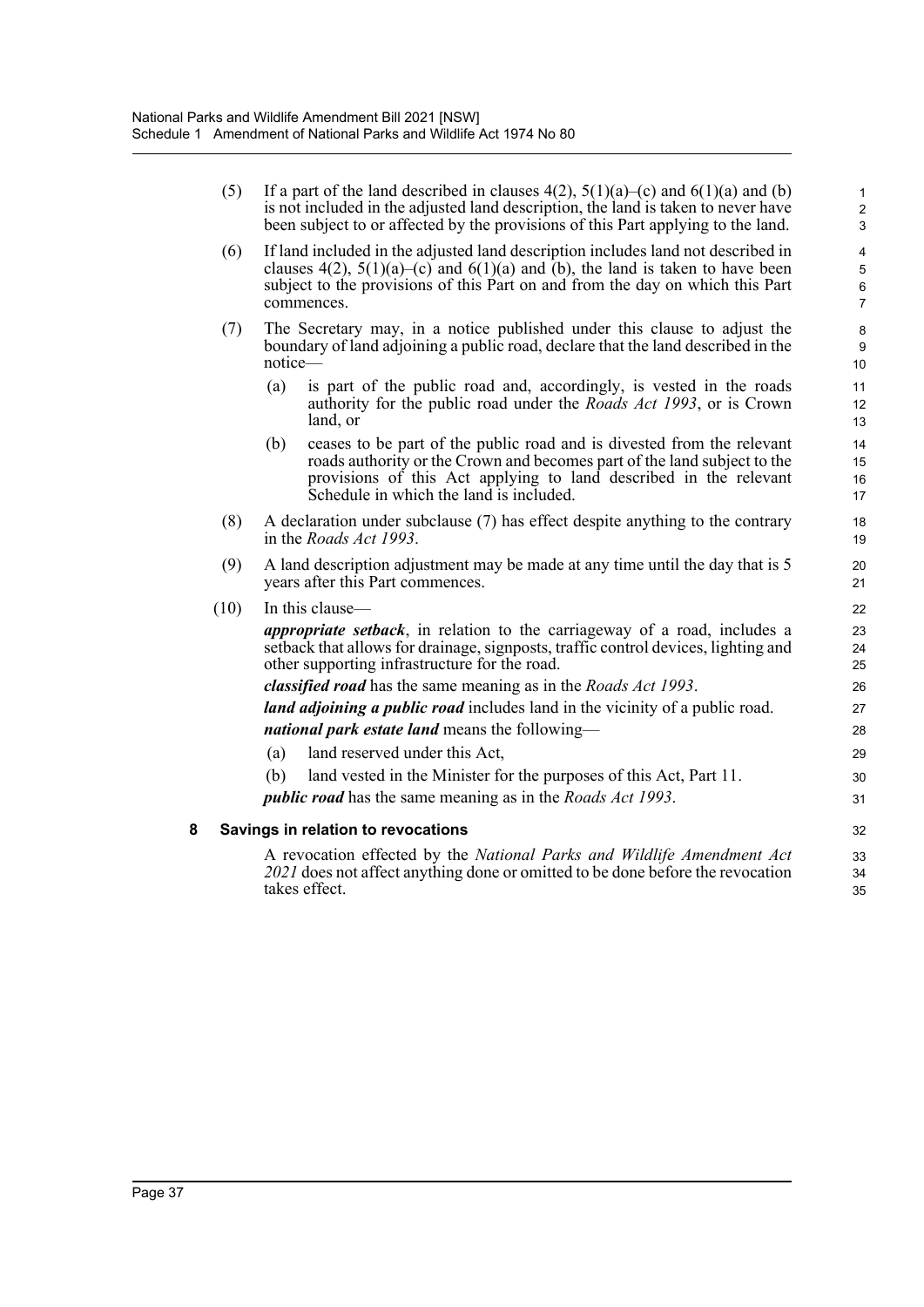|   | (5)  | If a part of the land described in clauses $4(2)$ , $5(1)(a)$ –(c) and $6(1)(a)$ and (b)<br>is not included in the adjusted land description, the land is taken to never have<br>been subject to or affected by the provisions of this Part applying to the land.         |                             |  |  |  |  |
|---|------|---------------------------------------------------------------------------------------------------------------------------------------------------------------------------------------------------------------------------------------------------------------------------|-----------------------------|--|--|--|--|
|   | (6)  | If land included in the adjusted land description includes land not described in<br>clauses $4(2)$ , $5(1)(a)$ –(c) and $6(1)(a)$ and (b), the land is taken to have been<br>subject to the provisions of this Part on and from the day on which this Part<br>commences.  |                             |  |  |  |  |
|   | (7)  | The Secretary may, in a notice published under this clause to adjust the<br>boundary of land adjoining a public road, declare that the land described in the<br>notice-                                                                                                   | 8<br>$\boldsymbol{9}$<br>10 |  |  |  |  |
|   |      | (a)<br>is part of the public road and, accordingly, is vested in the roads<br>authority for the public road under the <i>Roads Act 1993</i> , or is Crown<br>land, or                                                                                                     | 11<br>12<br>13              |  |  |  |  |
|   |      | ceases to be part of the public road and is divested from the relevant<br>(b)<br>roads authority or the Crown and becomes part of the land subject to the<br>provisions of this Act applying to land described in the relevant<br>Schedule in which the land is included. | 14<br>15<br>16<br>17        |  |  |  |  |
|   | (8)  | A declaration under subclause (7) has effect despite anything to the contrary<br>in the <i>Roads Act 1993</i> .                                                                                                                                                           | 18<br>19                    |  |  |  |  |
|   | (9)  | A land description adjustment may be made at any time until the day that is 5<br>years after this Part commences.                                                                                                                                                         | 20<br>21                    |  |  |  |  |
|   | (10) | In this clause-                                                                                                                                                                                                                                                           | 22                          |  |  |  |  |
|   |      | <i>appropriate setback</i> , in relation to the carriageway of a road, includes a<br>setback that allows for drainage, signposts, traffic control devices, lighting and<br>other supporting infrastructure for the road.                                                  |                             |  |  |  |  |
|   |      | classified road has the same meaning as in the Roads Act 1993.                                                                                                                                                                                                            | 26                          |  |  |  |  |
|   |      | land adjoining a public road includes land in the vicinity of a public road.                                                                                                                                                                                              | 27                          |  |  |  |  |
|   |      | national park estate land means the following-                                                                                                                                                                                                                            | 28                          |  |  |  |  |
|   |      | land reserved under this Act,<br>(a)                                                                                                                                                                                                                                      | 29                          |  |  |  |  |
|   |      | land vested in the Minister for the purposes of this Act, Part 11.<br>(b)                                                                                                                                                                                                 | 30                          |  |  |  |  |
|   |      | <i>public road</i> has the same meaning as in the <i>Roads Act 1993</i> .                                                                                                                                                                                                 | 31                          |  |  |  |  |
| 8 |      | Savings in relation to revocations                                                                                                                                                                                                                                        | 32                          |  |  |  |  |
|   |      | A revocation effected by the National Parks and Wildlife Amendment Act<br>2021 does not affect anything done or omitted to be done before the revocation<br>takes effect.                                                                                                 | 33<br>34<br>35              |  |  |  |  |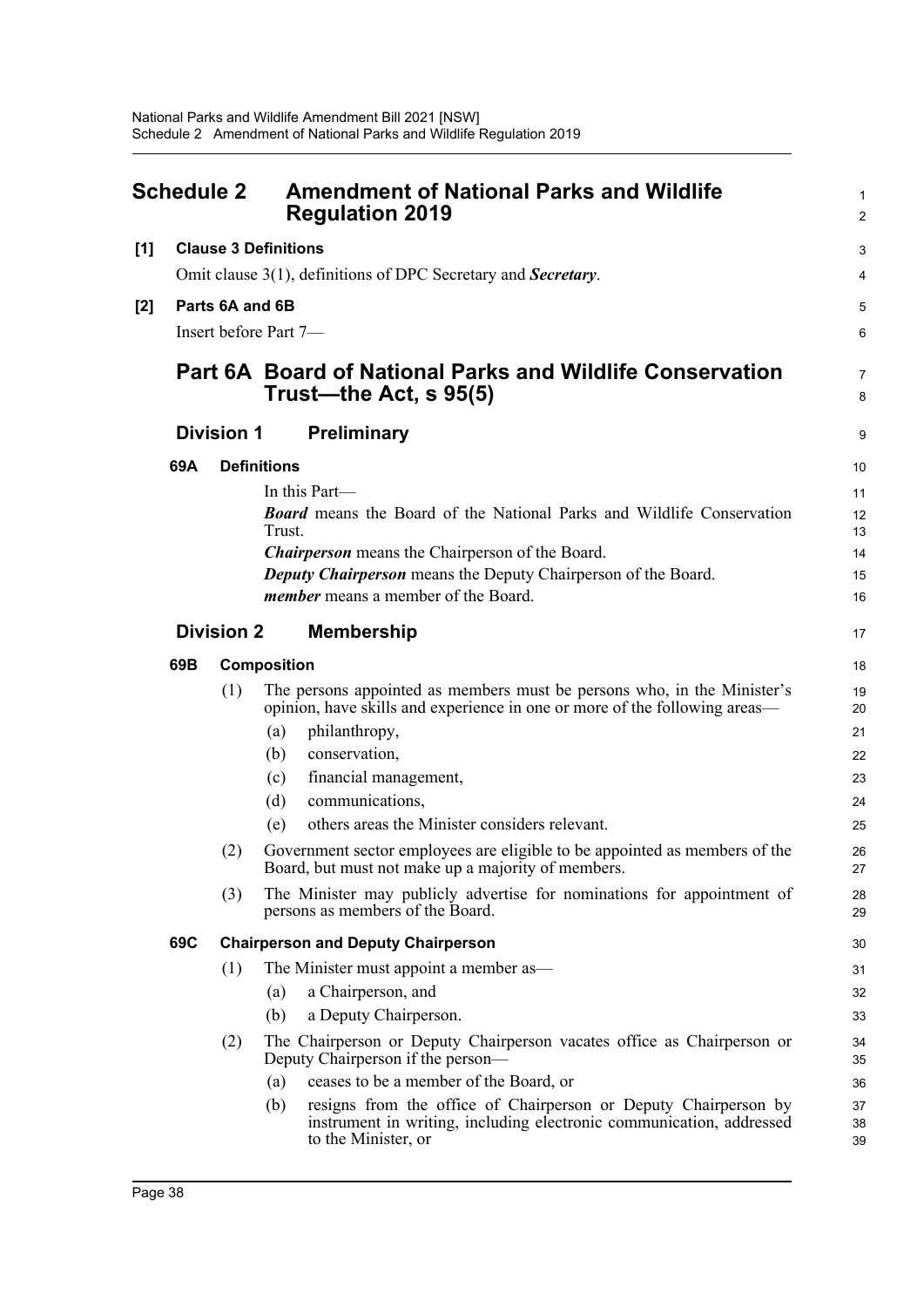<span id="page-44-0"></span>

| <b>Schedule 2</b> |                                                  |                       | <b>Amendment of National Parks and Wildlife</b><br><b>Regulation 2019</b>                                                                                             |                |  |  |  |  |
|-------------------|--------------------------------------------------|-----------------------|-----------------------------------------------------------------------------------------------------------------------------------------------------------------------|----------------|--|--|--|--|
| [1]               |                                                  |                       | <b>Clause 3 Definitions</b>                                                                                                                                           | 3              |  |  |  |  |
|                   |                                                  |                       | Omit clause 3(1), definitions of DPC Secretary and Secretary.                                                                                                         | 4              |  |  |  |  |
| [2]               | Parts 6A and 6B                                  |                       |                                                                                                                                                                       |                |  |  |  |  |
|                   |                                                  | Insert before Part 7- |                                                                                                                                                                       |                |  |  |  |  |
|                   |                                                  |                       |                                                                                                                                                                       |                |  |  |  |  |
|                   |                                                  |                       | <b>Part 6A Board of National Parks and Wildlife Conservation</b><br>Trust—the Act, s 95(5)<br><b>Preliminary</b>                                                      |                |  |  |  |  |
|                   |                                                  | <b>Division 1</b>     |                                                                                                                                                                       |                |  |  |  |  |
|                   | 69A                                              |                       | <b>Definitions</b>                                                                                                                                                    | 10             |  |  |  |  |
|                   |                                                  |                       | In this Part—                                                                                                                                                         | 11             |  |  |  |  |
|                   |                                                  |                       | <b>Board</b> means the Board of the National Parks and Wildlife Conservation<br>Trust.                                                                                | 12<br>13       |  |  |  |  |
|                   |                                                  |                       | <b>Chairperson</b> means the Chairperson of the Board.                                                                                                                | 14             |  |  |  |  |
|                   |                                                  |                       | <b>Deputy Chairperson</b> means the Deputy Chairperson of the Board.                                                                                                  | 15             |  |  |  |  |
|                   |                                                  |                       | <i>member</i> means a member of the Board.                                                                                                                            | 16             |  |  |  |  |
|                   |                                                  | <b>Division 2</b>     | <b>Membership</b>                                                                                                                                                     |                |  |  |  |  |
|                   | 69B                                              |                       | <b>Composition</b>                                                                                                                                                    |                |  |  |  |  |
|                   |                                                  | (1)                   | The persons appointed as members must be persons who, in the Minister's<br>opinion, have skills and experience in one or more of the following areas—                 | 19<br>20       |  |  |  |  |
|                   |                                                  |                       | philanthropy,<br>(a)                                                                                                                                                  | 21             |  |  |  |  |
|                   |                                                  |                       | conservation,<br>(b)                                                                                                                                                  | 22             |  |  |  |  |
|                   |                                                  |                       | financial management,<br>(c)                                                                                                                                          | 23             |  |  |  |  |
|                   |                                                  |                       | communications,<br>(d)                                                                                                                                                | 24             |  |  |  |  |
|                   |                                                  |                       | others areas the Minister considers relevant.<br>(e)                                                                                                                  | 25             |  |  |  |  |
|                   |                                                  | (2)                   | Government sector employees are eligible to be appointed as members of the<br>Board, but must not make up a majority of members.                                      | 26<br>$27\,$   |  |  |  |  |
|                   |                                                  | (3)                   | The Minister may publicly advertise for nominations for appointment of<br>persons as members of the Board.                                                            | 28<br>29       |  |  |  |  |
|                   | 69C<br><b>Chairperson and Deputy Chairperson</b> |                       |                                                                                                                                                                       | 30             |  |  |  |  |
|                   |                                                  | (1)                   | The Minister must appoint a member as—                                                                                                                                | 31             |  |  |  |  |
|                   |                                                  |                       | a Chairperson, and<br>(a)                                                                                                                                             | 32             |  |  |  |  |
|                   |                                                  |                       | a Deputy Chairperson.<br>(b)                                                                                                                                          | 33             |  |  |  |  |
|                   |                                                  | (2)                   | The Chairperson or Deputy Chairperson vacates office as Chairperson or<br>Deputy Chairperson if the person—                                                           | 34<br>35       |  |  |  |  |
|                   |                                                  |                       | ceases to be a member of the Board, or<br>(a)                                                                                                                         | 36             |  |  |  |  |
|                   |                                                  |                       | resigns from the office of Chairperson or Deputy Chairperson by<br>(b)<br>instrument in writing, including electronic communication, addressed<br>to the Minister, or | 37<br>38<br>39 |  |  |  |  |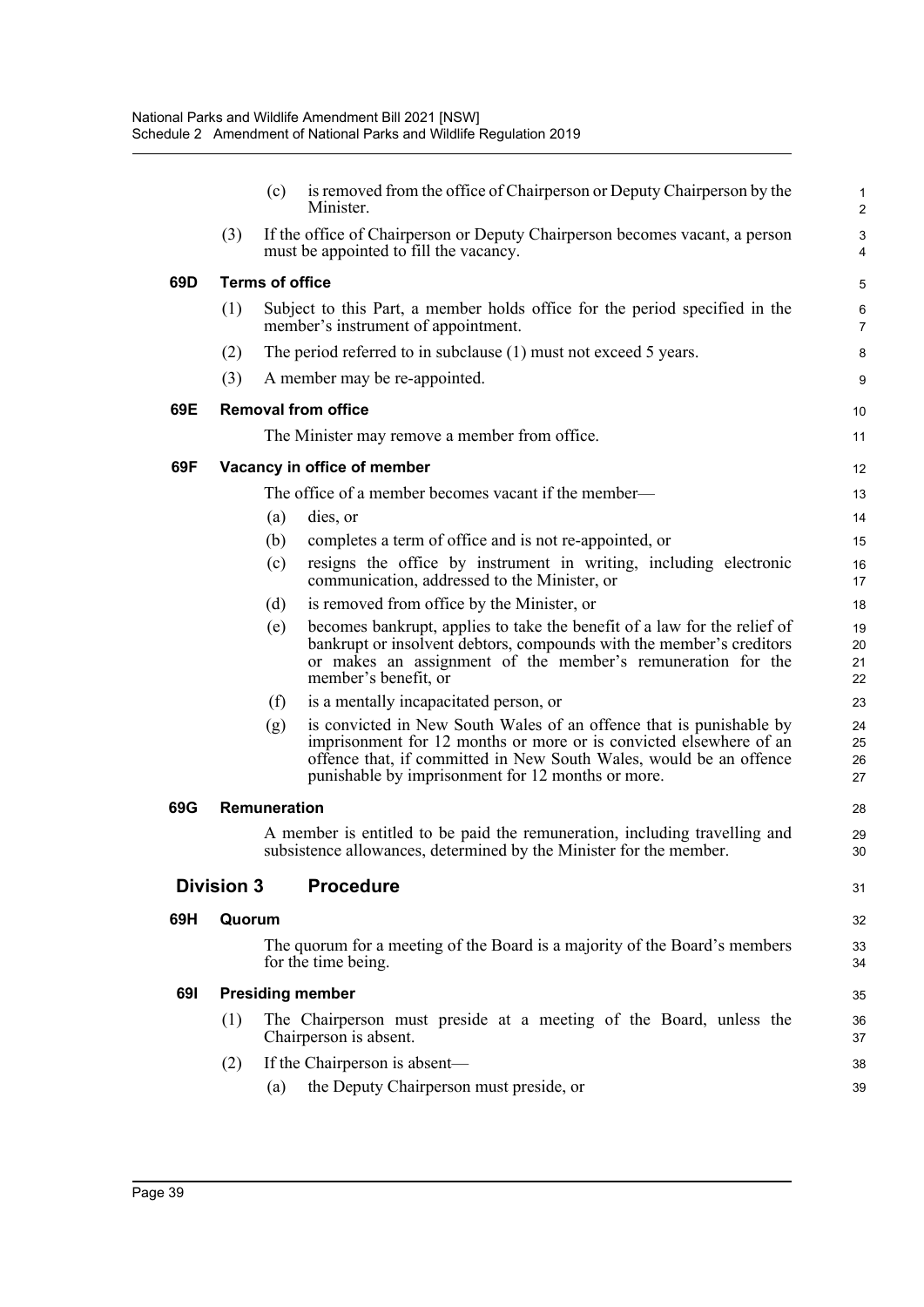|     |                                                                                                     | (c) | is removed from the office of Chairperson or Deputy Chairperson by the<br>Minister.                                                                                                                                                                                  | $\mathbf{1}$<br>$\overline{c}$ |  |  |  |  |  |
|-----|-----------------------------------------------------------------------------------------------------|-----|----------------------------------------------------------------------------------------------------------------------------------------------------------------------------------------------------------------------------------------------------------------------|--------------------------------|--|--|--|--|--|
|     | (3)                                                                                                 |     | If the office of Chairperson or Deputy Chairperson becomes vacant, a person<br>must be appointed to fill the vacancy.                                                                                                                                                | $\ensuremath{\mathsf{3}}$<br>4 |  |  |  |  |  |
| 69D | <b>Terms of office</b>                                                                              |     |                                                                                                                                                                                                                                                                      |                                |  |  |  |  |  |
|     | (1)                                                                                                 |     | Subject to this Part, a member holds office for the period specified in the<br>member's instrument of appointment.                                                                                                                                                   | 6<br>$\overline{7}$            |  |  |  |  |  |
|     | (2)                                                                                                 |     | The period referred to in subclause (1) must not exceed 5 years.                                                                                                                                                                                                     | 8                              |  |  |  |  |  |
|     | (3)                                                                                                 |     | A member may be re-appointed.                                                                                                                                                                                                                                        | 9                              |  |  |  |  |  |
| 69E | <b>Removal from office</b>                                                                          |     |                                                                                                                                                                                                                                                                      |                                |  |  |  |  |  |
|     |                                                                                                     |     | The Minister may remove a member from office.                                                                                                                                                                                                                        | 11                             |  |  |  |  |  |
| 69F |                                                                                                     |     | Vacancy in office of member                                                                                                                                                                                                                                          | 12                             |  |  |  |  |  |
|     |                                                                                                     |     | The office of a member becomes vacant if the member—                                                                                                                                                                                                                 | 13                             |  |  |  |  |  |
|     |                                                                                                     | (a) | dies, or                                                                                                                                                                                                                                                             | 14                             |  |  |  |  |  |
|     |                                                                                                     | (b) | completes a term of office and is not re-appointed, or                                                                                                                                                                                                               | 15                             |  |  |  |  |  |
|     |                                                                                                     | (c) | resigns the office by instrument in writing, including electronic<br>communication, addressed to the Minister, or                                                                                                                                                    | 16<br>17                       |  |  |  |  |  |
|     |                                                                                                     | (d) | is removed from office by the Minister, or                                                                                                                                                                                                                           | 18                             |  |  |  |  |  |
|     |                                                                                                     | (e) | becomes bankrupt, applies to take the benefit of a law for the relief of<br>bankrupt or insolvent debtors, compounds with the member's creditors<br>or makes an assignment of the member's remuneration for the<br>member's benefit, or                              | 19<br>20<br>21<br>22           |  |  |  |  |  |
|     |                                                                                                     | (f) | is a mentally incapacitated person, or                                                                                                                                                                                                                               | 23                             |  |  |  |  |  |
|     |                                                                                                     | (g) | is convicted in New South Wales of an offence that is punishable by<br>imprisonment for 12 months or more or is convicted elsewhere of an<br>offence that, if committed in New South Wales, would be an offence<br>punishable by imprisonment for 12 months or more. | 24<br>25<br>26<br>27           |  |  |  |  |  |
| 69G | <b>Remuneration</b>                                                                                 |     |                                                                                                                                                                                                                                                                      |                                |  |  |  |  |  |
|     |                                                                                                     |     | A member is entitled to be paid the remuneration, including travelling and<br>subsistence allowances, determined by the Minister for the member.                                                                                                                     | 29<br>30                       |  |  |  |  |  |
|     | <b>Division 3</b>                                                                                   |     | <b>Procedure</b>                                                                                                                                                                                                                                                     | 31                             |  |  |  |  |  |
| 69H | Quorum                                                                                              |     |                                                                                                                                                                                                                                                                      | 32                             |  |  |  |  |  |
|     |                                                                                                     |     | The quorum for a meeting of the Board is a majority of the Board's members<br>for the time being.                                                                                                                                                                    | 33<br>34                       |  |  |  |  |  |
| 691 | <b>Presiding member</b>                                                                             |     |                                                                                                                                                                                                                                                                      |                                |  |  |  |  |  |
|     | The Chairperson must preside at a meeting of the Board, unless the<br>(1)<br>Chairperson is absent. |     |                                                                                                                                                                                                                                                                      |                                |  |  |  |  |  |
|     | (2)                                                                                                 |     | If the Chairperson is absent—                                                                                                                                                                                                                                        | 38                             |  |  |  |  |  |
|     |                                                                                                     | (a) | the Deputy Chairperson must preside, or                                                                                                                                                                                                                              | 39                             |  |  |  |  |  |
|     |                                                                                                     |     |                                                                                                                                                                                                                                                                      |                                |  |  |  |  |  |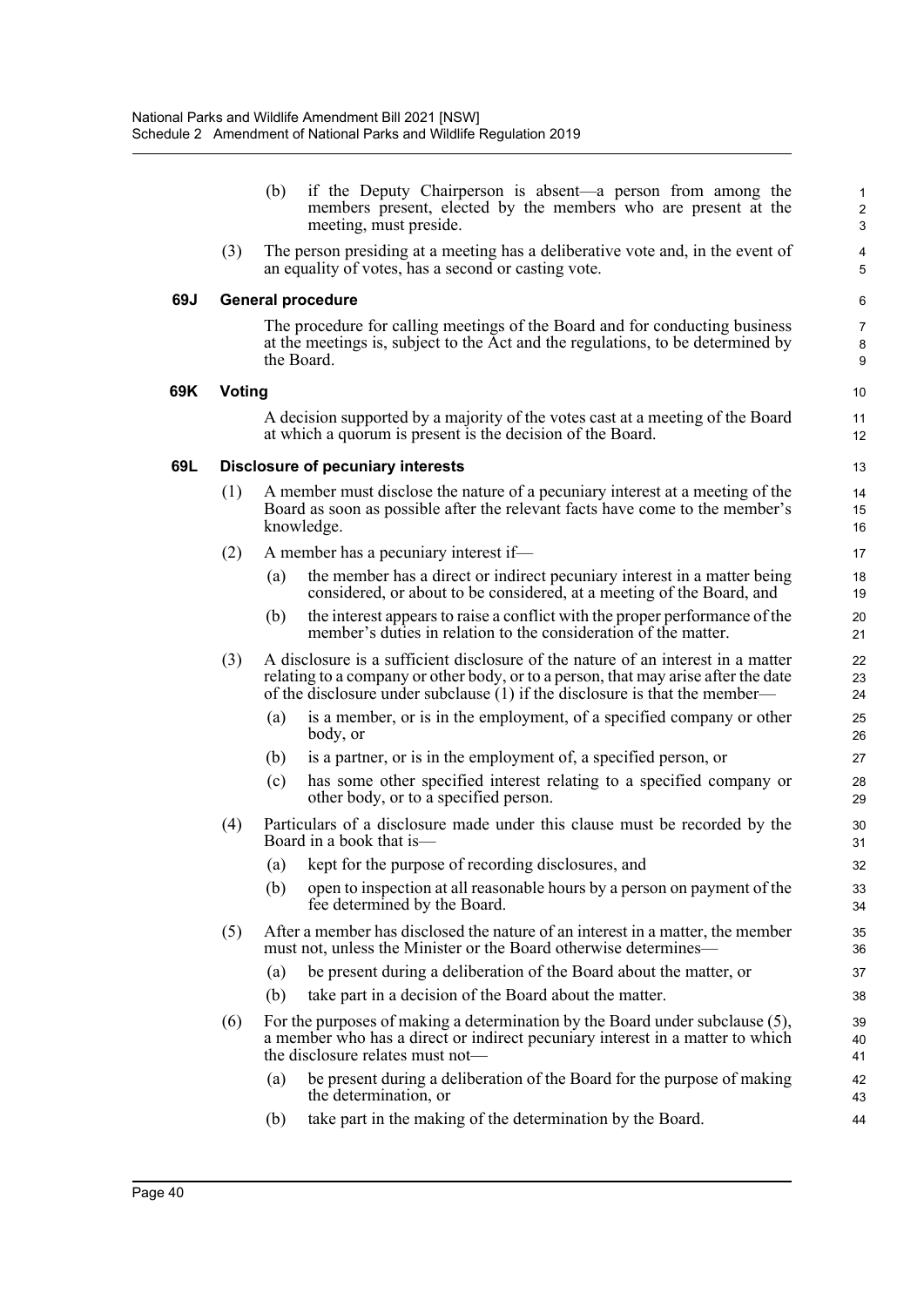|     |               | (b)                                                                                                                                                                         | if the Deputy Chairperson is absent—a person from among the<br>members present, elected by the members who are present at the<br>meeting, must preside.                                                                                               | 1<br>$\overline{\mathbf{c}}$<br>3 |  |  |  |
|-----|---------------|-----------------------------------------------------------------------------------------------------------------------------------------------------------------------------|-------------------------------------------------------------------------------------------------------------------------------------------------------------------------------------------------------------------------------------------------------|-----------------------------------|--|--|--|
|     | (3)           |                                                                                                                                                                             | The person presiding at a meeting has a deliberative vote and, in the event of<br>an equality of votes, has a second or casting vote.                                                                                                                 | 4<br>5                            |  |  |  |
| 69J |               |                                                                                                                                                                             | <b>General procedure</b>                                                                                                                                                                                                                              | 6                                 |  |  |  |
|     |               |                                                                                                                                                                             | The procedure for calling meetings of the Board and for conducting business<br>at the meetings is, subject to the Act and the regulations, to be determined by<br>the Board.                                                                          | 7<br>8<br>9                       |  |  |  |
| 69K | <b>Voting</b> |                                                                                                                                                                             |                                                                                                                                                                                                                                                       | 10                                |  |  |  |
|     |               |                                                                                                                                                                             | A decision supported by a majority of the votes cast at a meeting of the Board<br>at which a quorum is present is the decision of the Board.                                                                                                          | 11<br>12                          |  |  |  |
| 69L |               |                                                                                                                                                                             | <b>Disclosure of pecuniary interests</b>                                                                                                                                                                                                              | 13                                |  |  |  |
|     | (1)           | A member must disclose the nature of a pecuniary interest at a meeting of the<br>Board as soon as possible after the relevant facts have come to the member's<br>knowledge. |                                                                                                                                                                                                                                                       |                                   |  |  |  |
|     | (2)           |                                                                                                                                                                             | A member has a pecuniary interest if-                                                                                                                                                                                                                 | 17                                |  |  |  |
|     |               | (a)                                                                                                                                                                         | the member has a direct or indirect pecuniary interest in a matter being<br>considered, or about to be considered, at a meeting of the Board, and                                                                                                     | 18<br>19                          |  |  |  |
|     |               | (b)                                                                                                                                                                         | the interest appears to raise a conflict with the proper performance of the<br>member's duties in relation to the consideration of the matter.                                                                                                        | 20<br>21                          |  |  |  |
|     | (3)           |                                                                                                                                                                             | A disclosure is a sufficient disclosure of the nature of an interest in a matter<br>relating to a company or other body, or to a person, that may arise after the date<br>of the disclosure under subclause (1) if the disclosure is that the member— | 22<br>23<br>24                    |  |  |  |
|     |               | (a)                                                                                                                                                                         | is a member, or is in the employment, of a specified company or other<br>body, or                                                                                                                                                                     | 25<br>26                          |  |  |  |
|     |               | (b)                                                                                                                                                                         | is a partner, or is in the employment of, a specified person, or                                                                                                                                                                                      | 27                                |  |  |  |
|     |               | (c)                                                                                                                                                                         | has some other specified interest relating to a specified company or<br>other body, or to a specified person.                                                                                                                                         | 28<br>29                          |  |  |  |
|     | (4)           |                                                                                                                                                                             | Particulars of a disclosure made under this clause must be recorded by the<br>Board in a book that is—                                                                                                                                                | 30<br>31                          |  |  |  |
|     |               | (a)                                                                                                                                                                         | kept for the purpose of recording disclosures, and                                                                                                                                                                                                    | 32                                |  |  |  |
|     |               | (b)                                                                                                                                                                         | open to inspection at all reasonable hours by a person on payment of the<br>fee determined by the Board.                                                                                                                                              | 33<br>34                          |  |  |  |
|     | (5)           |                                                                                                                                                                             | After a member has disclosed the nature of an interest in a matter, the member<br>must not, unless the Minister or the Board otherwise determines—                                                                                                    | 35<br>36                          |  |  |  |
|     |               | (a)                                                                                                                                                                         | be present during a deliberation of the Board about the matter, or                                                                                                                                                                                    | 37                                |  |  |  |
|     |               | (b)                                                                                                                                                                         | take part in a decision of the Board about the matter.                                                                                                                                                                                                | 38                                |  |  |  |
|     | (6)           |                                                                                                                                                                             | For the purposes of making a determination by the Board under subclause (5),<br>a member who has a direct or indirect pecuniary interest in a matter to which<br>the disclosure relates must not—                                                     | 39<br>40<br>41                    |  |  |  |
|     |               | (a)                                                                                                                                                                         | be present during a deliberation of the Board for the purpose of making<br>the determination, or                                                                                                                                                      | 42<br>43                          |  |  |  |
|     |               | (b)                                                                                                                                                                         | take part in the making of the determination by the Board.                                                                                                                                                                                            | 44                                |  |  |  |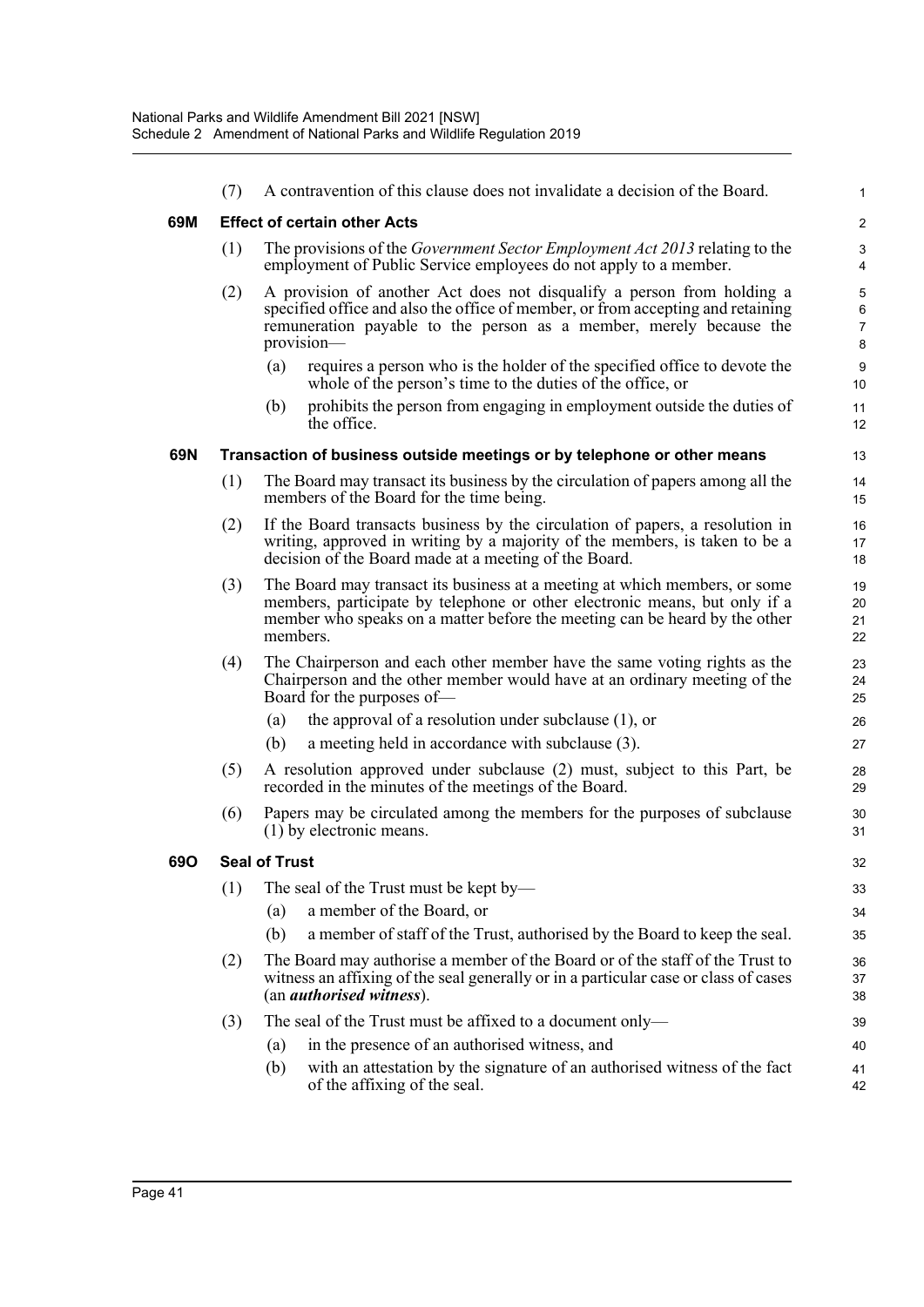|     | (7)                  |                                                                                                                                                                                                                                                    | A contravention of this clause does not invalidate a decision of the Board.                                                                     | $\mathbf 1$ |  |  |  |  |  |
|-----|----------------------|----------------------------------------------------------------------------------------------------------------------------------------------------------------------------------------------------------------------------------------------------|-------------------------------------------------------------------------------------------------------------------------------------------------|-------------|--|--|--|--|--|
| 69M |                      | <b>Effect of certain other Acts</b>                                                                                                                                                                                                                |                                                                                                                                                 |             |  |  |  |  |  |
|     | (1)                  |                                                                                                                                                                                                                                                    | The provisions of the Government Sector Employment Act 2013 relating to the<br>employment of Public Service employees do not apply to a member. | 3<br>4      |  |  |  |  |  |
|     | (2)                  | A provision of another Act does not disqualify a person from holding a<br>specified office and also the office of member, or from accepting and retaining<br>remuneration payable to the person as a member, merely because the<br>provision-      |                                                                                                                                                 |             |  |  |  |  |  |
|     |                      | (a)                                                                                                                                                                                                                                                | requires a person who is the holder of the specified office to devote the<br>whole of the person's time to the duties of the office, or         | 9<br>10     |  |  |  |  |  |
|     |                      | (b)                                                                                                                                                                                                                                                | prohibits the person from engaging in employment outside the duties of<br>the office.                                                           | 11<br>12    |  |  |  |  |  |
| 69N |                      |                                                                                                                                                                                                                                                    | Transaction of business outside meetings or by telephone or other means                                                                         | 13          |  |  |  |  |  |
|     | (1)                  | The Board may transact its business by the circulation of papers among all the<br>members of the Board for the time being.                                                                                                                         |                                                                                                                                                 |             |  |  |  |  |  |
|     | (2)                  | If the Board transacts business by the circulation of papers, a resolution in<br>writing, approved in writing by a majority of the members, is taken to be a<br>decision of the Board made at a meeting of the Board.                              |                                                                                                                                                 |             |  |  |  |  |  |
|     | (3)                  | The Board may transact its business at a meeting at which members, or some<br>members, participate by telephone or other electronic means, but only if a<br>member who speaks on a matter before the meeting can be heard by the other<br>members. |                                                                                                                                                 |             |  |  |  |  |  |
|     | (4)                  | The Chairperson and each other member have the same voting rights as the<br>Chairperson and the other member would have at an ordinary meeting of the<br>Board for the purposes of-                                                                |                                                                                                                                                 |             |  |  |  |  |  |
|     |                      | (a)                                                                                                                                                                                                                                                | the approval of a resolution under subclause $(1)$ , or                                                                                         | 26          |  |  |  |  |  |
|     |                      | (b)                                                                                                                                                                                                                                                | a meeting held in accordance with subclause (3).                                                                                                | 27          |  |  |  |  |  |
|     | (5)                  | A resolution approved under subclause (2) must, subject to this Part, be<br>recorded in the minutes of the meetings of the Board.                                                                                                                  |                                                                                                                                                 |             |  |  |  |  |  |
|     | (6)                  | Papers may be circulated among the members for the purposes of subclause<br>(1) by electronic means.                                                                                                                                               |                                                                                                                                                 |             |  |  |  |  |  |
| 69O | <b>Seal of Trust</b> |                                                                                                                                                                                                                                                    |                                                                                                                                                 |             |  |  |  |  |  |
|     | (1)                  |                                                                                                                                                                                                                                                    | The seal of the Trust must be kept by—                                                                                                          | 33          |  |  |  |  |  |
|     |                      | (a)                                                                                                                                                                                                                                                | a member of the Board, or                                                                                                                       | 34          |  |  |  |  |  |
|     |                      | (b)                                                                                                                                                                                                                                                | a member of staff of the Trust, authorised by the Board to keep the seal.                                                                       | 35          |  |  |  |  |  |
|     | (2)                  | The Board may authorise a member of the Board or of the staff of the Trust to<br>witness an affixing of the seal generally or in a particular case or class of cases<br>(an <i>authorised witness</i> ).                                           |                                                                                                                                                 |             |  |  |  |  |  |
|     | (3)                  |                                                                                                                                                                                                                                                    | The seal of the Trust must be affixed to a document only-                                                                                       | 39          |  |  |  |  |  |
|     |                      | (a)                                                                                                                                                                                                                                                | in the presence of an authorised witness, and                                                                                                   | 40          |  |  |  |  |  |
|     |                      | (b)                                                                                                                                                                                                                                                | with an attestation by the signature of an authorised witness of the fact<br>of the affixing of the seal.                                       | 41<br>42    |  |  |  |  |  |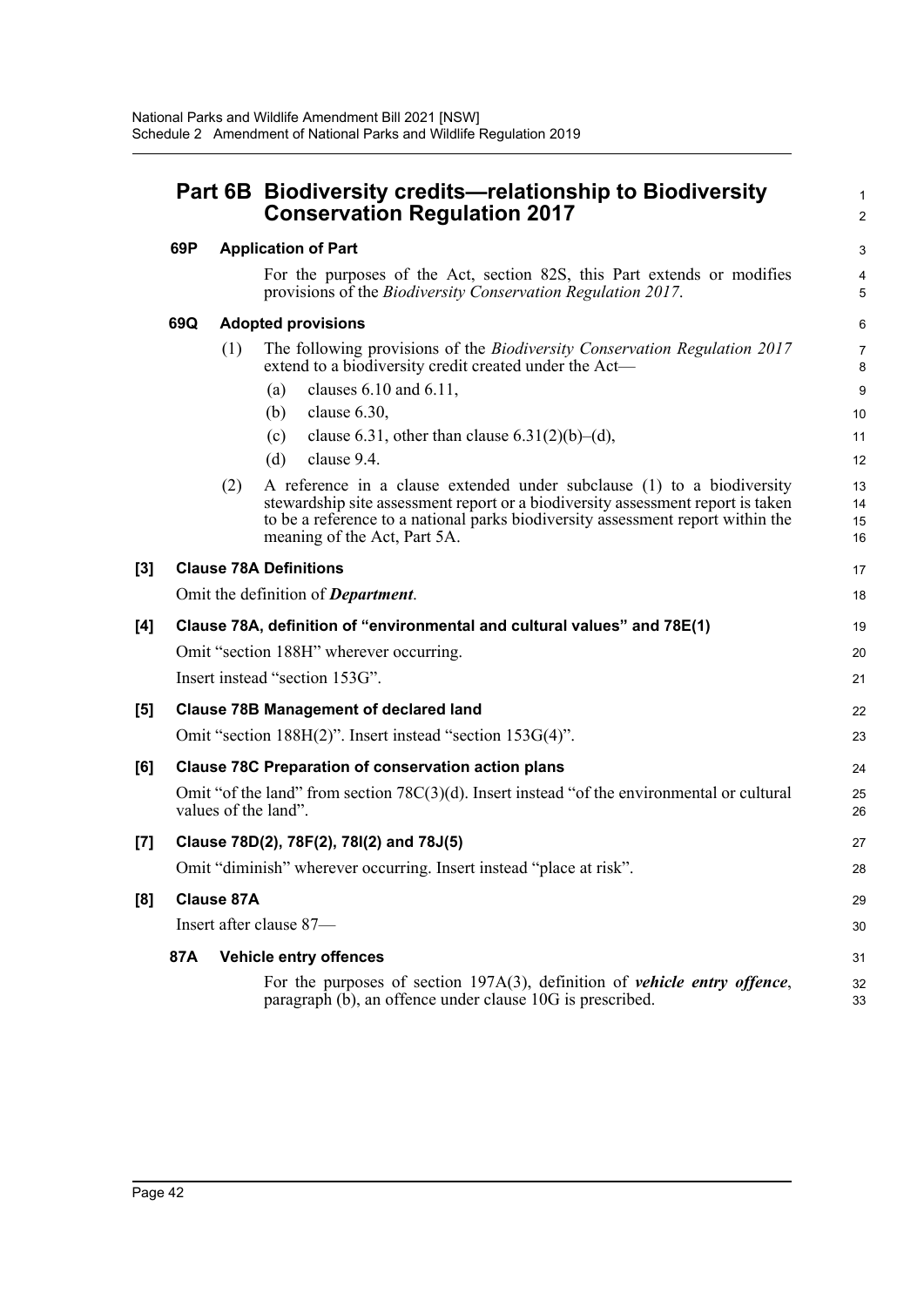|       |                                                                          |                               | Part 6B Biodiversity credits—relationship to Biodiversity<br><b>Conservation Regulation 2017</b> |                                                                                                                                                                                                                                                                              |                      |  |  |
|-------|--------------------------------------------------------------------------|-------------------------------|--------------------------------------------------------------------------------------------------|------------------------------------------------------------------------------------------------------------------------------------------------------------------------------------------------------------------------------------------------------------------------------|----------------------|--|--|
|       | 69P                                                                      |                               | <b>Application of Part</b>                                                                       |                                                                                                                                                                                                                                                                              |                      |  |  |
|       |                                                                          |                               |                                                                                                  | For the purposes of the Act, section 82S, this Part extends or modifies<br>provisions of the <i>Biodiversity Conservation Regulation 2017</i> .                                                                                                                              | 4<br>5               |  |  |
|       | 69Q                                                                      |                               |                                                                                                  | <b>Adopted provisions</b>                                                                                                                                                                                                                                                    | 6                    |  |  |
|       |                                                                          | (1)                           |                                                                                                  | The following provisions of the <i>Biodiversity Conservation Regulation 2017</i><br>extend to a biodiversity credit created under the Act-                                                                                                                                   | $\overline{7}$<br>8  |  |  |
|       |                                                                          |                               | (a)                                                                                              | clauses 6.10 and 6.11,                                                                                                                                                                                                                                                       | $9\,$                |  |  |
|       |                                                                          |                               | (b)                                                                                              | clause 6.30,                                                                                                                                                                                                                                                                 | 10                   |  |  |
|       |                                                                          |                               | (c)                                                                                              | clause 6.31, other than clause $6.31(2)(b)–(d)$ ,                                                                                                                                                                                                                            | 11                   |  |  |
|       |                                                                          |                               | (d)                                                                                              | clause 9.4.                                                                                                                                                                                                                                                                  | 12                   |  |  |
|       |                                                                          | (2)                           |                                                                                                  | A reference in a clause extended under subclause (1) to a biodiversity<br>stewardship site assessment report or a biodiversity assessment report is taken<br>to be a reference to a national parks biodiversity assessment report within the<br>meaning of the Act, Part 5A. | 13<br>14<br>15<br>16 |  |  |
| [3]   |                                                                          | <b>Clause 78A Definitions</b> |                                                                                                  |                                                                                                                                                                                                                                                                              | 17                   |  |  |
|       |                                                                          |                               |                                                                                                  | Omit the definition of <b>Department</b> .                                                                                                                                                                                                                                   | 18                   |  |  |
| [4]   | Clause 78A, definition of "environmental and cultural values" and 78E(1) |                               |                                                                                                  |                                                                                                                                                                                                                                                                              |                      |  |  |
|       | Omit "section 188H" wherever occurring.                                  |                               |                                                                                                  |                                                                                                                                                                                                                                                                              |                      |  |  |
|       | Insert instead "section 153G".                                           |                               |                                                                                                  |                                                                                                                                                                                                                                                                              |                      |  |  |
| [5]   | <b>Clause 78B Management of declared land</b>                            |                               |                                                                                                  |                                                                                                                                                                                                                                                                              |                      |  |  |
|       |                                                                          |                               |                                                                                                  | Omit "section 188H(2)". Insert instead "section 153G(4)".                                                                                                                                                                                                                    | 23                   |  |  |
| [6]   | <b>Clause 78C Preparation of conservation action plans</b>               |                               |                                                                                                  |                                                                                                                                                                                                                                                                              |                      |  |  |
|       |                                                                          | values of the land".          |                                                                                                  | Omit "of the land" from section $78C(3)(d)$ . Insert instead "of the environmental or cultural                                                                                                                                                                               | 25<br>26             |  |  |
| $[7]$ |                                                                          |                               |                                                                                                  | Clause 78D(2), 78F(2), 78I(2) and 78J(5)                                                                                                                                                                                                                                     | 27                   |  |  |
|       |                                                                          |                               |                                                                                                  | Omit "diminish" wherever occurring. Insert instead "place at risk".                                                                                                                                                                                                          | 28                   |  |  |
| [8]   |                                                                          | <b>Clause 87A</b>             |                                                                                                  |                                                                                                                                                                                                                                                                              |                      |  |  |
|       | Insert after clause 87-                                                  |                               |                                                                                                  |                                                                                                                                                                                                                                                                              |                      |  |  |
|       | 87A                                                                      |                               |                                                                                                  | Vehicle entry offences                                                                                                                                                                                                                                                       | 31                   |  |  |
|       |                                                                          |                               |                                                                                                  | For the purposes of section $197A(3)$ , definition of <i>vehicle entry offence</i> ,<br>paragraph $(b)$ , an offence under clause 10G is prescribed.                                                                                                                         | 32<br>33             |  |  |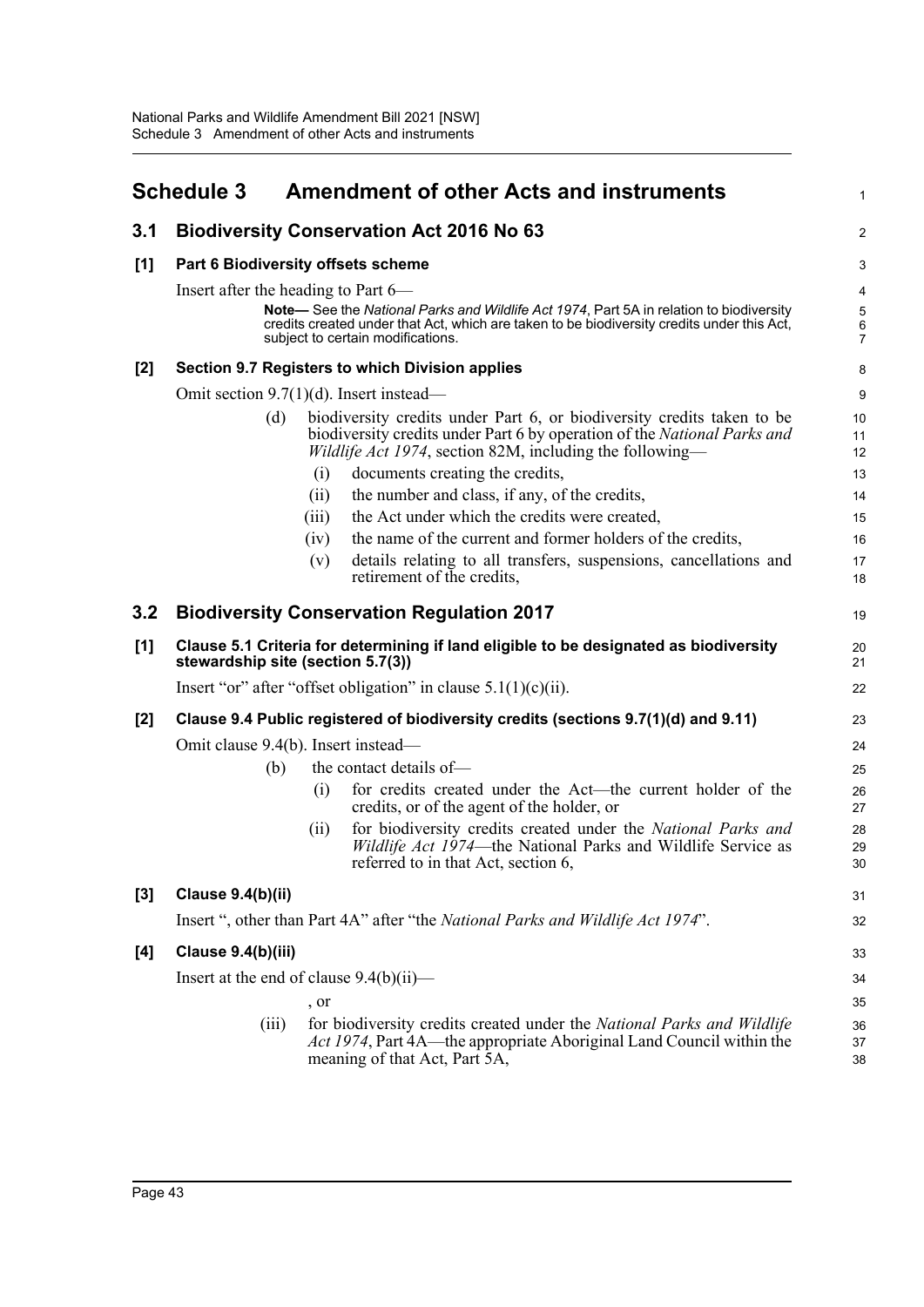<span id="page-49-0"></span>

|       | <b>Schedule 3</b>                                                 |       | <b>Amendment of other Acts and instruments</b>                                                                                                                                                                             | $\mathbf{1}$                                         |  |  |
|-------|-------------------------------------------------------------------|-------|----------------------------------------------------------------------------------------------------------------------------------------------------------------------------------------------------------------------------|------------------------------------------------------|--|--|
| 3.1   |                                                                   |       | <b>Biodiversity Conservation Act 2016 No 63</b>                                                                                                                                                                            | 2                                                    |  |  |
| [1]   | Part 6 Biodiversity offsets scheme                                | 3     |                                                                                                                                                                                                                            |                                                      |  |  |
|       | Insert after the heading to Part 6—                               |       |                                                                                                                                                                                                                            | 4                                                    |  |  |
|       |                                                                   |       | Note— See the National Parks and Wildlife Act 1974, Part 5A in relation to biodiversity<br>credits created under that Act, which are taken to be biodiversity credits under this Act,<br>subject to certain modifications. | $\mathbf 5$<br>$\begin{array}{c} 6 \\ 7 \end{array}$ |  |  |
| [2]   |                                                                   |       | Section 9.7 Registers to which Division applies                                                                                                                                                                            | 8                                                    |  |  |
|       | Omit section $9.7(1)(d)$ . Insert instead—                        |       |                                                                                                                                                                                                                            | 9                                                    |  |  |
|       | (d)                                                               |       | biodiversity credits under Part 6, or biodiversity credits taken to be<br>biodiversity credits under Part 6 by operation of the National Parks and<br><i>Wildlife Act 1974</i> , section 82M, including the following—     | 10<br>11<br>12                                       |  |  |
|       |                                                                   | (i)   | documents creating the credits,                                                                                                                                                                                            | 13                                                   |  |  |
|       |                                                                   | (i)   | the number and class, if any, of the credits,                                                                                                                                                                              | 14                                                   |  |  |
|       |                                                                   | (iii) | the Act under which the credits were created,                                                                                                                                                                              | 15                                                   |  |  |
|       |                                                                   | (iv)  | the name of the current and former holders of the credits,                                                                                                                                                                 | 16                                                   |  |  |
|       |                                                                   | (v)   | details relating to all transfers, suspensions, cancellations and<br>retirement of the credits,                                                                                                                            | 17<br>18                                             |  |  |
| 3.2   |                                                                   |       | <b>Biodiversity Conservation Regulation 2017</b>                                                                                                                                                                           | 19                                                   |  |  |
| [1]   | stewardship site (section 5.7(3))                                 |       | Clause 5.1 Criteria for determining if land eligible to be designated as biodiversity                                                                                                                                      | 20<br>21                                             |  |  |
|       | Insert "or" after "offset obligation" in clause $5.1(1)(c)(ii)$ . |       |                                                                                                                                                                                                                            |                                                      |  |  |
| $[2]$ |                                                                   |       | Clause 9.4 Public registered of biodiversity credits (sections 9.7(1)(d) and 9.11)                                                                                                                                         | 23                                                   |  |  |
|       | Omit clause 9.4(b). Insert instead—                               |       |                                                                                                                                                                                                                            | 24                                                   |  |  |
|       | (b)                                                               |       | the contact details of-                                                                                                                                                                                                    | 25                                                   |  |  |
|       |                                                                   | (i)   | for credits created under the Act—the current holder of the<br>credits, or of the agent of the holder, or                                                                                                                  | 26<br>27                                             |  |  |
|       |                                                                   | (i)   | for biodiversity credits created under the National Parks and<br><i>Wildlife Act 1974</i> —the National Parks and Wildlife Service as<br>referred to in that Act, section 6,                                               | 28<br>29<br>30                                       |  |  |
| $[3]$ | Clause 9.4(b)(ii)                                                 |       |                                                                                                                                                                                                                            | 31                                                   |  |  |
|       |                                                                   |       | Insert ", other than Part 4A" after "the National Parks and Wildlife Act 1974".                                                                                                                                            | 32                                                   |  |  |
| [4]   | Clause 9.4(b)(iii)                                                |       |                                                                                                                                                                                                                            | 33                                                   |  |  |
|       | Insert at the end of clause 9.4(b)(ii)-                           |       |                                                                                                                                                                                                                            | 34                                                   |  |  |
|       |                                                                   | , or  |                                                                                                                                                                                                                            | 35                                                   |  |  |
|       | (iii)                                                             |       | for biodiversity credits created under the National Parks and Wildlife<br>Act 1974, Part 4A—the appropriate Aboriginal Land Council within the<br>meaning of that Act, Part 5A,                                            | 36<br>37<br>38                                       |  |  |